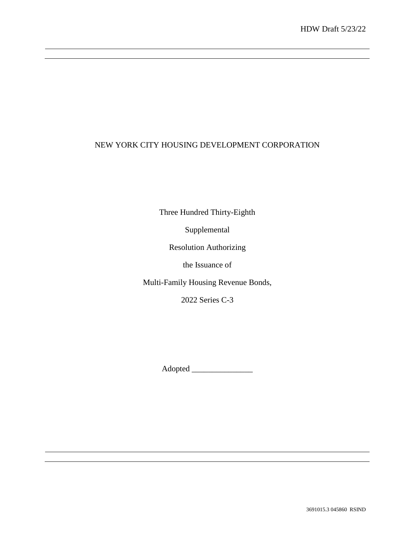# NEW YORK CITY HOUSING DEVELOPMENT CORPORATION

Three Hundred Thirty-Eighth

Supplemental

Resolution Authorizing

the Issuance of

Multi-Family Housing Revenue Bonds,

2022 Series C-3

Adopted \_\_\_\_\_\_\_\_\_\_\_\_\_\_\_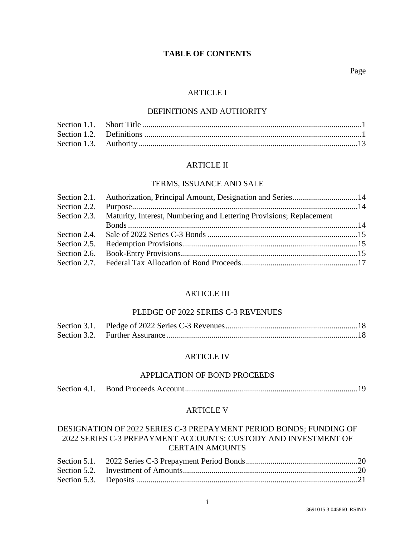## **TABLE OF CONTENTS**

Page

### ARTICLE I

### DEFINITIONS AND AUTHORITY

#### ARTICLE II

#### TERMS, ISSUANCE AND SALE

| Section 2.1. Authorization, Principal Amount, Designation and Series14 |                                                                                  |
|------------------------------------------------------------------------|----------------------------------------------------------------------------------|
|                                                                        |                                                                                  |
|                                                                        |                                                                                  |
|                                                                        |                                                                                  |
|                                                                        |                                                                                  |
|                                                                        |                                                                                  |
|                                                                        |                                                                                  |
|                                                                        |                                                                                  |
|                                                                        | Section 2.3. Maturity, Interest, Numbering and Lettering Provisions; Replacement |

#### ARTICLE III

#### PLEDGE OF 2022 SERIES C-3 REVENUES

#### ARTICLE IV

### APPLICATION OF BOND PROCEEDS

|--|--|--|--|

#### ARTICLE V

# DESIGNATION OF 2022 SERIES C-3 PREPAYMENT PERIOD BONDS; FUNDING OF 2022 SERIES C-3 PREPAYMENT ACCOUNTS; CUSTODY AND INVESTMENT OF CERTAIN AMOUNTS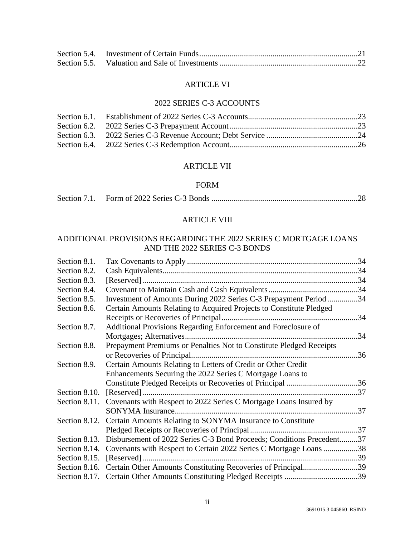### ARTICLE VI

# 2022 SERIES C-3 ACCOUNTS

# ARTICLE VII

### FORM

|--|--|

# ARTICLE VIII

## ADDITIONAL PROVISIONS REGARDING THE 2022 SERIES C MORTGAGE LOANS AND THE 2022 SERIES C-3 BONDS

| Section 8.1.  |                                                                                 |     |
|---------------|---------------------------------------------------------------------------------|-----|
| Section 8.2.  |                                                                                 |     |
| Section 8.3.  |                                                                                 |     |
| Section 8.4.  |                                                                                 |     |
| Section 8.5.  | Investment of Amounts During 2022 Series C-3 Prepayment Period 34               |     |
| Section 8.6.  | Certain Amounts Relating to Acquired Projects to Constitute Pledged             |     |
|               |                                                                                 |     |
| Section 8.7.  | Additional Provisions Regarding Enforcement and Foreclosure of                  |     |
|               |                                                                                 | .34 |
| Section 8.8.  | Prepayment Premiums or Penalties Not to Constitute Pledged Receipts             |     |
|               | or Recoveries of Principal.                                                     | .36 |
| Section 8.9.  | Certain Amounts Relating to Letters of Credit or Other Credit                   |     |
|               | Enhancements Securing the 2022 Series C Mortgage Loans to                       |     |
|               | Constitute Pledged Receipts or Recoveries of Principal 36                       |     |
| Section 8.10. |                                                                                 | 37  |
|               | Section 8.11. Covenants with Respect to 2022 Series C Mortgage Loans Insured by |     |
|               | SONYMA Insurance.                                                               | .37 |
| Section 8.12. | Certain Amounts Relating to SONYMA Insurance to Constitute                      |     |
|               |                                                                                 |     |
| Section 8.13. | Disbursement of 2022 Series C-3 Bond Proceeds; Conditions Precedent37           |     |
|               | Section 8.14. Covenants with Respect to Certain 2022 Series C Mortgage Loans 38 |     |
|               |                                                                                 |     |
|               | Section 8.16. Certain Other Amounts Constituting Recoveries of Principal39      |     |
|               | Section 8.17. Certain Other Amounts Constituting Pledged Receipts 39            |     |
|               |                                                                                 |     |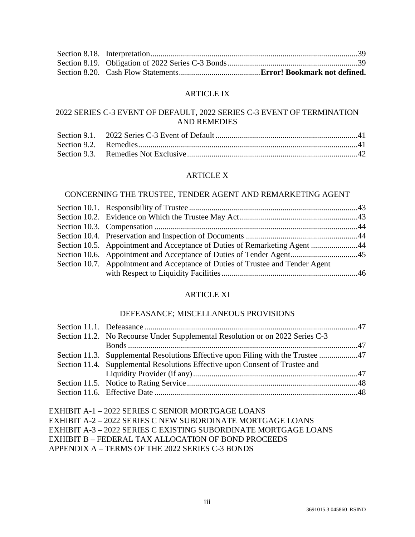## ARTICLE IX

# 2022 SERIES C-3 EVENT OF DEFAULT, 2022 SERIES C-3 EVENT OF TERMINATION AND REMEDIES

# ARTICLE X

## CONCERNING THE TRUSTEE, TENDER AGENT AND REMARKETING AGENT

| Section 10.5. Appointment and Acceptance of Duties of Remarketing Agent 44<br>Section 10.7. Appointment and Acceptance of Duties of Trustee and Tender Agent |
|--------------------------------------------------------------------------------------------------------------------------------------------------------------|

## ARTICLE XI

## DEFEASANCE; MISCELLANEOUS PROVISIONS

| Section 11.2. No Recourse Under Supplemental Resolution or on 2022 Series C-3    |  |
|----------------------------------------------------------------------------------|--|
|                                                                                  |  |
| Section 11.3. Supplemental Resolutions Effective upon Filing with the Trustee 47 |  |
| Section 11.4. Supplemental Resolutions Effective upon Consent of Trustee and     |  |
|                                                                                  |  |
|                                                                                  |  |
|                                                                                  |  |

| EXHIBIT A-1 – 2022 SERIES C SENIOR MORTGAGE LOANS               |
|-----------------------------------------------------------------|
| EXHIBIT A-2 – 2022 SERIES C NEW SUBORDINATE MORTGAGE LOANS      |
| EXHIBIT A-3 – 2022 SERIES C EXISTING SUBORDINATE MORTGAGE LOANS |
| EXHIBIT B – FEDERAL TAX ALLOCATION OF BOND PROCEEDS             |
| APPENDIX A – TERMS OF THE 2022 SERIES C-3 BONDS                 |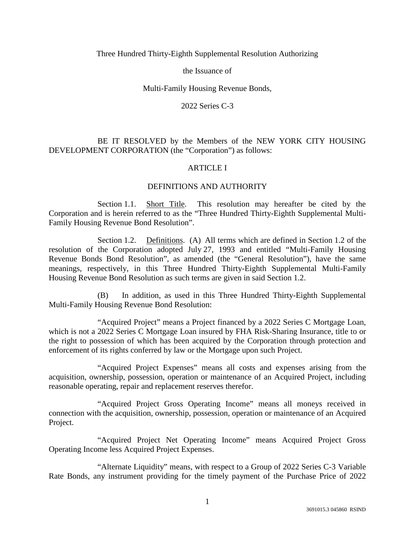### Three Hundred Thirty-Eighth Supplemental Resolution Authorizing

the Issuance of

### Multi-Family Housing Revenue Bonds,

2022 Series C-3

## BE IT RESOLVED by the Members of the NEW YORK CITY HOUSING DEVELOPMENT CORPORATION (the "Corporation") as follows:

## ARTICLE I

## DEFINITIONS AND AUTHORITY

Section 1.1. Short Title. This resolution may hereafter be cited by the Corporation and is herein referred to as the "Three Hundred Thirty-Eighth Supplemental Multi-Family Housing Revenue Bond Resolution".

Section 1.2. Definitions. (A) All terms which are defined in Section 1.2 of the resolution of the Corporation adopted July 27, 1993 and entitled "Multi-Family Housing Revenue Bonds Bond Resolution", as amended (the "General Resolution"), have the same meanings, respectively, in this Three Hundred Thirty-Eighth Supplemental Multi-Family Housing Revenue Bond Resolution as such terms are given in said Section 1.2.

(B) In addition, as used in this Three Hundred Thirty-Eighth Supplemental Multi-Family Housing Revenue Bond Resolution:

"Acquired Project" means a Project financed by a 2022 Series C Mortgage Loan, which is not a 2022 Series C Mortgage Loan insured by FHA Risk-Sharing Insurance, title to or the right to possession of which has been acquired by the Corporation through protection and enforcement of its rights conferred by law or the Mortgage upon such Project.

"Acquired Project Expenses" means all costs and expenses arising from the acquisition, ownership, possession, operation or maintenance of an Acquired Project, including reasonable operating, repair and replacement reserves therefor.

"Acquired Project Gross Operating Income" means all moneys received in connection with the acquisition, ownership, possession, operation or maintenance of an Acquired Project.

"Acquired Project Net Operating Income" means Acquired Project Gross Operating Income less Acquired Project Expenses.

"Alternate Liquidity" means, with respect to a Group of 2022 Series C-3 Variable Rate Bonds, any instrument providing for the timely payment of the Purchase Price of 2022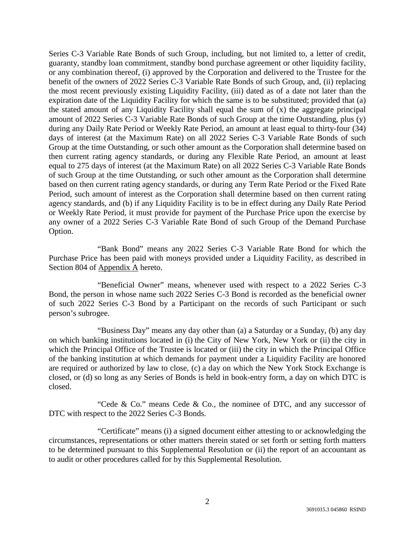Series C-3 Variable Rate Bonds of such Group, including, but not limited to, a letter of credit, guaranty, standby loan commitment, standby bond purchase agreement or other liquidity facility, or any combination thereof, (i) approved by the Corporation and delivered to the Trustee for the benefit of the owners of 2022 Series C-3 Variable Rate Bonds of such Group, and, (ii) replacing the most recent previously existing Liquidity Facility, (iii) dated as of a date not later than the expiration date of the Liquidity Facility for which the same is to be substituted; provided that (a) the stated amount of any Liquidity Facility shall equal the sum of  $(x)$  the aggregate principal amount of 2022 Series C-3 Variable Rate Bonds of such Group at the time Outstanding, plus (y) during any Daily Rate Period or Weekly Rate Period, an amount at least equal to thirty-four (34) days of interest (at the Maximum Rate) on all 2022 Series C-3 Variable Rate Bonds of such Group at the time Outstanding, or such other amount as the Corporation shall determine based on then current rating agency standards, or during any Flexible Rate Period, an amount at least equal to 275 days of interest (at the Maximum Rate) on all 2022 Series C-3 Variable Rate Bonds of such Group at the time Outstanding, or such other amount as the Corporation shall determine based on then current rating agency standards, or during any Term Rate Period or the Fixed Rate Period, such amount of interest as the Corporation shall determine based on then current rating agency standards, and (b) if any Liquidity Facility is to be in effect during any Daily Rate Period or Weekly Rate Period, it must provide for payment of the Purchase Price upon the exercise by any owner of a 2022 Series C-3 Variable Rate Bond of such Group of the Demand Purchase Option.

"Bank Bond" means any 2022 Series C-3 Variable Rate Bond for which the Purchase Price has been paid with moneys provided under a Liquidity Facility, as described in Section 804 of Appendix A hereto.

"Beneficial Owner" means, whenever used with respect to a 2022 Series C-3 Bond, the person in whose name such 2022 Series C-3 Bond is recorded as the beneficial owner of such 2022 Series C-3 Bond by a Participant on the records of such Participant or such person's subrogee.

"Business Day" means any day other than (a) a Saturday or a Sunday, (b) any day on which banking institutions located in (i) the City of New York, New York or (ii) the city in which the Principal Office of the Trustee is located or (iii) the city in which the Principal Office of the banking institution at which demands for payment under a Liquidity Facility are honored are required or authorized by law to close, (c) a day on which the New York Stock Exchange is closed, or (d) so long as any Series of Bonds is held in book-entry form, a day on which DTC is closed.

"Cede & Co." means Cede & Co., the nominee of DTC, and any successor of DTC with respect to the 2022 Series C-3 Bonds.

"Certificate" means (i) a signed document either attesting to or acknowledging the circumstances, representations or other matters therein stated or set forth or setting forth matters to be determined pursuant to this Supplemental Resolution or (ii) the report of an accountant as to audit or other procedures called for by this Supplemental Resolution.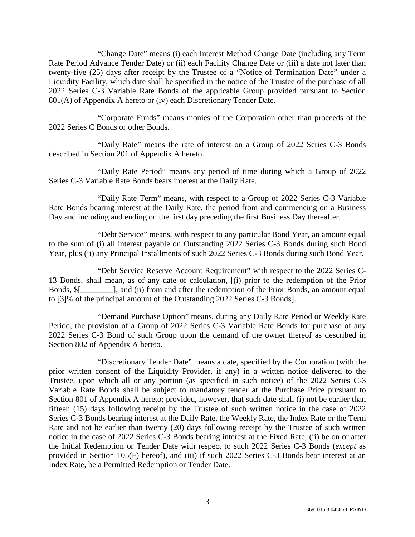"Change Date" means (i) each Interest Method Change Date (including any Term Rate Period Advance Tender Date) or (ii) each Facility Change Date or (iii) a date not later than twenty-five (25) days after receipt by the Trustee of a "Notice of Termination Date" under a Liquidity Facility, which date shall be specified in the notice of the Trustee of the purchase of all 2022 Series C-3 Variable Rate Bonds of the applicable Group provided pursuant to Section 801(A) of Appendix A hereto or (iv) each Discretionary Tender Date.

"Corporate Funds" means monies of the Corporation other than proceeds of the 2022 Series C Bonds or other Bonds.

"Daily Rate" means the rate of interest on a Group of 2022 Series C-3 Bonds described in Section 201 of Appendix A hereto.

"Daily Rate Period" means any period of time during which a Group of 2022 Series C-3 Variable Rate Bonds bears interest at the Daily Rate.

"Daily Rate Term" means, with respect to a Group of 2022 Series C-3 Variable Rate Bonds bearing interest at the Daily Rate, the period from and commencing on a Business Day and including and ending on the first day preceding the first Business Day thereafter.

"Debt Service" means, with respect to any particular Bond Year, an amount equal to the sum of (i) all interest payable on Outstanding 2022 Series C-3 Bonds during such Bond Year, plus (ii) any Principal Installments of such 2022 Series C-3 Bonds during such Bond Year.

"Debt Service Reserve Account Requirement" with respect to the 2022 Series C-13 Bonds, shall mean, as of any date of calculation, [(i) prior to the redemption of the Prior Bonds, \$[\_\_\_\_\_\_\_\_], and (ii) from and after the redemption of the Prior Bonds, an amount equal to [3]% of the principal amount of the Outstanding 2022 Series C-3 Bonds].

"Demand Purchase Option" means, during any Daily Rate Period or Weekly Rate Period, the provision of a Group of 2022 Series C-3 Variable Rate Bonds for purchase of any 2022 Series C-3 Bond of such Group upon the demand of the owner thereof as described in Section 802 of Appendix A hereto.

"Discretionary Tender Date" means a date, specified by the Corporation (with the prior written consent of the Liquidity Provider, if any) in a written notice delivered to the Trustee, upon which all or any portion (as specified in such notice) of the 2022 Series C-3 Variable Rate Bonds shall be subject to mandatory tender at the Purchase Price pursuant to Section 801 of Appendix A hereto; provided, however, that such date shall (i) not be earlier than fifteen (15) days following receipt by the Trustee of such written notice in the case of 2022 Series C-3 Bonds bearing interest at the Daily Rate, the Weekly Rate, the Index Rate or the Term Rate and not be earlier than twenty (20) days following receipt by the Trustee of such written notice in the case of 2022 Series C-3 Bonds bearing interest at the Fixed Rate, (ii) be on or after the Initial Redemption or Tender Date with respect to such 2022 Series C-3 Bonds (*except* as provided in Section 105(F) hereof), and (iii) if such 2022 Series C-3 Bonds bear interest at an Index Rate, be a Permitted Redemption or Tender Date.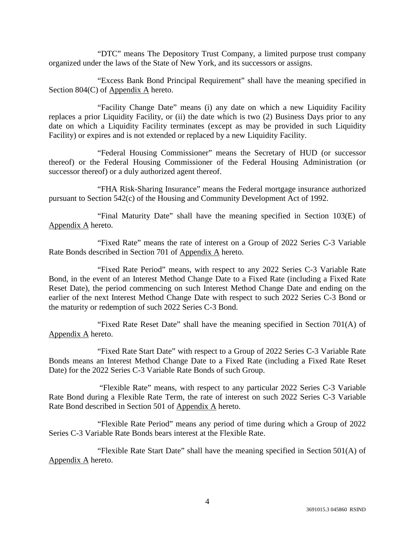"DTC" means The Depository Trust Company, a limited purpose trust company organized under the laws of the State of New York, and its successors or assigns.

"Excess Bank Bond Principal Requirement" shall have the meaning specified in Section 804(C) of Appendix A hereto.

"Facility Change Date" means (i) any date on which a new Liquidity Facility replaces a prior Liquidity Facility, or (ii) the date which is two (2) Business Days prior to any date on which a Liquidity Facility terminates (except as may be provided in such Liquidity Facility) or expires and is not extended or replaced by a new Liquidity Facility.

"Federal Housing Commissioner" means the Secretary of HUD (or successor thereof) or the Federal Housing Commissioner of the Federal Housing Administration (or successor thereof) or a duly authorized agent thereof.

"FHA Risk-Sharing Insurance" means the Federal mortgage insurance authorized pursuant to Section 542(c) of the Housing and Community Development Act of 1992.

"Final Maturity Date" shall have the meaning specified in Section 103(E) of Appendix A hereto.

"Fixed Rate" means the rate of interest on a Group of 2022 Series C-3 Variable Rate Bonds described in Section 701 of Appendix A hereto.

"Fixed Rate Period" means, with respect to any 2022 Series C-3 Variable Rate Bond, in the event of an Interest Method Change Date to a Fixed Rate (including a Fixed Rate Reset Date), the period commencing on such Interest Method Change Date and ending on the earlier of the next Interest Method Change Date with respect to such 2022 Series C-3 Bond or the maturity or redemption of such 2022 Series C-3 Bond.

"Fixed Rate Reset Date" shall have the meaning specified in Section 701(A) of Appendix A hereto.

"Fixed Rate Start Date" with respect to a Group of 2022 Series C-3 Variable Rate Bonds means an Interest Method Change Date to a Fixed Rate (including a Fixed Rate Reset Date) for the 2022 Series C-3 Variable Rate Bonds of such Group.

 "Flexible Rate" means, with respect to any particular 2022 Series C-3 Variable Rate Bond during a Flexible Rate Term, the rate of interest on such 2022 Series C-3 Variable Rate Bond described in Section 501 of Appendix A hereto.

"Flexible Rate Period" means any period of time during which a Group of 2022 Series C-3 Variable Rate Bonds bears interest at the Flexible Rate.

"Flexible Rate Start Date" shall have the meaning specified in Section 501(A) of Appendix A hereto.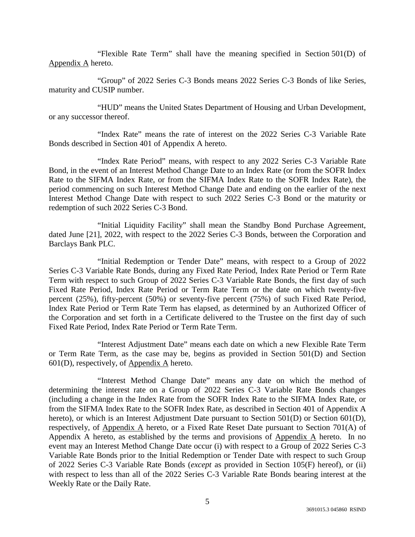"Flexible Rate Term" shall have the meaning specified in Section 501(D) of Appendix A hereto.

"Group" of 2022 Series C-3 Bonds means 2022 Series C-3 Bonds of like Series, maturity and CUSIP number.

"HUD" means the United States Department of Housing and Urban Development, or any successor thereof.

"Index Rate" means the rate of interest on the 2022 Series C-3 Variable Rate Bonds described in Section 401 of Appendix A hereto.

"Index Rate Period" means, with respect to any 2022 Series C-3 Variable Rate Bond, in the event of an Interest Method Change Date to an Index Rate (or from the SOFR Index Rate to the SIFMA Index Rate, or from the SIFMA Index Rate to the SOFR Index Rate), the period commencing on such Interest Method Change Date and ending on the earlier of the next Interest Method Change Date with respect to such 2022 Series C-3 Bond or the maturity or redemption of such 2022 Series C-3 Bond.

"Initial Liquidity Facility" shall mean the Standby Bond Purchase Agreement, dated June [21], 2022, with respect to the 2022 Series C-3 Bonds, between the Corporation and Barclays Bank PLC.

"Initial Redemption or Tender Date" means, with respect to a Group of 2022 Series C-3 Variable Rate Bonds, during any Fixed Rate Period, Index Rate Period or Term Rate Term with respect to such Group of 2022 Series C-3 Variable Rate Bonds, the first day of such Fixed Rate Period, Index Rate Period or Term Rate Term or the date on which twenty-five percent (25%), fifty-percent (50%) or seventy-five percent (75%) of such Fixed Rate Period, Index Rate Period or Term Rate Term has elapsed, as determined by an Authorized Officer of the Corporation and set forth in a Certificate delivered to the Trustee on the first day of such Fixed Rate Period, Index Rate Period or Term Rate Term.

"Interest Adjustment Date" means each date on which a new Flexible Rate Term or Term Rate Term, as the case may be, begins as provided in Section 501(D) and Section 601(D), respectively, of Appendix A hereto.

"Interest Method Change Date" means any date on which the method of determining the interest rate on a Group of 2022 Series C-3 Variable Rate Bonds changes (including a change in the Index Rate from the SOFR Index Rate to the SIFMA Index Rate, or from the SIFMA Index Rate to the SOFR Index Rate, as described in Section 401 of Appendix A hereto), or which is an Interest Adjustment Date pursuant to Section 501(D) or Section 601(D), respectively, of Appendix A hereto, or a Fixed Rate Reset Date pursuant to Section 701(A) of Appendix A hereto, as established by the terms and provisions of Appendix A hereto. In no event may an Interest Method Change Date occur (i) with respect to a Group of 2022 Series C-3 Variable Rate Bonds prior to the Initial Redemption or Tender Date with respect to such Group of 2022 Series C-3 Variable Rate Bonds (*except* as provided in Section 105(F) hereof), or (ii) with respect to less than all of the 2022 Series C-3 Variable Rate Bonds bearing interest at the Weekly Rate or the Daily Rate.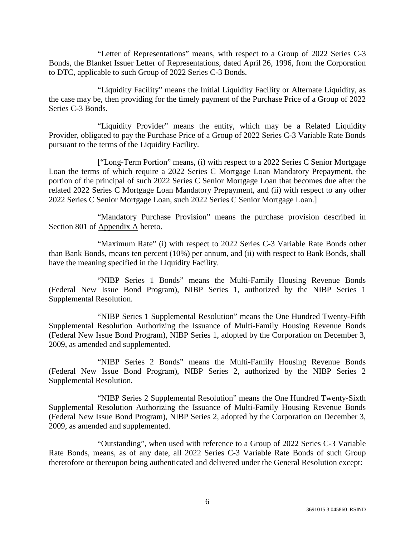"Letter of Representations" means, with respect to a Group of 2022 Series C-3 Bonds, the Blanket Issuer Letter of Representations, dated April 26, 1996, from the Corporation to DTC, applicable to such Group of 2022 Series C-3 Bonds.

"Liquidity Facility" means the Initial Liquidity Facility or Alternate Liquidity, as the case may be, then providing for the timely payment of the Purchase Price of a Group of 2022 Series C-3 Bonds.

"Liquidity Provider" means the entity, which may be a Related Liquidity Provider, obligated to pay the Purchase Price of a Group of 2022 Series C-3 Variable Rate Bonds pursuant to the terms of the Liquidity Facility.

["Long-Term Portion" means, (i) with respect to a 2022 Series C Senior Mortgage Loan the terms of which require a 2022 Series C Mortgage Loan Mandatory Prepayment, the portion of the principal of such 2022 Series C Senior Mortgage Loan that becomes due after the related 2022 Series C Mortgage Loan Mandatory Prepayment, and (ii) with respect to any other 2022 Series C Senior Mortgage Loan, such 2022 Series C Senior Mortgage Loan.]

"Mandatory Purchase Provision" means the purchase provision described in Section 801 of Appendix A hereto.

"Maximum Rate" (i) with respect to 2022 Series C-3 Variable Rate Bonds other than Bank Bonds, means ten percent (10%) per annum, and (ii) with respect to Bank Bonds, shall have the meaning specified in the Liquidity Facility.

"NIBP Series 1 Bonds" means the Multi-Family Housing Revenue Bonds (Federal New Issue Bond Program), NIBP Series 1, authorized by the NIBP Series 1 Supplemental Resolution.

"NIBP Series 1 Supplemental Resolution" means the One Hundred Twenty-Fifth Supplemental Resolution Authorizing the Issuance of Multi-Family Housing Revenue Bonds (Federal New Issue Bond Program), NIBP Series 1, adopted by the Corporation on December 3, 2009, as amended and supplemented.

"NIBP Series 2 Bonds" means the Multi-Family Housing Revenue Bonds (Federal New Issue Bond Program), NIBP Series 2, authorized by the NIBP Series 2 Supplemental Resolution.

"NIBP Series 2 Supplemental Resolution" means the One Hundred Twenty-Sixth Supplemental Resolution Authorizing the Issuance of Multi-Family Housing Revenue Bonds (Federal New Issue Bond Program), NIBP Series 2, adopted by the Corporation on December 3, 2009, as amended and supplemented.

"Outstanding", when used with reference to a Group of 2022 Series C-3 Variable Rate Bonds, means, as of any date, all 2022 Series C-3 Variable Rate Bonds of such Group theretofore or thereupon being authenticated and delivered under the General Resolution except: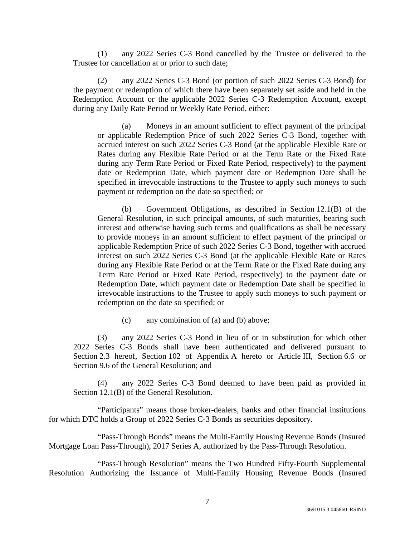(1) any 2022 Series C-3 Bond cancelled by the Trustee or delivered to the Trustee for cancellation at or prior to such date;

(2) any 2022 Series C-3 Bond (or portion of such 2022 Series C-3 Bond) for the payment or redemption of which there have been separately set aside and held in the Redemption Account or the applicable 2022 Series C-3 Redemption Account, except during any Daily Rate Period or Weekly Rate Period, either:

(a) Moneys in an amount sufficient to effect payment of the principal or applicable Redemption Price of such 2022 Series C-3 Bond, together with accrued interest on such 2022 Series C-3 Bond (at the applicable Flexible Rate or Rates during any Flexible Rate Period or at the Term Rate or the Fixed Rate during any Term Rate Period or Fixed Rate Period, respectively) to the payment date or Redemption Date, which payment date or Redemption Date shall be specified in irrevocable instructions to the Trustee to apply such moneys to such payment or redemption on the date so specified; or

(b) Government Obligations, as described in Section 12.1(B) of the General Resolution, in such principal amounts, of such maturities, bearing such interest and otherwise having such terms and qualifications as shall be necessary to provide moneys in an amount sufficient to effect payment of the principal or applicable Redemption Price of such 2022 Series C-3 Bond, together with accrued interest on such 2022 Series C-3 Bond (at the applicable Flexible Rate or Rates during any Flexible Rate Period or at the Term Rate or the Fixed Rate during any Term Rate Period or Fixed Rate Period, respectively) to the payment date or Redemption Date, which payment date or Redemption Date shall be specified in irrevocable instructions to the Trustee to apply such moneys to such payment or redemption on the date so specified; or

(c) any combination of (a) and (b) above;

(3) any 2022 Series C-3 Bond in lieu of or in substitution for which other 2022 Series C-3 Bonds shall have been authenticated and delivered pursuant to Section 2.3 hereof, Section 102 of Appendix A hereto or Article III, Section 6.6 or Section 9.6 of the General Resolution; and

(4) any 2022 Series C-3 Bond deemed to have been paid as provided in Section 12.1(B) of the General Resolution.

"Participants" means those broker-dealers, banks and other financial institutions for which DTC holds a Group of 2022 Series C-3 Bonds as securities depository.

"Pass-Through Bonds" means the Multi-Family Housing Revenue Bonds (Insured Mortgage Loan Pass-Through), 2017 Series A, authorized by the Pass-Through Resolution.

"Pass-Through Resolution" means the Two Hundred Fifty-Fourth Supplemental Resolution Authorizing the Issuance of Multi-Family Housing Revenue Bonds (Insured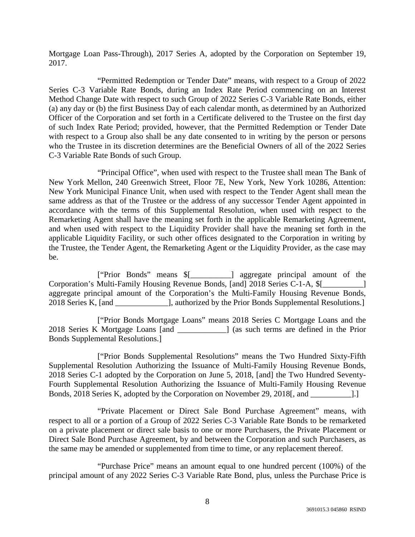Mortgage Loan Pass-Through), 2017 Series A, adopted by the Corporation on September 19, 2017.

"Permitted Redemption or Tender Date" means, with respect to a Group of 2022 Series C-3 Variable Rate Bonds, during an Index Rate Period commencing on an Interest Method Change Date with respect to such Group of 2022 Series C-3 Variable Rate Bonds, either (a) any day or (b) the first Business Day of each calendar month, as determined by an Authorized Officer of the Corporation and set forth in a Certificate delivered to the Trustee on the first day of such Index Rate Period; provided, however, that the Permitted Redemption or Tender Date with respect to a Group also shall be any date consented to in writing by the person or persons who the Trustee in its discretion determines are the Beneficial Owners of all of the 2022 Series C-3 Variable Rate Bonds of such Group.

"Principal Office", when used with respect to the Trustee shall mean The Bank of New York Mellon, 240 Greenwich Street, Floor 7E, New York, New York 10286, Attention: New York Municipal Finance Unit, when used with respect to the Tender Agent shall mean the same address as that of the Trustee or the address of any successor Tender Agent appointed in accordance with the terms of this Supplemental Resolution, when used with respect to the Remarketing Agent shall have the meaning set forth in the applicable Remarketing Agreement, and when used with respect to the Liquidity Provider shall have the meaning set forth in the applicable Liquidity Facility, or such other offices designated to the Corporation in writing by the Trustee, the Tender Agent, the Remarketing Agent or the Liquidity Provider, as the case may be.

["Prior Bonds" means \$[\_\_\_\_\_\_\_\_\_\_] aggregate principal amount of the Corporation's Multi-Family Housing Revenue Bonds, [and] 2018 Series C-1-A, \$[ aggregate principal amount of the Corporation's the Multi-Family Housing Revenue Bonds, 2018 Series K, [and  $\qquad$ ], authorized by the Prior Bonds Supplemental Resolutions.]

["Prior Bonds Mortgage Loans" means 2018 Series C Mortgage Loans and the 2018 Series K Mortgage Loans [and \_\_\_\_\_\_\_\_\_\_\_\_] (as such terms are defined in the Prior Bonds Supplemental Resolutions.]

["Prior Bonds Supplemental Resolutions" means the Two Hundred Sixty-Fifth Supplemental Resolution Authorizing the Issuance of Multi-Family Housing Revenue Bonds, 2018 Series C-1 adopted by the Corporation on June 5, 2018, [and] the Two Hundred Seventy-Fourth Supplemental Resolution Authorizing the Issuance of Multi-Family Housing Revenue Bonds, 2018 Series K, adopted by the Corporation on November 29, 2018[, and \_\_\_\_\_\_\_\_\_\_].]

"Private Placement or Direct Sale Bond Purchase Agreement" means, with respect to all or a portion of a Group of 2022 Series C-3 Variable Rate Bonds to be remarketed on a private placement or direct sale basis to one or more Purchasers, the Private Placement or Direct Sale Bond Purchase Agreement, by and between the Corporation and such Purchasers, as the same may be amended or supplemented from time to time, or any replacement thereof.

"Purchase Price" means an amount equal to one hundred percent (100%) of the principal amount of any 2022 Series C-3 Variable Rate Bond, plus, unless the Purchase Price is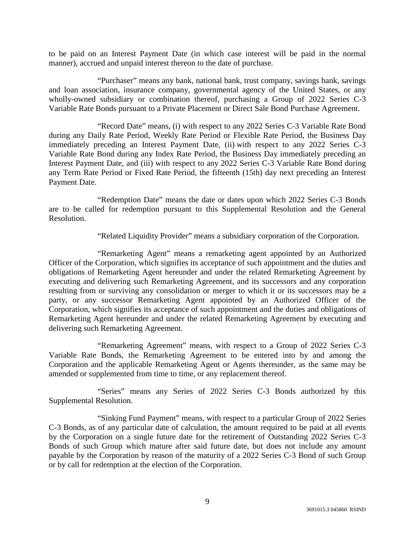to be paid on an Interest Payment Date (in which case interest will be paid in the normal manner), accrued and unpaid interest thereon to the date of purchase.

"Purchaser" means any bank, national bank, trust company, savings bank, savings and loan association, insurance company, governmental agency of the United States, or any wholly-owned subsidiary or combination thereof, purchasing a Group of 2022 Series C-3 Variable Rate Bonds pursuant to a Private Placement or Direct Sale Bond Purchase Agreement.

"Record Date" means, (i) with respect to any 2022 Series C-3 Variable Rate Bond during any Daily Rate Period, Weekly Rate Period or Flexible Rate Period, the Business Day immediately preceding an Interest Payment Date, (ii) with respect to any 2022 Series C-3 Variable Rate Bond during any Index Rate Period, the Business Day immediately preceding an Interest Payment Date, and (iii) with respect to any 2022 Series C-3 Variable Rate Bond during any Term Rate Period or Fixed Rate Period, the fifteenth (15th) day next preceding an Interest Payment Date.

"Redemption Date" means the date or dates upon which 2022 Series C-3 Bonds are to be called for redemption pursuant to this Supplemental Resolution and the General Resolution.

"Related Liquidity Provider" means a subsidiary corporation of the Corporation.

"Remarketing Agent" means a remarketing agent appointed by an Authorized Officer of the Corporation, which signifies its acceptance of such appointment and the duties and obligations of Remarketing Agent hereunder and under the related Remarketing Agreement by executing and delivering such Remarketing Agreement, and its successors and any corporation resulting from or surviving any consolidation or merger to which it or its successors may be a party, or any successor Remarketing Agent appointed by an Authorized Officer of the Corporation, which signifies its acceptance of such appointment and the duties and obligations of Remarketing Agent hereunder and under the related Remarketing Agreement by executing and delivering such Remarketing Agreement.

"Remarketing Agreement" means, with respect to a Group of 2022 Series C-3 Variable Rate Bonds, the Remarketing Agreement to be entered into by and among the Corporation and the applicable Remarketing Agent or Agents thereunder, as the same may be amended or supplemented from time to time, or any replacement thereof.

"Series" means any Series of 2022 Series C-3 Bonds authorized by this Supplemental Resolution.

"Sinking Fund Payment" means, with respect to a particular Group of 2022 Series C-3 Bonds, as of any particular date of calculation, the amount required to be paid at all events by the Corporation on a single future date for the retirement of Outstanding 2022 Series C-3 Bonds of such Group which mature after said future date, but does not include any amount payable by the Corporation by reason of the maturity of a 2022 Series C-3 Bond of such Group or by call for redemption at the election of the Corporation.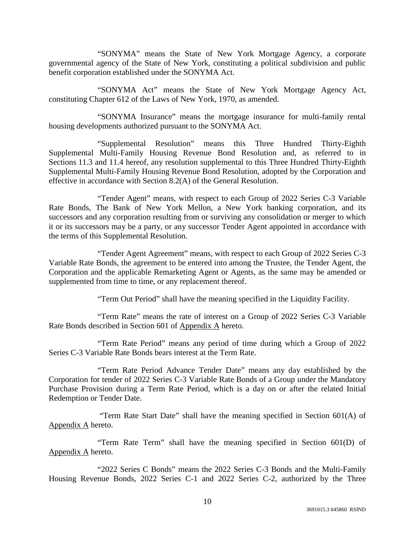"SONYMA" means the State of New York Mortgage Agency, a corporate governmental agency of the State of New York, constituting a political subdivision and public benefit corporation established under the SONYMA Act.

"SONYMA Act" means the State of New York Mortgage Agency Act, constituting Chapter 612 of the Laws of New York, 1970, as amended.

"SONYMA Insurance" means the mortgage insurance for multi-family rental housing developments authorized pursuant to the SONYMA Act.

"Supplemental Resolution" means this Three Hundred Thirty-Eighth Supplemental Multi-Family Housing Revenue Bond Resolution and, as referred to in Sections 11.3 and 11.4 hereof, any resolution supplemental to this Three Hundred Thirty-Eighth Supplemental Multi-Family Housing Revenue Bond Resolution, adopted by the Corporation and effective in accordance with Section 8.2(A) of the General Resolution.

"Tender Agent" means, with respect to each Group of 2022 Series C-3 Variable Rate Bonds, The Bank of New York Mellon, a New York banking corporation, and its successors and any corporation resulting from or surviving any consolidation or merger to which it or its successors may be a party, or any successor Tender Agent appointed in accordance with the terms of this Supplemental Resolution.

"Tender Agent Agreement" means, with respect to each Group of 2022 Series C-3 Variable Rate Bonds, the agreement to be entered into among the Trustee, the Tender Agent, the Corporation and the applicable Remarketing Agent or Agents, as the same may be amended or supplemented from time to time, or any replacement thereof.

"Term Out Period" shall have the meaning specified in the Liquidity Facility.

"Term Rate" means the rate of interest on a Group of 2022 Series C-3 Variable Rate Bonds described in Section 601 of Appendix A hereto.

"Term Rate Period" means any period of time during which a Group of 2022 Series C-3 Variable Rate Bonds bears interest at the Term Rate.

"Term Rate Period Advance Tender Date" means any day established by the Corporation for tender of 2022 Series C-3 Variable Rate Bonds of a Group under the Mandatory Purchase Provision during a Term Rate Period, which is a day on or after the related Initial Redemption or Tender Date.

 "Term Rate Start Date" shall have the meaning specified in Section 601(A) of Appendix A hereto.

"Term Rate Term" shall have the meaning specified in Section 601(D) of Appendix A hereto.

"2022 Series C Bonds" means the 2022 Series C-3 Bonds and the Multi-Family Housing Revenue Bonds, 2022 Series C-1 and 2022 Series C-2, authorized by the Three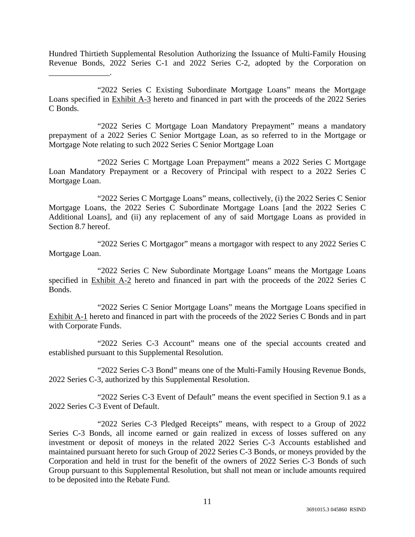Hundred Thirtieth Supplemental Resolution Authorizing the Issuance of Multi-Family Housing Revenue Bonds, 2022 Series C-1 and 2022 Series C-2, adopted by the Corporation on \_\_\_\_\_\_\_\_\_\_\_\_\_\_\_.

"2022 Series C Existing Subordinate Mortgage Loans" means the Mortgage Loans specified in Exhibit A-3 hereto and financed in part with the proceeds of the 2022 Series C Bonds.

"2022 Series C Mortgage Loan Mandatory Prepayment" means a mandatory prepayment of a 2022 Series C Senior Mortgage Loan, as so referred to in the Mortgage or Mortgage Note relating to such 2022 Series C Senior Mortgage Loan

"2022 Series C Mortgage Loan Prepayment" means a 2022 Series C Mortgage Loan Mandatory Prepayment or a Recovery of Principal with respect to a 2022 Series C Mortgage Loan.

"2022 Series C Mortgage Loans" means, collectively, (i) the 2022 Series C Senior Mortgage Loans, the 2022 Series C Subordinate Mortgage Loans [and the 2022 Series C Additional Loans], and (ii) any replacement of any of said Mortgage Loans as provided in Section 8.7 hereof.

"2022 Series C Mortgagor" means a mortgagor with respect to any 2022 Series C Mortgage Loan.

"2022 Series C New Subordinate Mortgage Loans" means the Mortgage Loans specified in Exhibit A-2 hereto and financed in part with the proceeds of the 2022 Series C Bonds.

"2022 Series C Senior Mortgage Loans" means the Mortgage Loans specified in Exhibit A-1 hereto and financed in part with the proceeds of the 2022 Series C Bonds and in part with Corporate Funds.

"2022 Series C-3 Account" means one of the special accounts created and established pursuant to this Supplemental Resolution.

"2022 Series C-3 Bond" means one of the Multi-Family Housing Revenue Bonds, 2022 Series C-3, authorized by this Supplemental Resolution.

"2022 Series C-3 Event of Default" means the event specified in Section 9.1 as a 2022 Series C-3 Event of Default.

"2022 Series C-3 Pledged Receipts" means, with respect to a Group of 2022 Series C-3 Bonds, all income earned or gain realized in excess of losses suffered on any investment or deposit of moneys in the related 2022 Series C-3 Accounts established and maintained pursuant hereto for such Group of 2022 Series C-3 Bonds, or moneys provided by the Corporation and held in trust for the benefit of the owners of 2022 Series C-3 Bonds of such Group pursuant to this Supplemental Resolution, but shall not mean or include amounts required to be deposited into the Rebate Fund.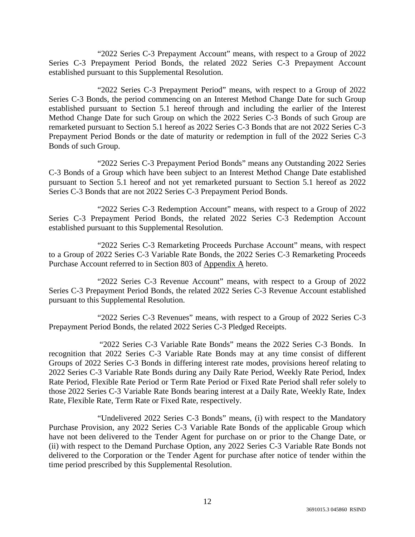"2022 Series C-3 Prepayment Account" means, with respect to a Group of 2022 Series C-3 Prepayment Period Bonds, the related 2022 Series C-3 Prepayment Account established pursuant to this Supplemental Resolution.

"2022 Series C-3 Prepayment Period" means, with respect to a Group of 2022 Series C-3 Bonds, the period commencing on an Interest Method Change Date for such Group established pursuant to Section 5.1 hereof through and including the earlier of the Interest Method Change Date for such Group on which the 2022 Series C-3 Bonds of such Group are remarketed pursuant to Section 5.1 hereof as 2022 Series C-3 Bonds that are not 2022 Series C-3 Prepayment Period Bonds or the date of maturity or redemption in full of the 2022 Series C-3 Bonds of such Group.

"2022 Series C-3 Prepayment Period Bonds" means any Outstanding 2022 Series C-3 Bonds of a Group which have been subject to an Interest Method Change Date established pursuant to Section 5.1 hereof and not yet remarketed pursuant to Section 5.1 hereof as 2022 Series C-3 Bonds that are not 2022 Series C-3 Prepayment Period Bonds.

"2022 Series C-3 Redemption Account" means, with respect to a Group of 2022 Series C-3 Prepayment Period Bonds, the related 2022 Series C-3 Redemption Account established pursuant to this Supplemental Resolution.

"2022 Series C-3 Remarketing Proceeds Purchase Account" means, with respect to a Group of 2022 Series C-3 Variable Rate Bonds, the 2022 Series C-3 Remarketing Proceeds Purchase Account referred to in Section 803 of Appendix A hereto.

"2022 Series C-3 Revenue Account" means, with respect to a Group of 2022 Series C-3 Prepayment Period Bonds, the related 2022 Series C-3 Revenue Account established pursuant to this Supplemental Resolution.

"2022 Series C-3 Revenues" means, with respect to a Group of 2022 Series C-3 Prepayment Period Bonds, the related 2022 Series C-3 Pledged Receipts.

 "2022 Series C-3 Variable Rate Bonds" means the 2022 Series C-3 Bonds. In recognition that 2022 Series C-3 Variable Rate Bonds may at any time consist of different Groups of 2022 Series C-3 Bonds in differing interest rate modes, provisions hereof relating to 2022 Series C-3 Variable Rate Bonds during any Daily Rate Period, Weekly Rate Period, Index Rate Period, Flexible Rate Period or Term Rate Period or Fixed Rate Period shall refer solely to those 2022 Series C-3 Variable Rate Bonds bearing interest at a Daily Rate, Weekly Rate, Index Rate, Flexible Rate, Term Rate or Fixed Rate, respectively.

"Undelivered 2022 Series C-3 Bonds" means, (i) with respect to the Mandatory Purchase Provision, any 2022 Series C-3 Variable Rate Bonds of the applicable Group which have not been delivered to the Tender Agent for purchase on or prior to the Change Date, or (ii) with respect to the Demand Purchase Option, any 2022 Series C-3 Variable Rate Bonds not delivered to the Corporation or the Tender Agent for purchase after notice of tender within the time period prescribed by this Supplemental Resolution.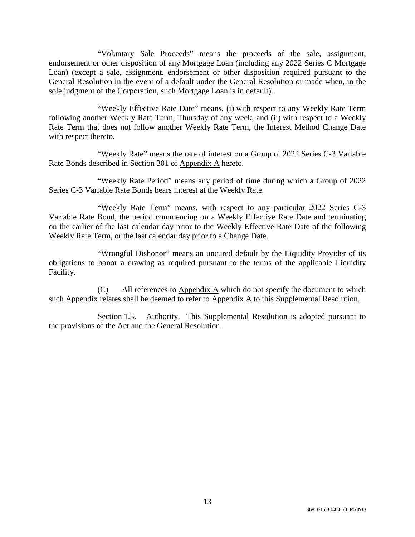"Voluntary Sale Proceeds" means the proceeds of the sale, assignment, endorsement or other disposition of any Mortgage Loan (including any 2022 Series C Mortgage Loan) (except a sale, assignment, endorsement or other disposition required pursuant to the General Resolution in the event of a default under the General Resolution or made when, in the sole judgment of the Corporation, such Mortgage Loan is in default).

"Weekly Effective Rate Date" means, (i) with respect to any Weekly Rate Term following another Weekly Rate Term, Thursday of any week, and (ii) with respect to a Weekly Rate Term that does not follow another Weekly Rate Term, the Interest Method Change Date with respect thereto.

"Weekly Rate" means the rate of interest on a Group of 2022 Series C-3 Variable Rate Bonds described in Section 301 of Appendix A hereto.

"Weekly Rate Period" means any period of time during which a Group of 2022 Series C-3 Variable Rate Bonds bears interest at the Weekly Rate.

"Weekly Rate Term" means, with respect to any particular 2022 Series C-3 Variable Rate Bond, the period commencing on a Weekly Effective Rate Date and terminating on the earlier of the last calendar day prior to the Weekly Effective Rate Date of the following Weekly Rate Term, or the last calendar day prior to a Change Date.

"Wrongful Dishonor" means an uncured default by the Liquidity Provider of its obligations to honor a drawing as required pursuant to the terms of the applicable Liquidity Facility.

(C) All references to  $\Delta$ ppendix  $\Delta$  which do not specify the document to which such Appendix relates shall be deemed to refer to  $\Delta$ ppendix  $\Delta$  to this Supplemental Resolution.

Section 1.3. Authority. This Supplemental Resolution is adopted pursuant to the provisions of the Act and the General Resolution.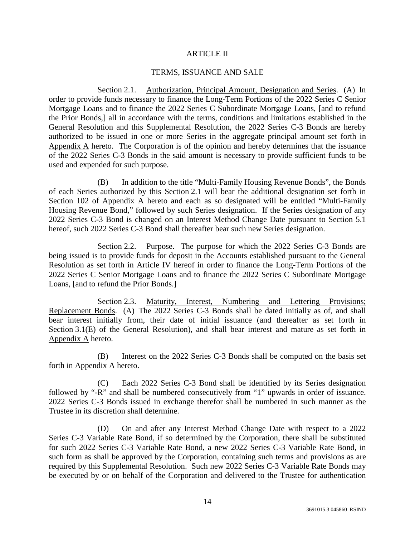### ARTICLE II

### TERMS, ISSUANCE AND SALE

Section 2.1. Authorization, Principal Amount, Designation and Series. (A) In order to provide funds necessary to finance the Long-Term Portions of the 2022 Series C Senior Mortgage Loans and to finance the 2022 Series C Subordinate Mortgage Loans, [and to refund the Prior Bonds,] all in accordance with the terms, conditions and limitations established in the General Resolution and this Supplemental Resolution, the 2022 Series C-3 Bonds are hereby authorized to be issued in one or more Series in the aggregate principal amount set forth in Appendix A hereto. The Corporation is of the opinion and hereby determines that the issuance of the 2022 Series C-3 Bonds in the said amount is necessary to provide sufficient funds to be used and expended for such purpose.

(B) In addition to the title "Multi-Family Housing Revenue Bonds", the Bonds of each Series authorized by this Section 2.1 will bear the additional designation set forth in Section 102 of Appendix A hereto and each as so designated will be entitled "Multi-Family Housing Revenue Bond," followed by such Series designation. If the Series designation of any 2022 Series C-3 Bond is changed on an Interest Method Change Date pursuant to Section 5.1 hereof, such 2022 Series C-3 Bond shall thereafter bear such new Series designation.

Section 2.2. Purpose. The purpose for which the 2022 Series C-3 Bonds are being issued is to provide funds for deposit in the Accounts established pursuant to the General Resolution as set forth in Article IV hereof in order to finance the Long-Term Portions of the 2022 Series C Senior Mortgage Loans and to finance the 2022 Series C Subordinate Mortgage Loans, [and to refund the Prior Bonds.]

Section 2.3. Maturity, Interest, Numbering and Lettering Provisions; Replacement Bonds. (A) The 2022 Series C-3 Bonds shall be dated initially as of, and shall bear interest initially from, their date of initial issuance (and thereafter as set forth in Section 3.1(E) of the General Resolution), and shall bear interest and mature as set forth in Appendix A hereto.

(B) Interest on the 2022 Series C-3 Bonds shall be computed on the basis set forth in Appendix A hereto.

(C) Each 2022 Series C-3 Bond shall be identified by its Series designation followed by "-R" and shall be numbered consecutively from "1" upwards in order of issuance. 2022 Series C-3 Bonds issued in exchange therefor shall be numbered in such manner as the Trustee in its discretion shall determine.

(D) On and after any Interest Method Change Date with respect to a 2022 Series C-3 Variable Rate Bond, if so determined by the Corporation, there shall be substituted for such 2022 Series C-3 Variable Rate Bond, a new 2022 Series C-3 Variable Rate Bond, in such form as shall be approved by the Corporation, containing such terms and provisions as are required by this Supplemental Resolution. Such new 2022 Series C-3 Variable Rate Bonds may be executed by or on behalf of the Corporation and delivered to the Trustee for authentication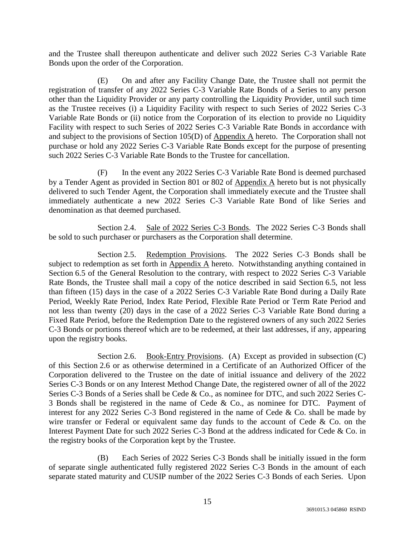and the Trustee shall thereupon authenticate and deliver such 2022 Series C-3 Variable Rate Bonds upon the order of the Corporation.

(E) On and after any Facility Change Date, the Trustee shall not permit the registration of transfer of any 2022 Series C-3 Variable Rate Bonds of a Series to any person other than the Liquidity Provider or any party controlling the Liquidity Provider, until such time as the Trustee receives (i) a Liquidity Facility with respect to such Series of 2022 Series C-3 Variable Rate Bonds or (ii) notice from the Corporation of its election to provide no Liquidity Facility with respect to such Series of 2022 Series C-3 Variable Rate Bonds in accordance with and subject to the provisions of Section  $105(D)$  of Appendix A hereto. The Corporation shall not purchase or hold any 2022 Series C-3 Variable Rate Bonds except for the purpose of presenting such 2022 Series C-3 Variable Rate Bonds to the Trustee for cancellation.

(F) In the event any 2022 Series C-3 Variable Rate Bond is deemed purchased by a Tender Agent as provided in Section 801 or 802 of Appendix A hereto but is not physically delivered to such Tender Agent, the Corporation shall immediately execute and the Trustee shall immediately authenticate a new 2022 Series C-3 Variable Rate Bond of like Series and denomination as that deemed purchased.

Section 2.4. Sale of 2022 Series C-3 Bonds. The 2022 Series C-3 Bonds shall be sold to such purchaser or purchasers as the Corporation shall determine.

Section 2.5. Redemption Provisions. The 2022 Series C-3 Bonds shall be subject to redemption as set forth in Appendix A hereto. Notwithstanding anything contained in Section 6.5 of the General Resolution to the contrary, with respect to 2022 Series C-3 Variable Rate Bonds, the Trustee shall mail a copy of the notice described in said Section 6.5, not less than fifteen (15) days in the case of a 2022 Series C-3 Variable Rate Bond during a Daily Rate Period, Weekly Rate Period, Index Rate Period, Flexible Rate Period or Term Rate Period and not less than twenty (20) days in the case of a 2022 Series C-3 Variable Rate Bond during a Fixed Rate Period, before the Redemption Date to the registered owners of any such 2022 Series C-3 Bonds or portions thereof which are to be redeemed, at their last addresses, if any, appearing upon the registry books.

Section 2.6. Book-Entry Provisions. (A) Except as provided in subsection (C) of this Section 2.6 or as otherwise determined in a Certificate of an Authorized Officer of the Corporation delivered to the Trustee on the date of initial issuance and delivery of the 2022 Series C-3 Bonds or on any Interest Method Change Date, the registered owner of all of the 2022 Series C-3 Bonds of a Series shall be Cede & Co., as nominee for DTC, and such 2022 Series C-3 Bonds shall be registered in the name of Cede & Co., as nominee for DTC. Payment of interest for any 2022 Series C-3 Bond registered in the name of Cede & Co. shall be made by wire transfer or Federal or equivalent same day funds to the account of Cede & Co. on the Interest Payment Date for such 2022 Series C-3 Bond at the address indicated for Cede & Co. in the registry books of the Corporation kept by the Trustee.

(B) Each Series of 2022 Series C-3 Bonds shall be initially issued in the form of separate single authenticated fully registered 2022 Series C-3 Bonds in the amount of each separate stated maturity and CUSIP number of the 2022 Series C-3 Bonds of each Series. Upon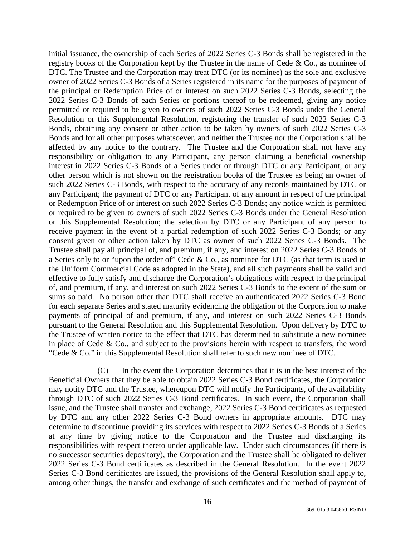initial issuance, the ownership of each Series of 2022 Series C-3 Bonds shall be registered in the registry books of the Corporation kept by the Trustee in the name of Cede & Co., as nominee of DTC. The Trustee and the Corporation may treat DTC (or its nominee) as the sole and exclusive owner of 2022 Series C-3 Bonds of a Series registered in its name for the purposes of payment of the principal or Redemption Price of or interest on such 2022 Series C-3 Bonds, selecting the 2022 Series C-3 Bonds of each Series or portions thereof to be redeemed, giving any notice permitted or required to be given to owners of such 2022 Series C-3 Bonds under the General Resolution or this Supplemental Resolution, registering the transfer of such 2022 Series C-3 Bonds, obtaining any consent or other action to be taken by owners of such 2022 Series C-3 Bonds and for all other purposes whatsoever, and neither the Trustee nor the Corporation shall be affected by any notice to the contrary. The Trustee and the Corporation shall not have any responsibility or obligation to any Participant, any person claiming a beneficial ownership interest in 2022 Series C-3 Bonds of a Series under or through DTC or any Participant, or any other person which is not shown on the registration books of the Trustee as being an owner of such 2022 Series C-3 Bonds, with respect to the accuracy of any records maintained by DTC or any Participant; the payment of DTC or any Participant of any amount in respect of the principal or Redemption Price of or interest on such 2022 Series C-3 Bonds; any notice which is permitted or required to be given to owners of such 2022 Series C-3 Bonds under the General Resolution or this Supplemental Resolution; the selection by DTC or any Participant of any person to receive payment in the event of a partial redemption of such 2022 Series C-3 Bonds; or any consent given or other action taken by DTC as owner of such 2022 Series C-3 Bonds. The Trustee shall pay all principal of, and premium, if any, and interest on 2022 Series C-3 Bonds of a Series only to or "upon the order of" Cede & Co., as nominee for DTC (as that term is used in the Uniform Commercial Code as adopted in the State), and all such payments shall be valid and effective to fully satisfy and discharge the Corporation's obligations with respect to the principal of, and premium, if any, and interest on such 2022 Series C-3 Bonds to the extent of the sum or sums so paid. No person other than DTC shall receive an authenticated 2022 Series C-3 Bond for each separate Series and stated maturity evidencing the obligation of the Corporation to make payments of principal of and premium, if any, and interest on such 2022 Series C-3 Bonds pursuant to the General Resolution and this Supplemental Resolution. Upon delivery by DTC to the Trustee of written notice to the effect that DTC has determined to substitute a new nominee in place of Cede & Co., and subject to the provisions herein with respect to transfers, the word "Cede & Co." in this Supplemental Resolution shall refer to such new nominee of DTC.

(C) In the event the Corporation determines that it is in the best interest of the Beneficial Owners that they be able to obtain 2022 Series C-3 Bond certificates, the Corporation may notify DTC and the Trustee, whereupon DTC will notify the Participants, of the availability through DTC of such 2022 Series C-3 Bond certificates. In such event, the Corporation shall issue, and the Trustee shall transfer and exchange, 2022 Series C-3 Bond certificates as requested by DTC and any other 2022 Series C-3 Bond owners in appropriate amounts. DTC may determine to discontinue providing its services with respect to 2022 Series C-3 Bonds of a Series at any time by giving notice to the Corporation and the Trustee and discharging its responsibilities with respect thereto under applicable law. Under such circumstances (if there is no successor securities depository), the Corporation and the Trustee shall be obligated to deliver 2022 Series C-3 Bond certificates as described in the General Resolution. In the event 2022 Series C-3 Bond certificates are issued, the provisions of the General Resolution shall apply to, among other things, the transfer and exchange of such certificates and the method of payment of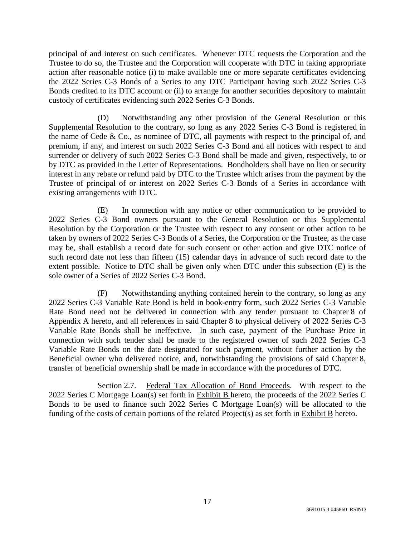principal of and interest on such certificates. Whenever DTC requests the Corporation and the Trustee to do so, the Trustee and the Corporation will cooperate with DTC in taking appropriate action after reasonable notice (i) to make available one or more separate certificates evidencing the 2022 Series C-3 Bonds of a Series to any DTC Participant having such 2022 Series C-3 Bonds credited to its DTC account or (ii) to arrange for another securities depository to maintain custody of certificates evidencing such 2022 Series C-3 Bonds.

(D) Notwithstanding any other provision of the General Resolution or this Supplemental Resolution to the contrary, so long as any 2022 Series C-3 Bond is registered in the name of Cede  $\&$  Co., as nominee of DTC, all payments with respect to the principal of, and premium, if any, and interest on such 2022 Series C-3 Bond and all notices with respect to and surrender or delivery of such 2022 Series C-3 Bond shall be made and given, respectively, to or by DTC as provided in the Letter of Representations. Bondholders shall have no lien or security interest in any rebate or refund paid by DTC to the Trustee which arises from the payment by the Trustee of principal of or interest on 2022 Series C-3 Bonds of a Series in accordance with existing arrangements with DTC.

(E) In connection with any notice or other communication to be provided to 2022 Series C-3 Bond owners pursuant to the General Resolution or this Supplemental Resolution by the Corporation or the Trustee with respect to any consent or other action to be taken by owners of 2022 Series C-3 Bonds of a Series, the Corporation or the Trustee, as the case may be, shall establish a record date for such consent or other action and give DTC notice of such record date not less than fifteen (15) calendar days in advance of such record date to the extent possible. Notice to DTC shall be given only when DTC under this subsection (E) is the sole owner of a Series of 2022 Series C-3 Bond.

(F) Notwithstanding anything contained herein to the contrary, so long as any 2022 Series C-3 Variable Rate Bond is held in book-entry form, such 2022 Series C-3 Variable Rate Bond need not be delivered in connection with any tender pursuant to Chapter 8 of Appendix A hereto, and all references in said Chapter 8 to physical delivery of 2022 Series C-3 Variable Rate Bonds shall be ineffective. In such case, payment of the Purchase Price in connection with such tender shall be made to the registered owner of such 2022 Series C-3 Variable Rate Bonds on the date designated for such payment, without further action by the Beneficial owner who delivered notice, and, notwithstanding the provisions of said Chapter 8, transfer of beneficial ownership shall be made in accordance with the procedures of DTC.

Section 2.7. Federal Tax Allocation of Bond Proceeds. With respect to the 2022 Series C Mortgage Loan(s) set forth in Exhibit B hereto, the proceeds of the 2022 Series C Bonds to be used to finance such 2022 Series C Mortgage Loan(s) will be allocated to the funding of the costs of certain portions of the related  $Project(s)$  as set forth in Exhibit  $B$  hereto.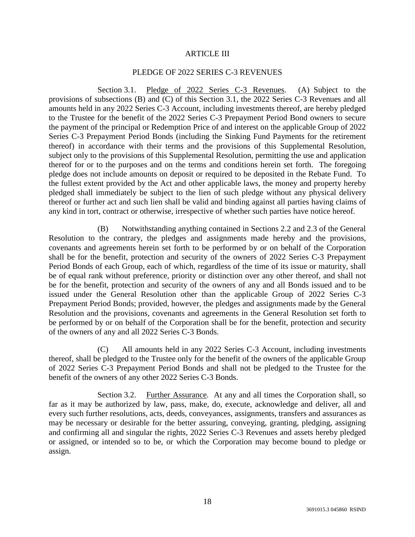### ARTICLE III

### PLEDGE OF 2022 SERIES C-3 REVENUES

Section 3.1. Pledge of 2022 Series C-3 Revenues. (A) Subject to the provisions of subsections (B) and (C) of this Section 3.1, the 2022 Series C-3 Revenues and all amounts held in any 2022 Series C-3 Account, including investments thereof, are hereby pledged to the Trustee for the benefit of the 2022 Series C-3 Prepayment Period Bond owners to secure the payment of the principal or Redemption Price of and interest on the applicable Group of 2022 Series C-3 Prepayment Period Bonds (including the Sinking Fund Payments for the retirement thereof) in accordance with their terms and the provisions of this Supplemental Resolution, subject only to the provisions of this Supplemental Resolution, permitting the use and application thereof for or to the purposes and on the terms and conditions herein set forth. The foregoing pledge does not include amounts on deposit or required to be deposited in the Rebate Fund. To the fullest extent provided by the Act and other applicable laws, the money and property hereby pledged shall immediately be subject to the lien of such pledge without any physical delivery thereof or further act and such lien shall be valid and binding against all parties having claims of any kind in tort, contract or otherwise, irrespective of whether such parties have notice hereof.

(B) Notwithstanding anything contained in Sections 2.2 and 2.3 of the General Resolution to the contrary, the pledges and assignments made hereby and the provisions, covenants and agreements herein set forth to be performed by or on behalf of the Corporation shall be for the benefit, protection and security of the owners of 2022 Series C-3 Prepayment Period Bonds of each Group, each of which, regardless of the time of its issue or maturity, shall be of equal rank without preference, priority or distinction over any other thereof, and shall not be for the benefit, protection and security of the owners of any and all Bonds issued and to be issued under the General Resolution other than the applicable Group of 2022 Series C-3 Prepayment Period Bonds; provided, however, the pledges and assignments made by the General Resolution and the provisions, covenants and agreements in the General Resolution set forth to be performed by or on behalf of the Corporation shall be for the benefit, protection and security of the owners of any and all 2022 Series C-3 Bonds.

(C) All amounts held in any 2022 Series C-3 Account, including investments thereof, shall be pledged to the Trustee only for the benefit of the owners of the applicable Group of 2022 Series C-3 Prepayment Period Bonds and shall not be pledged to the Trustee for the benefit of the owners of any other 2022 Series C-3 Bonds.

Section 3.2. Further Assurance. At any and all times the Corporation shall, so far as it may be authorized by law, pass, make, do, execute, acknowledge and deliver, all and every such further resolutions, acts, deeds, conveyances, assignments, transfers and assurances as may be necessary or desirable for the better assuring, conveying, granting, pledging, assigning and confirming all and singular the rights, 2022 Series C-3 Revenues and assets hereby pledged or assigned, or intended so to be, or which the Corporation may become bound to pledge or assign.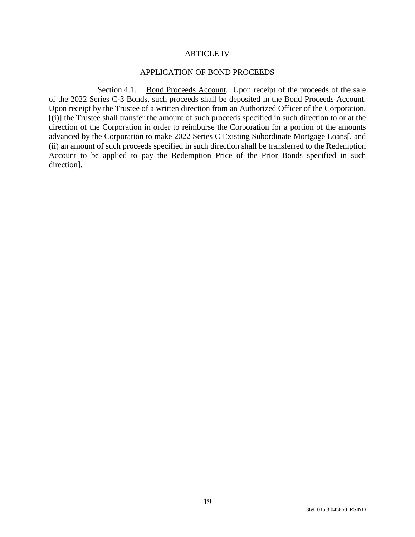#### ARTICLE IV

### APPLICATION OF BOND PROCEEDS

Section 4.1. Bond Proceeds Account. Upon receipt of the proceeds of the sale of the 2022 Series C-3 Bonds, such proceeds shall be deposited in the Bond Proceeds Account. Upon receipt by the Trustee of a written direction from an Authorized Officer of the Corporation, [(i)] the Trustee shall transfer the amount of such proceeds specified in such direction to or at the direction of the Corporation in order to reimburse the Corporation for a portion of the amounts advanced by the Corporation to make 2022 Series C Existing Subordinate Mortgage Loans[, and (ii) an amount of such proceeds specified in such direction shall be transferred to the Redemption Account to be applied to pay the Redemption Price of the Prior Bonds specified in such direction].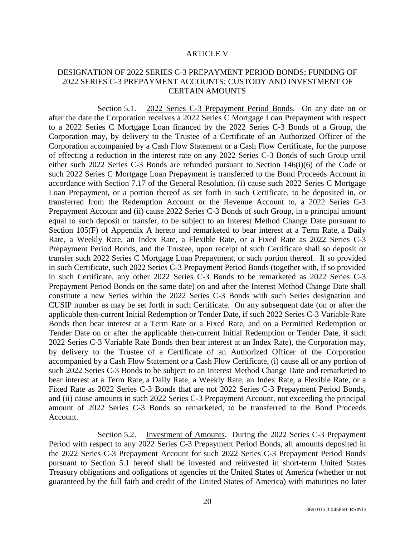#### ARTICLE V

## DESIGNATION OF 2022 SERIES C-3 PREPAYMENT PERIOD BONDS; FUNDING OF 2022 SERIES C-3 PREPAYMENT ACCOUNTS; CUSTODY AND INVESTMENT OF CERTAIN AMOUNTS

Section 5.1. 2022 Series C-3 Prepayment Period Bonds. On any date on or after the date the Corporation receives a 2022 Series C Mortgage Loan Prepayment with respect to a 2022 Series C Mortgage Loan financed by the 2022 Series C-3 Bonds of a Group, the Corporation may, by delivery to the Trustee of a Certificate of an Authorized Officer of the Corporation accompanied by a Cash Flow Statement or a Cash Flow Certificate, for the purpose of effecting a reduction in the interest rate on any 2022 Series C-3 Bonds of such Group until either such 2022 Series C-3 Bonds are refunded pursuant to Section 146(i)(6) of the Code or such 2022 Series C Mortgage Loan Prepayment is transferred to the Bond Proceeds Account in accordance with Section 7.17 of the General Resolution, (i) cause such 2022 Series C Mortgage Loan Prepayment, or a portion thereof as set forth in such Certificate, to be deposited in, or transferred from the Redemption Account or the Revenue Account to, a 2022 Series C-3 Prepayment Account and (ii) cause 2022 Series C-3 Bonds of such Group, in a principal amount equal to such deposit or transfer, to be subject to an Interest Method Change Date pursuant to Section 105(F) of Appendix A hereto and remarketed to bear interest at a Term Rate, a Daily Rate, a Weekly Rate, an Index Rate, a Flexible Rate, or a Fixed Rate as 2022 Series C-3 Prepayment Period Bonds, and the Trustee, upon receipt of such Certificate shall so deposit or transfer such 2022 Series C Mortgage Loan Prepayment, or such portion thereof. If so provided in such Certificate, such 2022 Series C-3 Prepayment Period Bonds (together with, if so provided in such Certificate, any other 2022 Series C-3 Bonds to be remarketed as 2022 Series C-3 Prepayment Period Bonds on the same date) on and after the Interest Method Change Date shall constitute a new Series within the 2022 Series C-3 Bonds with such Series designation and CUSIP number as may be set forth in such Certificate. On any subsequent date (on or after the applicable then-current Initial Redemption or Tender Date, if such 2022 Series C-3 Variable Rate Bonds then bear interest at a Term Rate or a Fixed Rate, and on a Permitted Redemption or Tender Date on or after the applicable then-current Initial Redemption or Tender Date, if such 2022 Series C-3 Variable Rate Bonds then bear interest at an Index Rate), the Corporation may, by delivery to the Trustee of a Certificate of an Authorized Officer of the Corporation accompanied by a Cash Flow Statement or a Cash Flow Certificate, (i) cause all or any portion of such 2022 Series C-3 Bonds to be subject to an Interest Method Change Date and remarketed to bear interest at a Term Rate, a Daily Rate, a Weekly Rate, an Index Rate, a Flexible Rate, or a Fixed Rate as 2022 Series C-3 Bonds that are not 2022 Series C-3 Prepayment Period Bonds, and (ii) cause amounts in such 2022 Series C-3 Prepayment Account, not exceeding the principal amount of 2022 Series C-3 Bonds so remarketed, to be transferred to the Bond Proceeds Account.

Section 5.2. Investment of Amounts. During the 2022 Series C-3 Prepayment Period with respect to any 2022 Series C-3 Prepayment Period Bonds, all amounts deposited in the 2022 Series C-3 Prepayment Account for such 2022 Series C-3 Prepayment Period Bonds pursuant to Section 5.1 hereof shall be invested and reinvested in short-term United States Treasury obligations and obligations of agencies of the United States of America (whether or not guaranteed by the full faith and credit of the United States of America) with maturities no later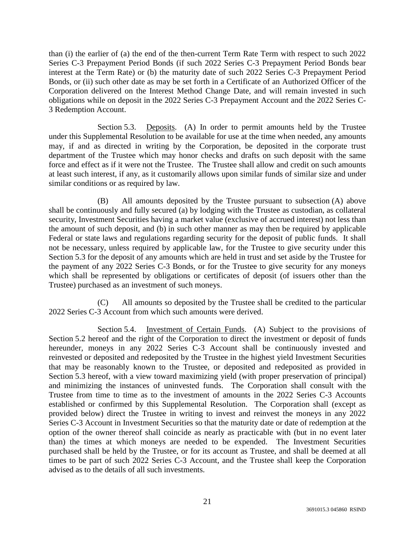than (i) the earlier of (a) the end of the then-current Term Rate Term with respect to such 2022 Series C-3 Prepayment Period Bonds (if such 2022 Series C-3 Prepayment Period Bonds bear interest at the Term Rate) or (b) the maturity date of such 2022 Series C-3 Prepayment Period Bonds, or (ii) such other date as may be set forth in a Certificate of an Authorized Officer of the Corporation delivered on the Interest Method Change Date, and will remain invested in such obligations while on deposit in the 2022 Series C-3 Prepayment Account and the 2022 Series C-3 Redemption Account.

Section 5.3. Deposits. (A) In order to permit amounts held by the Trustee under this Supplemental Resolution to be available for use at the time when needed, any amounts may, if and as directed in writing by the Corporation, be deposited in the corporate trust department of the Trustee which may honor checks and drafts on such deposit with the same force and effect as if it were not the Trustee. The Trustee shall allow and credit on such amounts at least such interest, if any, as it customarily allows upon similar funds of similar size and under similar conditions or as required by law.

(B) All amounts deposited by the Trustee pursuant to subsection (A) above shall be continuously and fully secured (a) by lodging with the Trustee as custodian, as collateral security, Investment Securities having a market value (exclusive of accrued interest) not less than the amount of such deposit, and (b) in such other manner as may then be required by applicable Federal or state laws and regulations regarding security for the deposit of public funds. It shall not be necessary, unless required by applicable law, for the Trustee to give security under this Section 5.3 for the deposit of any amounts which are held in trust and set aside by the Trustee for the payment of any 2022 Series C-3 Bonds, or for the Trustee to give security for any moneys which shall be represented by obligations or certificates of deposit (of issuers other than the Trustee) purchased as an investment of such moneys.

(C) All amounts so deposited by the Trustee shall be credited to the particular 2022 Series C-3 Account from which such amounts were derived.

Section 5.4. Investment of Certain Funds. (A) Subject to the provisions of Section 5.2 hereof and the right of the Corporation to direct the investment or deposit of funds hereunder, moneys in any 2022 Series C-3 Account shall be continuously invested and reinvested or deposited and redeposited by the Trustee in the highest yield Investment Securities that may be reasonably known to the Trustee, or deposited and redeposited as provided in Section 5.3 hereof, with a view toward maximizing yield (with proper preservation of principal) and minimizing the instances of uninvested funds. The Corporation shall consult with the Trustee from time to time as to the investment of amounts in the 2022 Series C-3 Accounts established or confirmed by this Supplemental Resolution. The Corporation shall (except as provided below) direct the Trustee in writing to invest and reinvest the moneys in any 2022 Series C-3 Account in Investment Securities so that the maturity date or date of redemption at the option of the owner thereof shall coincide as nearly as practicable with (but in no event later than) the times at which moneys are needed to be expended. The Investment Securities purchased shall be held by the Trustee, or for its account as Trustee, and shall be deemed at all times to be part of such 2022 Series C-3 Account, and the Trustee shall keep the Corporation advised as to the details of all such investments.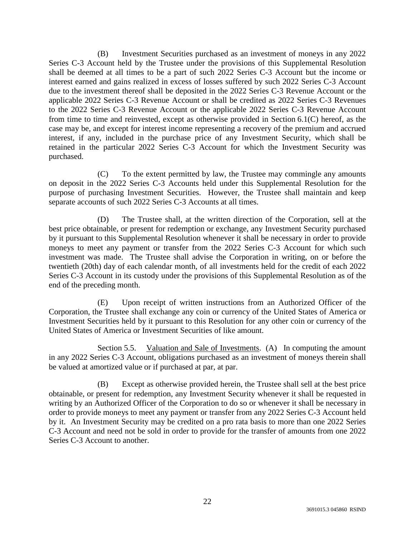(B) Investment Securities purchased as an investment of moneys in any 2022 Series C-3 Account held by the Trustee under the provisions of this Supplemental Resolution shall be deemed at all times to be a part of such 2022 Series C-3 Account but the income or interest earned and gains realized in excess of losses suffered by such 2022 Series C-3 Account due to the investment thereof shall be deposited in the 2022 Series C-3 Revenue Account or the applicable 2022 Series C-3 Revenue Account or shall be credited as 2022 Series C-3 Revenues to the 2022 Series C-3 Revenue Account or the applicable 2022 Series C-3 Revenue Account from time to time and reinvested, except as otherwise provided in Section 6.1(C) hereof, as the case may be, and except for interest income representing a recovery of the premium and accrued interest, if any, included in the purchase price of any Investment Security, which shall be retained in the particular 2022 Series C-3 Account for which the Investment Security was purchased.

(C) To the extent permitted by law, the Trustee may commingle any amounts on deposit in the 2022 Series C-3 Accounts held under this Supplemental Resolution for the purpose of purchasing Investment Securities. However, the Trustee shall maintain and keep separate accounts of such 2022 Series C-3 Accounts at all times.

(D) The Trustee shall, at the written direction of the Corporation, sell at the best price obtainable, or present for redemption or exchange, any Investment Security purchased by it pursuant to this Supplemental Resolution whenever it shall be necessary in order to provide moneys to meet any payment or transfer from the 2022 Series C-3 Account for which such investment was made. The Trustee shall advise the Corporation in writing, on or before the twentieth (20th) day of each calendar month, of all investments held for the credit of each 2022 Series C-3 Account in its custody under the provisions of this Supplemental Resolution as of the end of the preceding month.

(E) Upon receipt of written instructions from an Authorized Officer of the Corporation, the Trustee shall exchange any coin or currency of the United States of America or Investment Securities held by it pursuant to this Resolution for any other coin or currency of the United States of America or Investment Securities of like amount.

Section 5.5. Valuation and Sale of Investments. (A) In computing the amount in any 2022 Series C-3 Account, obligations purchased as an investment of moneys therein shall be valued at amortized value or if purchased at par, at par.

(B) Except as otherwise provided herein, the Trustee shall sell at the best price obtainable, or present for redemption, any Investment Security whenever it shall be requested in writing by an Authorized Officer of the Corporation to do so or whenever it shall be necessary in order to provide moneys to meet any payment or transfer from any 2022 Series C-3 Account held by it. An Investment Security may be credited on a pro rata basis to more than one 2022 Series C-3 Account and need not be sold in order to provide for the transfer of amounts from one 2022 Series C-3 Account to another.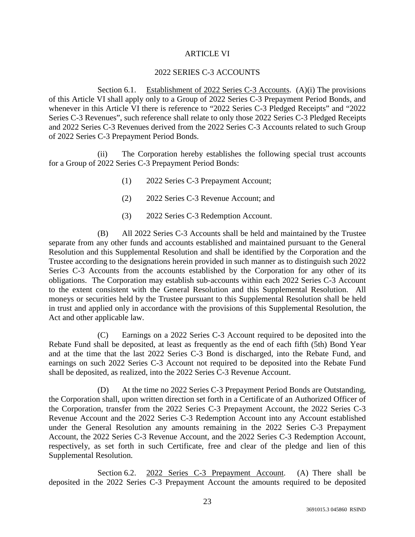## ARTICLE VI

### 2022 SERIES C-3 ACCOUNTS

Section 6.1. Establishment of 2022 Series C-3 Accounts. (A)(i) The provisions of this Article VI shall apply only to a Group of 2022 Series C-3 Prepayment Period Bonds, and whenever in this Article VI there is reference to "2022 Series C-3 Pledged Receipts" and "2022 Series C-3 Revenues", such reference shall relate to only those 2022 Series C-3 Pledged Receipts and 2022 Series C-3 Revenues derived from the 2022 Series C-3 Accounts related to such Group of 2022 Series C-3 Prepayment Period Bonds.

(ii) The Corporation hereby establishes the following special trust accounts for a Group of 2022 Series C-3 Prepayment Period Bonds:

- (1) 2022 Series C-3 Prepayment Account;
- (2) 2022 Series C-3 Revenue Account; and
- (3) 2022 Series C-3 Redemption Account.

(B) All 2022 Series C-3 Accounts shall be held and maintained by the Trustee separate from any other funds and accounts established and maintained pursuant to the General Resolution and this Supplemental Resolution and shall be identified by the Corporation and the Trustee according to the designations herein provided in such manner as to distinguish such 2022 Series C-3 Accounts from the accounts established by the Corporation for any other of its obligations. The Corporation may establish sub-accounts within each 2022 Series C-3 Account to the extent consistent with the General Resolution and this Supplemental Resolution. All moneys or securities held by the Trustee pursuant to this Supplemental Resolution shall be held in trust and applied only in accordance with the provisions of this Supplemental Resolution, the Act and other applicable law.

(C) Earnings on a 2022 Series C-3 Account required to be deposited into the Rebate Fund shall be deposited, at least as frequently as the end of each fifth (5th) Bond Year and at the time that the last 2022 Series C-3 Bond is discharged, into the Rebate Fund, and earnings on such 2022 Series C-3 Account not required to be deposited into the Rebate Fund shall be deposited, as realized, into the 2022 Series C-3 Revenue Account.

(D) At the time no 2022 Series C-3 Prepayment Period Bonds are Outstanding, the Corporation shall, upon written direction set forth in a Certificate of an Authorized Officer of the Corporation, transfer from the 2022 Series C-3 Prepayment Account, the 2022 Series C-3 Revenue Account and the 2022 Series C-3 Redemption Account into any Account established under the General Resolution any amounts remaining in the 2022 Series C-3 Prepayment Account, the 2022 Series C-3 Revenue Account, and the 2022 Series C-3 Redemption Account, respectively, as set forth in such Certificate, free and clear of the pledge and lien of this Supplemental Resolution.

Section 6.2. 2022 Series C-3 Prepayment Account. (A) There shall be deposited in the 2022 Series C-3 Prepayment Account the amounts required to be deposited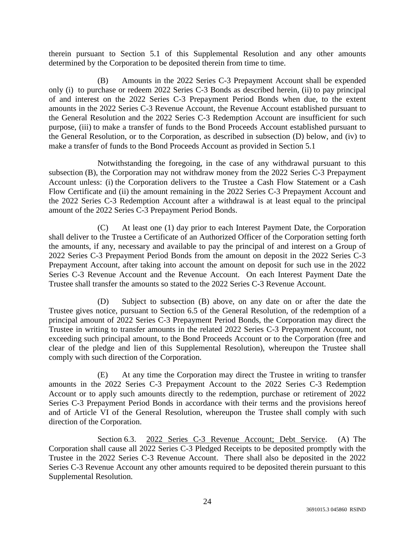therein pursuant to Section 5.1 of this Supplemental Resolution and any other amounts determined by the Corporation to be deposited therein from time to time.

(B) Amounts in the 2022 Series C-3 Prepayment Account shall be expended only (i) to purchase or redeem 2022 Series C-3 Bonds as described herein, (ii) to pay principal of and interest on the 2022 Series C-3 Prepayment Period Bonds when due, to the extent amounts in the 2022 Series C-3 Revenue Account, the Revenue Account established pursuant to the General Resolution and the 2022 Series C-3 Redemption Account are insufficient for such purpose, (iii) to make a transfer of funds to the Bond Proceeds Account established pursuant to the General Resolution, or to the Corporation, as described in subsection (D) below, and (iv) to make a transfer of funds to the Bond Proceeds Account as provided in Section 5.1

Notwithstanding the foregoing, in the case of any withdrawal pursuant to this subsection (B), the Corporation may not withdraw money from the 2022 Series C-3 Prepayment Account unless: (i) the Corporation delivers to the Trustee a Cash Flow Statement or a Cash Flow Certificate and (ii) the amount remaining in the 2022 Series C-3 Prepayment Account and the 2022 Series C-3 Redemption Account after a withdrawal is at least equal to the principal amount of the 2022 Series C-3 Prepayment Period Bonds.

(C) At least one (1) day prior to each Interest Payment Date, the Corporation shall deliver to the Trustee a Certificate of an Authorized Officer of the Corporation setting forth the amounts, if any, necessary and available to pay the principal of and interest on a Group of 2022 Series C-3 Prepayment Period Bonds from the amount on deposit in the 2022 Series C-3 Prepayment Account, after taking into account the amount on deposit for such use in the 2022 Series C-3 Revenue Account and the Revenue Account. On each Interest Payment Date the Trustee shall transfer the amounts so stated to the 2022 Series C-3 Revenue Account.

(D) Subject to subsection (B) above, on any date on or after the date the Trustee gives notice, pursuant to Section 6.5 of the General Resolution, of the redemption of a principal amount of 2022 Series C-3 Prepayment Period Bonds, the Corporation may direct the Trustee in writing to transfer amounts in the related 2022 Series C-3 Prepayment Account, not exceeding such principal amount, to the Bond Proceeds Account or to the Corporation (free and clear of the pledge and lien of this Supplemental Resolution), whereupon the Trustee shall comply with such direction of the Corporation.

(E) At any time the Corporation may direct the Trustee in writing to transfer amounts in the 2022 Series C-3 Prepayment Account to the 2022 Series C-3 Redemption Account or to apply such amounts directly to the redemption, purchase or retirement of 2022 Series C-3 Prepayment Period Bonds in accordance with their terms and the provisions hereof and of Article VI of the General Resolution, whereupon the Trustee shall comply with such direction of the Corporation.

Section 6.3. 2022 Series C-3 Revenue Account; Debt Service. (A) The Corporation shall cause all 2022 Series C-3 Pledged Receipts to be deposited promptly with the Trustee in the 2022 Series C-3 Revenue Account. There shall also be deposited in the 2022 Series C-3 Revenue Account any other amounts required to be deposited therein pursuant to this Supplemental Resolution.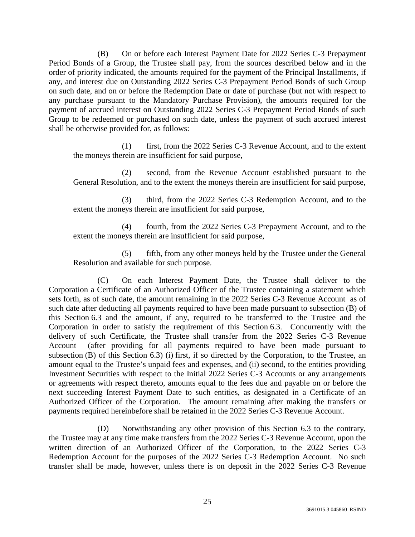(B) On or before each Interest Payment Date for 2022 Series C-3 Prepayment Period Bonds of a Group, the Trustee shall pay, from the sources described below and in the order of priority indicated, the amounts required for the payment of the Principal Installments, if any, and interest due on Outstanding 2022 Series C-3 Prepayment Period Bonds of such Group on such date, and on or before the Redemption Date or date of purchase (but not with respect to any purchase pursuant to the Mandatory Purchase Provision), the amounts required for the payment of accrued interest on Outstanding 2022 Series C-3 Prepayment Period Bonds of such Group to be redeemed or purchased on such date, unless the payment of such accrued interest shall be otherwise provided for, as follows:

(1) first, from the 2022 Series C-3 Revenue Account, and to the extent the moneys therein are insufficient for said purpose,

(2) second, from the Revenue Account established pursuant to the General Resolution, and to the extent the moneys therein are insufficient for said purpose,

(3) third, from the 2022 Series C-3 Redemption Account, and to the extent the moneys therein are insufficient for said purpose,

(4) fourth, from the 2022 Series C-3 Prepayment Account, and to the extent the moneys therein are insufficient for said purpose,

(5) fifth, from any other moneys held by the Trustee under the General Resolution and available for such purpose.

(C) On each Interest Payment Date, the Trustee shall deliver to the Corporation a Certificate of an Authorized Officer of the Trustee containing a statement which sets forth, as of such date, the amount remaining in the 2022 Series C-3 Revenue Account as of such date after deducting all payments required to have been made pursuant to subsection (B) of this Section 6.3 and the amount, if any, required to be transferred to the Trustee and the Corporation in order to satisfy the requirement of this Section 6.3. Concurrently with the delivery of such Certificate, the Trustee shall transfer from the 2022 Series C-3 Revenue Account (after providing for all payments required to have been made pursuant to subsection (B) of this Section 6.3) (i) first, if so directed by the Corporation, to the Trustee, an amount equal to the Trustee's unpaid fees and expenses, and (ii) second, to the entities providing Investment Securities with respect to the Initial 2022 Series C-3 Accounts or any arrangements or agreements with respect thereto, amounts equal to the fees due and payable on or before the next succeeding Interest Payment Date to such entities, as designated in a Certificate of an Authorized Officer of the Corporation. The amount remaining after making the transfers or payments required hereinbefore shall be retained in the 2022 Series C-3 Revenue Account.

(D) Notwithstanding any other provision of this Section 6.3 to the contrary, the Trustee may at any time make transfers from the 2022 Series C-3 Revenue Account, upon the written direction of an Authorized Officer of the Corporation, to the 2022 Series C-3 Redemption Account for the purposes of the 2022 Series C-3 Redemption Account. No such transfer shall be made, however, unless there is on deposit in the 2022 Series C-3 Revenue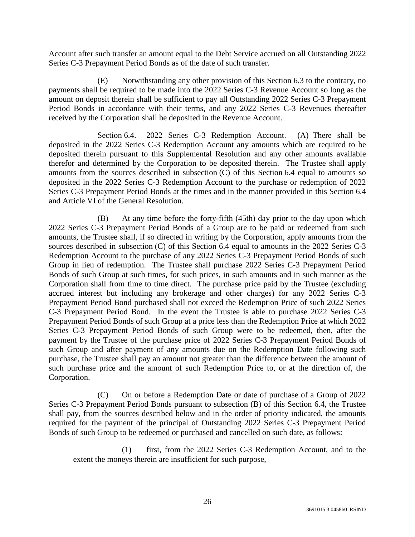Account after such transfer an amount equal to the Debt Service accrued on all Outstanding 2022 Series C-3 Prepayment Period Bonds as of the date of such transfer.

(E) Notwithstanding any other provision of this Section 6.3 to the contrary, no payments shall be required to be made into the 2022 Series C-3 Revenue Account so long as the amount on deposit therein shall be sufficient to pay all Outstanding 2022 Series C-3 Prepayment Period Bonds in accordance with their terms, and any 2022 Series C-3 Revenues thereafter received by the Corporation shall be deposited in the Revenue Account.

Section 6.4. 2022 Series C-3 Redemption Account. (A) There shall be deposited in the 2022 Series C-3 Redemption Account any amounts which are required to be deposited therein pursuant to this Supplemental Resolution and any other amounts available therefor and determined by the Corporation to be deposited therein. The Trustee shall apply amounts from the sources described in subsection (C) of this Section 6.4 equal to amounts so deposited in the 2022 Series C-3 Redemption Account to the purchase or redemption of 2022 Series C-3 Prepayment Period Bonds at the times and in the manner provided in this Section 6.4 and Article VI of the General Resolution.

(B) At any time before the forty-fifth (45th) day prior to the day upon which 2022 Series C-3 Prepayment Period Bonds of a Group are to be paid or redeemed from such amounts, the Trustee shall, if so directed in writing by the Corporation, apply amounts from the sources described in subsection (C) of this Section 6.4 equal to amounts in the 2022 Series C-3 Redemption Account to the purchase of any 2022 Series C-3 Prepayment Period Bonds of such Group in lieu of redemption. The Trustee shall purchase 2022 Series C-3 Prepayment Period Bonds of such Group at such times, for such prices, in such amounts and in such manner as the Corporation shall from time to time direct. The purchase price paid by the Trustee (excluding accrued interest but including any brokerage and other charges) for any 2022 Series C-3 Prepayment Period Bond purchased shall not exceed the Redemption Price of such 2022 Series C-3 Prepayment Period Bond. In the event the Trustee is able to purchase 2022 Series C-3 Prepayment Period Bonds of such Group at a price less than the Redemption Price at which 2022 Series C-3 Prepayment Period Bonds of such Group were to be redeemed, then, after the payment by the Trustee of the purchase price of 2022 Series C-3 Prepayment Period Bonds of such Group and after payment of any amounts due on the Redemption Date following such purchase, the Trustee shall pay an amount not greater than the difference between the amount of such purchase price and the amount of such Redemption Price to, or at the direction of, the Corporation.

(C) On or before a Redemption Date or date of purchase of a Group of 2022 Series C-3 Prepayment Period Bonds pursuant to subsection (B) of this Section 6.4, the Trustee shall pay, from the sources described below and in the order of priority indicated, the amounts required for the payment of the principal of Outstanding 2022 Series C-3 Prepayment Period Bonds of such Group to be redeemed or purchased and cancelled on such date, as follows:

(1) first, from the 2022 Series C-3 Redemption Account, and to the extent the moneys therein are insufficient for such purpose,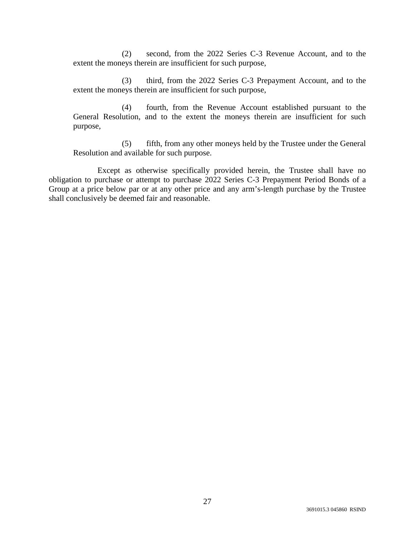(2) second, from the 2022 Series C-3 Revenue Account, and to the extent the moneys therein are insufficient for such purpose,

(3) third, from the 2022 Series C-3 Prepayment Account, and to the extent the moneys therein are insufficient for such purpose,

(4) fourth, from the Revenue Account established pursuant to the General Resolution, and to the extent the moneys therein are insufficient for such purpose,

(5) fifth, from any other moneys held by the Trustee under the General Resolution and available for such purpose.

Except as otherwise specifically provided herein, the Trustee shall have no obligation to purchase or attempt to purchase 2022 Series C-3 Prepayment Period Bonds of a Group at a price below par or at any other price and any arm's-length purchase by the Trustee shall conclusively be deemed fair and reasonable.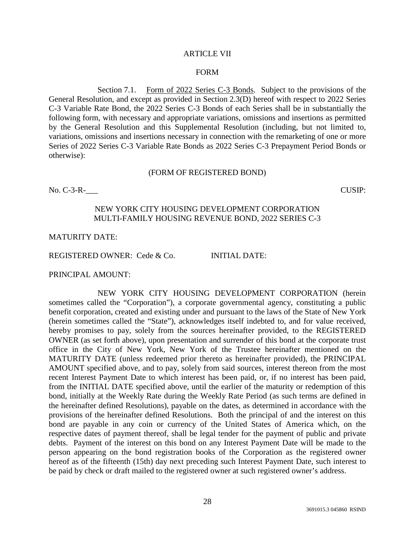#### ARTICLE VII

#### FORM

Section 7.1. Form of 2022 Series C-3 Bonds. Subject to the provisions of the General Resolution, and except as provided in Section 2.3(D) hereof with respect to 2022 Series C-3 Variable Rate Bond, the 2022 Series C-3 Bonds of each Series shall be in substantially the following form, with necessary and appropriate variations, omissions and insertions as permitted by the General Resolution and this Supplemental Resolution (including, but not limited to, variations, omissions and insertions necessary in connection with the remarketing of one or more Series of 2022 Series C-3 Variable Rate Bonds as 2022 Series C-3 Prepayment Period Bonds or otherwise):

#### (FORM OF REGISTERED BOND)

No. C-3-R-<br>
CUSIP:

### NEW YORK CITY HOUSING DEVELOPMENT CORPORATION MULTI-FAMILY HOUSING REVENUE BOND, 2022 SERIES C-3

### MATURITY DATE:

REGISTERED OWNER: Cede & Co. INITIAL DATE:

PRINCIPAL AMOUNT:

NEW YORK CITY HOUSING DEVELOPMENT CORPORATION (herein sometimes called the "Corporation"), a corporate governmental agency, constituting a public benefit corporation, created and existing under and pursuant to the laws of the State of New York (herein sometimes called the "State"), acknowledges itself indebted to, and for value received, hereby promises to pay, solely from the sources hereinafter provided, to the REGISTERED OWNER (as set forth above), upon presentation and surrender of this bond at the corporate trust office in the City of New York, New York of the Trustee hereinafter mentioned on the MATURITY DATE (unless redeemed prior thereto as hereinafter provided), the PRINCIPAL AMOUNT specified above, and to pay, solely from said sources, interest thereon from the most recent Interest Payment Date to which interest has been paid, or, if no interest has been paid, from the INITIAL DATE specified above, until the earlier of the maturity or redemption of this bond, initially at the Weekly Rate during the Weekly Rate Period (as such terms are defined in the hereinafter defined Resolutions), payable on the dates, as determined in accordance with the provisions of the hereinafter defined Resolutions. Both the principal of and the interest on this bond are payable in any coin or currency of the United States of America which, on the respective dates of payment thereof, shall be legal tender for the payment of public and private debts. Payment of the interest on this bond on any Interest Payment Date will be made to the person appearing on the bond registration books of the Corporation as the registered owner hereof as of the fifteenth (15th) day next preceding such Interest Payment Date, such interest to be paid by check or draft mailed to the registered owner at such registered owner's address.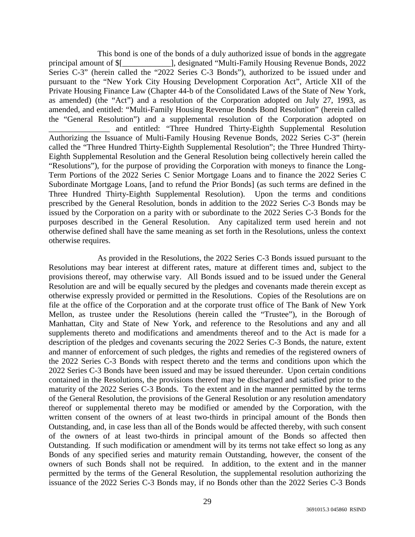This bond is one of the bonds of a duly authorized issue of bonds in the aggregate principal amount of \$[\_\_\_\_\_\_\_\_\_\_\_\_], designated "Multi-Family Housing Revenue Bonds, 2022 Series C-3" (herein called the "2022 Series C-3 Bonds"), authorized to be issued under and pursuant to the "New York City Housing Development Corporation Act", Article XII of the Private Housing Finance Law (Chapter 44-b of the Consolidated Laws of the State of New York, as amended) (the "Act") and a resolution of the Corporation adopted on July 27, 1993, as amended, and entitled: "Multi-Family Housing Revenue Bonds Bond Resolution" (herein called the "General Resolution") and a supplemental resolution of the Corporation adopted on \_\_\_\_\_\_\_\_\_\_\_\_\_\_\_ and entitled: "Three Hundred Thirty-Eighth Supplemental Resolution Authorizing the Issuance of Multi-Family Housing Revenue Bonds, 2022 Series C-3" (herein called the "Three Hundred Thirty-Eighth Supplemental Resolution"; the Three Hundred Thirty-Eighth Supplemental Resolution and the General Resolution being collectively herein called the "Resolutions"), for the purpose of providing the Corporation with moneys to finance the Long-Term Portions of the 2022 Series C Senior Mortgage Loans and to finance the 2022 Series C Subordinate Mortgage Loans, [and to refund the Prior Bonds] (as such terms are defined in the Three Hundred Thirty-Eighth Supplemental Resolution). Upon the terms and conditions prescribed by the General Resolution, bonds in addition to the 2022 Series C-3 Bonds may be issued by the Corporation on a parity with or subordinate to the 2022 Series C-3 Bonds for the purposes described in the General Resolution. Any capitalized term used herein and not otherwise defined shall have the same meaning as set forth in the Resolutions, unless the context otherwise requires.

As provided in the Resolutions, the 2022 Series C-3 Bonds issued pursuant to the Resolutions may bear interest at different rates, mature at different times and, subject to the provisions thereof, may otherwise vary. All Bonds issued and to be issued under the General Resolution are and will be equally secured by the pledges and covenants made therein except as otherwise expressly provided or permitted in the Resolutions. Copies of the Resolutions are on file at the office of the Corporation and at the corporate trust office of The Bank of New York Mellon, as trustee under the Resolutions (herein called the "Trustee"), in the Borough of Manhattan, City and State of New York, and reference to the Resolutions and any and all supplements thereto and modifications and amendments thereof and to the Act is made for a description of the pledges and covenants securing the 2022 Series C-3 Bonds, the nature, extent and manner of enforcement of such pledges, the rights and remedies of the registered owners of the 2022 Series C-3 Bonds with respect thereto and the terms and conditions upon which the 2022 Series C-3 Bonds have been issued and may be issued thereunder. Upon certain conditions contained in the Resolutions, the provisions thereof may be discharged and satisfied prior to the maturity of the 2022 Series C-3 Bonds. To the extent and in the manner permitted by the terms of the General Resolution, the provisions of the General Resolution or any resolution amendatory thereof or supplemental thereto may be modified or amended by the Corporation, with the written consent of the owners of at least two-thirds in principal amount of the Bonds then Outstanding, and, in case less than all of the Bonds would be affected thereby, with such consent of the owners of at least two-thirds in principal amount of the Bonds so affected then Outstanding. If such modification or amendment will by its terms not take effect so long as any Bonds of any specified series and maturity remain Outstanding, however, the consent of the owners of such Bonds shall not be required. In addition, to the extent and in the manner permitted by the terms of the General Resolution, the supplemental resolution authorizing the issuance of the 2022 Series C-3 Bonds may, if no Bonds other than the 2022 Series C-3 Bonds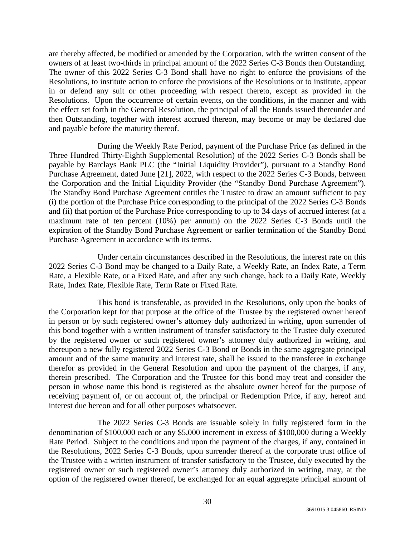are thereby affected, be modified or amended by the Corporation, with the written consent of the owners of at least two-thirds in principal amount of the 2022 Series C-3 Bonds then Outstanding. The owner of this 2022 Series C-3 Bond shall have no right to enforce the provisions of the Resolutions, to institute action to enforce the provisions of the Resolutions or to institute, appear in or defend any suit or other proceeding with respect thereto, except as provided in the Resolutions. Upon the occurrence of certain events, on the conditions, in the manner and with the effect set forth in the General Resolution, the principal of all the Bonds issued thereunder and then Outstanding, together with interest accrued thereon, may become or may be declared due and payable before the maturity thereof.

During the Weekly Rate Period, payment of the Purchase Price (as defined in the Three Hundred Thirty-Eighth Supplemental Resolution) of the 2022 Series C-3 Bonds shall be payable by Barclays Bank PLC (the "Initial Liquidity Provider"), pursuant to a Standby Bond Purchase Agreement, dated June [21], 2022, with respect to the 2022 Series C-3 Bonds, between the Corporation and the Initial Liquidity Provider (the "Standby Bond Purchase Agreement"). The Standby Bond Purchase Agreement entitles the Trustee to draw an amount sufficient to pay (i) the portion of the Purchase Price corresponding to the principal of the 2022 Series C-3 Bonds and (ii) that portion of the Purchase Price corresponding to up to 34 days of accrued interest (at a maximum rate of ten percent (10%) per annum) on the 2022 Series C-3 Bonds until the expiration of the Standby Bond Purchase Agreement or earlier termination of the Standby Bond Purchase Agreement in accordance with its terms.

Under certain circumstances described in the Resolutions, the interest rate on this 2022 Series C-3 Bond may be changed to a Daily Rate, a Weekly Rate, an Index Rate, a Term Rate, a Flexible Rate, or a Fixed Rate, and after any such change, back to a Daily Rate, Weekly Rate, Index Rate, Flexible Rate, Term Rate or Fixed Rate.

This bond is transferable, as provided in the Resolutions, only upon the books of the Corporation kept for that purpose at the office of the Trustee by the registered owner hereof in person or by such registered owner's attorney duly authorized in writing, upon surrender of this bond together with a written instrument of transfer satisfactory to the Trustee duly executed by the registered owner or such registered owner's attorney duly authorized in writing, and thereupon a new fully registered 2022 Series C-3 Bond or Bonds in the same aggregate principal amount and of the same maturity and interest rate, shall be issued to the transferee in exchange therefor as provided in the General Resolution and upon the payment of the charges, if any, therein prescribed. The Corporation and the Trustee for this bond may treat and consider the person in whose name this bond is registered as the absolute owner hereof for the purpose of receiving payment of, or on account of, the principal or Redemption Price, if any, hereof and interest due hereon and for all other purposes whatsoever.

The 2022 Series C-3 Bonds are issuable solely in fully registered form in the denomination of \$100,000 each or any \$5,000 increment in excess of \$100,000 during a Weekly Rate Period. Subject to the conditions and upon the payment of the charges, if any, contained in the Resolutions, 2022 Series C-3 Bonds, upon surrender thereof at the corporate trust office of the Trustee with a written instrument of transfer satisfactory to the Trustee, duly executed by the registered owner or such registered owner's attorney duly authorized in writing, may, at the option of the registered owner thereof, be exchanged for an equal aggregate principal amount of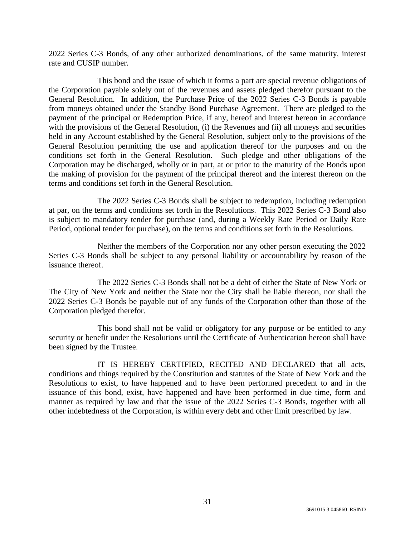2022 Series C-3 Bonds, of any other authorized denominations, of the same maturity, interest rate and CUSIP number.

This bond and the issue of which it forms a part are special revenue obligations of the Corporation payable solely out of the revenues and assets pledged therefor pursuant to the General Resolution. In addition, the Purchase Price of the 2022 Series C-3 Bonds is payable from moneys obtained under the Standby Bond Purchase Agreement. There are pledged to the payment of the principal or Redemption Price, if any, hereof and interest hereon in accordance with the provisions of the General Resolution, (i) the Revenues and (ii) all moneys and securities held in any Account established by the General Resolution, subject only to the provisions of the General Resolution permitting the use and application thereof for the purposes and on the conditions set forth in the General Resolution. Such pledge and other obligations of the Corporation may be discharged, wholly or in part, at or prior to the maturity of the Bonds upon the making of provision for the payment of the principal thereof and the interest thereon on the terms and conditions set forth in the General Resolution.

The 2022 Series C-3 Bonds shall be subject to redemption, including redemption at par, on the terms and conditions set forth in the Resolutions. This 2022 Series C-3 Bond also is subject to mandatory tender for purchase (and, during a Weekly Rate Period or Daily Rate Period, optional tender for purchase), on the terms and conditions set forth in the Resolutions.

Neither the members of the Corporation nor any other person executing the 2022 Series C-3 Bonds shall be subject to any personal liability or accountability by reason of the issuance thereof.

The 2022 Series C-3 Bonds shall not be a debt of either the State of New York or The City of New York and neither the State nor the City shall be liable thereon, nor shall the 2022 Series C-3 Bonds be payable out of any funds of the Corporation other than those of the Corporation pledged therefor.

This bond shall not be valid or obligatory for any purpose or be entitled to any security or benefit under the Resolutions until the Certificate of Authentication hereon shall have been signed by the Trustee.

IT IS HEREBY CERTIFIED, RECITED AND DECLARED that all acts, conditions and things required by the Constitution and statutes of the State of New York and the Resolutions to exist, to have happened and to have been performed precedent to and in the issuance of this bond, exist, have happened and have been performed in due time, form and manner as required by law and that the issue of the 2022 Series C-3 Bonds, together with all other indebtedness of the Corporation, is within every debt and other limit prescribed by law.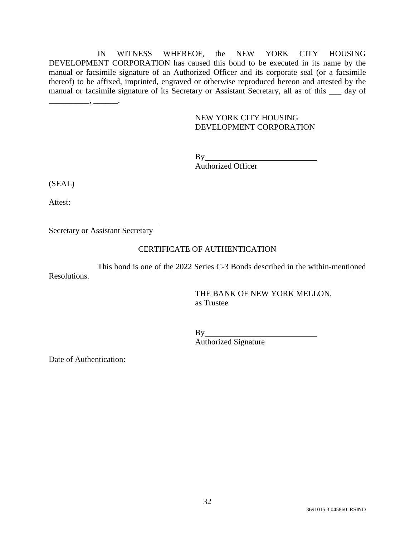IN WITNESS WHEREOF, the NEW YORK CITY HOUSING DEVELOPMENT CORPORATION has caused this bond to be executed in its name by the manual or facsimile signature of an Authorized Officer and its corporate seal (or a facsimile thereof) to be affixed, imprinted, engraved or otherwise reproduced hereon and attested by the manual or facsimile signature of its Secretary or Assistant Secretary, all as of this \_\_\_ day of

## NEW YORK CITY HOUSING DEVELOPMENT CORPORATION

By Authorized Officer

(SEAL)

Attest:

Secretary or Assistant Secretary

\_\_\_\_\_\_\_\_\_\_, \_\_\_\_\_\_.

### CERTIFICATE OF AUTHENTICATION

This bond is one of the 2022 Series C-3 Bonds described in the within-mentioned Resolutions.

> THE BANK OF NEW YORK MELLON, as Trustee

By Property of the set of the set of the set of the set of the set of the set of the set of the set of the set of the set of the set of the set of the set of the set of the set of the set of the set of the set of the set o

Authorized Signature

Date of Authentication: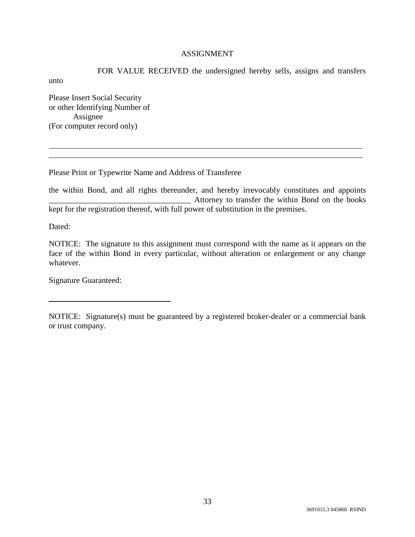## ASSIGNMENT

FOR VALUE RECEIVED the undersigned hereby sells, assigns and transfers unto Please Insert Social Security

or other Identifying Number of Assignee (For computer record only)

Please Print or Typewrite Name and Address of Transferee

the within Bond, and all rights thereunder, and hereby irrevocably constitutes and appoints Attorney to transfer the within Bond on the books kept for the registration thereof, with full power of substitution in the premises.

Dated:

NOTICE: The signature to this assignment must correspond with the name as it appears on the face of the within Bond in every particular, without alteration or enlargement or any change whatever.

Signature Guaranteed:

NOTICE: Signature(s) must be guaranteed by a registered broker-dealer or a commercial bank or trust company.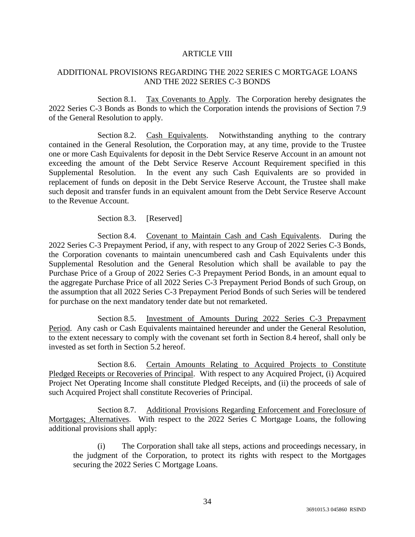## ARTICLE VIII

# ADDITIONAL PROVISIONS REGARDING THE 2022 SERIES C MORTGAGE LOANS AND THE 2022 SERIES C-3 BONDS

Section 8.1. Tax Covenants to Apply. The Corporation hereby designates the 2022 Series C-3 Bonds as Bonds to which the Corporation intends the provisions of Section 7.9 of the General Resolution to apply.

Section 8.2. Cash Equivalents. Notwithstanding anything to the contrary contained in the General Resolution, the Corporation may, at any time, provide to the Trustee one or more Cash Equivalents for deposit in the Debt Service Reserve Account in an amount not exceeding the amount of the Debt Service Reserve Account Requirement specified in this Supplemental Resolution. In the event any such Cash Equivalents are so provided in replacement of funds on deposit in the Debt Service Reserve Account, the Trustee shall make such deposit and transfer funds in an equivalent amount from the Debt Service Reserve Account to the Revenue Account.

Section 8.3. [Reserved]

Section 8.4. Covenant to Maintain Cash and Cash Equivalents. During the 2022 Series C-3 Prepayment Period, if any, with respect to any Group of 2022 Series C-3 Bonds, the Corporation covenants to maintain unencumbered cash and Cash Equivalents under this Supplemental Resolution and the General Resolution which shall be available to pay the Purchase Price of a Group of 2022 Series C-3 Prepayment Period Bonds, in an amount equal to the aggregate Purchase Price of all 2022 Series C-3 Prepayment Period Bonds of such Group, on the assumption that all 2022 Series C-3 Prepayment Period Bonds of such Series will be tendered for purchase on the next mandatory tender date but not remarketed.

Section 8.5. Investment of Amounts During 2022 Series C-3 Prepayment Period. Any cash or Cash Equivalents maintained hereunder and under the General Resolution, to the extent necessary to comply with the covenant set forth in Section 8.4 hereof, shall only be invested as set forth in Section 5.2 hereof.

Section 8.6. Certain Amounts Relating to Acquired Projects to Constitute Pledged Receipts or Recoveries of Principal. With respect to any Acquired Project, (i) Acquired Project Net Operating Income shall constitute Pledged Receipts, and (ii) the proceeds of sale of such Acquired Project shall constitute Recoveries of Principal.

Section 8.7. Additional Provisions Regarding Enforcement and Foreclosure of Mortgages; Alternatives. With respect to the 2022 Series C Mortgage Loans, the following additional provisions shall apply:

(i) The Corporation shall take all steps, actions and proceedings necessary, in the judgment of the Corporation, to protect its rights with respect to the Mortgages securing the 2022 Series C Mortgage Loans.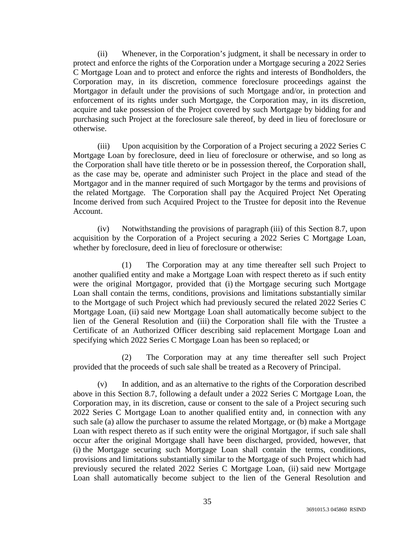(ii) Whenever, in the Corporation's judgment, it shall be necessary in order to protect and enforce the rights of the Corporation under a Mortgage securing a 2022 Series C Mortgage Loan and to protect and enforce the rights and interests of Bondholders, the Corporation may, in its discretion, commence foreclosure proceedings against the Mortgagor in default under the provisions of such Mortgage and/or, in protection and enforcement of its rights under such Mortgage, the Corporation may, in its discretion, acquire and take possession of the Project covered by such Mortgage by bidding for and purchasing such Project at the foreclosure sale thereof, by deed in lieu of foreclosure or otherwise.

(iii) Upon acquisition by the Corporation of a Project securing a 2022 Series C Mortgage Loan by foreclosure, deed in lieu of foreclosure or otherwise, and so long as the Corporation shall have title thereto or be in possession thereof, the Corporation shall, as the case may be, operate and administer such Project in the place and stead of the Mortgagor and in the manner required of such Mortgagor by the terms and provisions of the related Mortgage. The Corporation shall pay the Acquired Project Net Operating Income derived from such Acquired Project to the Trustee for deposit into the Revenue Account.

(iv) Notwithstanding the provisions of paragraph (iii) of this Section 8.7, upon acquisition by the Corporation of a Project securing a 2022 Series C Mortgage Loan, whether by foreclosure, deed in lieu of foreclosure or otherwise:

(1) The Corporation may at any time thereafter sell such Project to another qualified entity and make a Mortgage Loan with respect thereto as if such entity were the original Mortgagor, provided that (i) the Mortgage securing such Mortgage Loan shall contain the terms, conditions, provisions and limitations substantially similar to the Mortgage of such Project which had previously secured the related 2022 Series C Mortgage Loan, (ii) said new Mortgage Loan shall automatically become subject to the lien of the General Resolution and (iii) the Corporation shall file with the Trustee a Certificate of an Authorized Officer describing said replacement Mortgage Loan and specifying which 2022 Series C Mortgage Loan has been so replaced; or

(2) The Corporation may at any time thereafter sell such Project provided that the proceeds of such sale shall be treated as a Recovery of Principal.

In addition, and as an alternative to the rights of the Corporation described above in this Section 8.7, following a default under a 2022 Series C Mortgage Loan, the Corporation may, in its discretion, cause or consent to the sale of a Project securing such 2022 Series C Mortgage Loan to another qualified entity and, in connection with any such sale (a) allow the purchaser to assume the related Mortgage, or (b) make a Mortgage Loan with respect thereto as if such entity were the original Mortgagor, if such sale shall occur after the original Mortgage shall have been discharged, provided, however, that (i) the Mortgage securing such Mortgage Loan shall contain the terms, conditions, provisions and limitations substantially similar to the Mortgage of such Project which had previously secured the related 2022 Series C Mortgage Loan, (ii) said new Mortgage Loan shall automatically become subject to the lien of the General Resolution and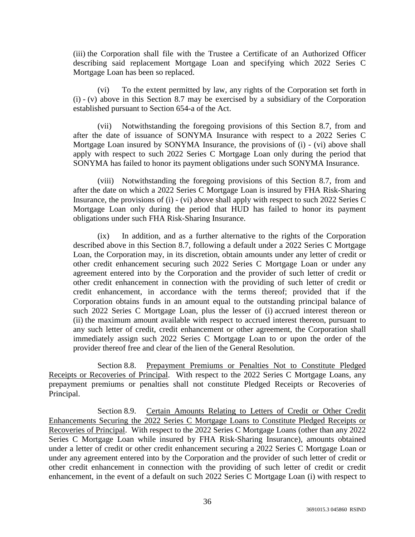(iii) the Corporation shall file with the Trustee a Certificate of an Authorized Officer describing said replacement Mortgage Loan and specifying which 2022 Series C Mortgage Loan has been so replaced.

(vi) To the extent permitted by law, any rights of the Corporation set forth in (i) - (v) above in this Section 8.7 may be exercised by a subsidiary of the Corporation established pursuant to Section 654-a of the Act.

(vii) Notwithstanding the foregoing provisions of this Section 8.7, from and after the date of issuance of SONYMA Insurance with respect to a 2022 Series C Mortgage Loan insured by SONYMA Insurance, the provisions of (i) - (vi) above shall apply with respect to such 2022 Series C Mortgage Loan only during the period that SONYMA has failed to honor its payment obligations under such SONYMA Insurance.

(viii) Notwithstanding the foregoing provisions of this Section 8.7, from and after the date on which a 2022 Series C Mortgage Loan is insured by FHA Risk-Sharing Insurance, the provisions of (i) - (vi) above shall apply with respect to such 2022 Series C Mortgage Loan only during the period that HUD has failed to honor its payment obligations under such FHA Risk-Sharing Insurance.

(ix) In addition, and as a further alternative to the rights of the Corporation described above in this Section 8.7, following a default under a 2022 Series C Mortgage Loan, the Corporation may, in its discretion, obtain amounts under any letter of credit or other credit enhancement securing such 2022 Series C Mortgage Loan or under any agreement entered into by the Corporation and the provider of such letter of credit or other credit enhancement in connection with the providing of such letter of credit or credit enhancement, in accordance with the terms thereof; provided that if the Corporation obtains funds in an amount equal to the outstanding principal balance of such 2022 Series C Mortgage Loan, plus the lesser of (i) accrued interest thereon or (ii) the maximum amount available with respect to accrued interest thereon, pursuant to any such letter of credit, credit enhancement or other agreement, the Corporation shall immediately assign such 2022 Series C Mortgage Loan to or upon the order of the provider thereof free and clear of the lien of the General Resolution.

Section 8.8. Prepayment Premiums or Penalties Not to Constitute Pledged Receipts or Recoveries of Principal. With respect to the 2022 Series C Mortgage Loans, any prepayment premiums or penalties shall not constitute Pledged Receipts or Recoveries of Principal.

Section 8.9. Certain Amounts Relating to Letters of Credit or Other Credit Enhancements Securing the 2022 Series C Mortgage Loans to Constitute Pledged Receipts or Recoveries of Principal. With respect to the 2022 Series C Mortgage Loans (other than any 2022 Series C Mortgage Loan while insured by FHA Risk-Sharing Insurance), amounts obtained under a letter of credit or other credit enhancement securing a 2022 Series C Mortgage Loan or under any agreement entered into by the Corporation and the provider of such letter of credit or other credit enhancement in connection with the providing of such letter of credit or credit enhancement, in the event of a default on such 2022 Series C Mortgage Loan (i) with respect to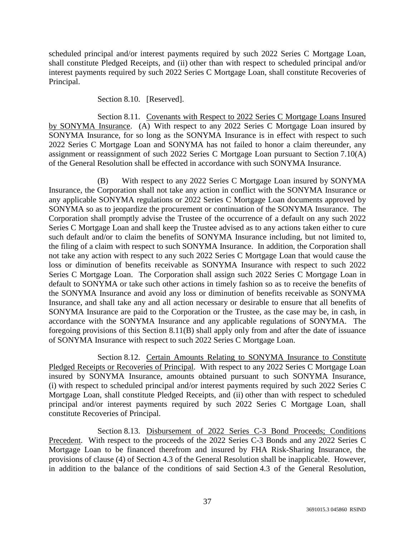scheduled principal and/or interest payments required by such 2022 Series C Mortgage Loan, shall constitute Pledged Receipts, and (ii) other than with respect to scheduled principal and/or interest payments required by such 2022 Series C Mortgage Loan, shall constitute Recoveries of Principal.

Section 8.10. [Reserved].

Section 8.11. Covenants with Respect to 2022 Series C Mortgage Loans Insured by SONYMA Insurance. (A) With respect to any 2022 Series C Mortgage Loan insured by SONYMA Insurance, for so long as the SONYMA Insurance is in effect with respect to such 2022 Series C Mortgage Loan and SONYMA has not failed to honor a claim thereunder, any assignment or reassignment of such 2022 Series C Mortgage Loan pursuant to Section 7.10(A) of the General Resolution shall be effected in accordance with such SONYMA Insurance.

(B) With respect to any 2022 Series C Mortgage Loan insured by SONYMA Insurance, the Corporation shall not take any action in conflict with the SONYMA Insurance or any applicable SONYMA regulations or 2022 Series C Mortgage Loan documents approved by SONYMA so as to jeopardize the procurement or continuation of the SONYMA Insurance. The Corporation shall promptly advise the Trustee of the occurrence of a default on any such 2022 Series C Mortgage Loan and shall keep the Trustee advised as to any actions taken either to cure such default and/or to claim the benefits of SONYMA Insurance including, but not limited to, the filing of a claim with respect to such SONYMA Insurance. In addition, the Corporation shall not take any action with respect to any such 2022 Series C Mortgage Loan that would cause the loss or diminution of benefits receivable as SONYMA Insurance with respect to such 2022 Series C Mortgage Loan. The Corporation shall assign such 2022 Series C Mortgage Loan in default to SONYMA or take such other actions in timely fashion so as to receive the benefits of the SONYMA Insurance and avoid any loss or diminution of benefits receivable as SONYMA Insurance, and shall take any and all action necessary or desirable to ensure that all benefits of SONYMA Insurance are paid to the Corporation or the Trustee, as the case may be, in cash, in accordance with the SONYMA Insurance and any applicable regulations of SONYMA. The foregoing provisions of this Section 8.11(B) shall apply only from and after the date of issuance of SONYMA Insurance with respect to such 2022 Series C Mortgage Loan.

Section 8.12. Certain Amounts Relating to SONYMA Insurance to Constitute Pledged Receipts or Recoveries of Principal. With respect to any 2022 Series C Mortgage Loan insured by SONYMA Insurance, amounts obtained pursuant to such SONYMA Insurance, (i) with respect to scheduled principal and/or interest payments required by such 2022 Series C Mortgage Loan, shall constitute Pledged Receipts, and (ii) other than with respect to scheduled principal and/or interest payments required by such 2022 Series C Mortgage Loan, shall constitute Recoveries of Principal.

Section 8.13. Disbursement of 2022 Series C-3 Bond Proceeds; Conditions Precedent. With respect to the proceeds of the 2022 Series C-3 Bonds and any 2022 Series C Mortgage Loan to be financed therefrom and insured by FHA Risk-Sharing Insurance, the provisions of clause (4) of Section 4.3 of the General Resolution shall be inapplicable. However, in addition to the balance of the conditions of said Section 4.3 of the General Resolution,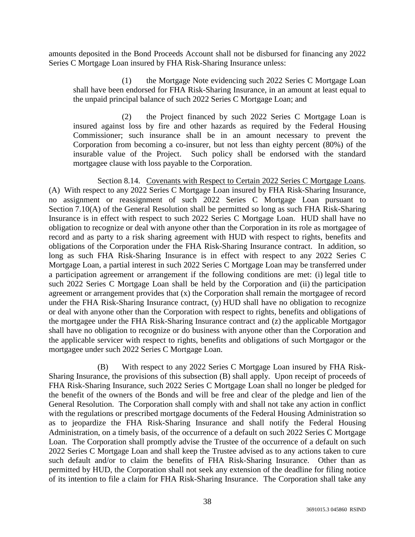amounts deposited in the Bond Proceeds Account shall not be disbursed for financing any 2022 Series C Mortgage Loan insured by FHA Risk-Sharing Insurance unless:

(1) the Mortgage Note evidencing such 2022 Series C Mortgage Loan shall have been endorsed for FHA Risk-Sharing Insurance, in an amount at least equal to the unpaid principal balance of such 2022 Series C Mortgage Loan; and

(2) the Project financed by such 2022 Series C Mortgage Loan is insured against loss by fire and other hazards as required by the Federal Housing Commissioner; such insurance shall be in an amount necessary to prevent the Corporation from becoming a co-insurer, but not less than eighty percent (80%) of the insurable value of the Project. Such policy shall be endorsed with the standard mortgagee clause with loss payable to the Corporation.

Section 8.14. Covenants with Respect to Certain 2022 Series C Mortgage Loans. (A) With respect to any 2022 Series C Mortgage Loan insured by FHA Risk-Sharing Insurance, no assignment or reassignment of such 2022 Series C Mortgage Loan pursuant to Section 7.10(A) of the General Resolution shall be permitted so long as such FHA Risk-Sharing Insurance is in effect with respect to such 2022 Series C Mortgage Loan. HUD shall have no obligation to recognize or deal with anyone other than the Corporation in its role as mortgagee of record and as party to a risk sharing agreement with HUD with respect to rights, benefits and obligations of the Corporation under the FHA Risk-Sharing Insurance contract. In addition, so long as such FHA Risk-Sharing Insurance is in effect with respect to any 2022 Series C Mortgage Loan, a partial interest in such 2022 Series C Mortgage Loan may be transferred under a participation agreement or arrangement if the following conditions are met: (i) legal title to such 2022 Series C Mortgage Loan shall be held by the Corporation and (ii) the participation agreement or arrangement provides that (x) the Corporation shall remain the mortgagee of record under the FHA Risk-Sharing Insurance contract,  $(y)$  HUD shall have no obligation to recognize or deal with anyone other than the Corporation with respect to rights, benefits and obligations of the mortgagee under the FHA Risk-Sharing Insurance contract and (z) the applicable Mortgagor shall have no obligation to recognize or do business with anyone other than the Corporation and the applicable servicer with respect to rights, benefits and obligations of such Mortgagor or the mortgagee under such 2022 Series C Mortgage Loan.

(B) With respect to any 2022 Series C Mortgage Loan insured by FHA Risk-Sharing Insurance, the provisions of this subsection (B) shall apply. Upon receipt of proceeds of FHA Risk-Sharing Insurance, such 2022 Series C Mortgage Loan shall no longer be pledged for the benefit of the owners of the Bonds and will be free and clear of the pledge and lien of the General Resolution. The Corporation shall comply with and shall not take any action in conflict with the regulations or prescribed mortgage documents of the Federal Housing Administration so as to jeopardize the FHA Risk-Sharing Insurance and shall notify the Federal Housing Administration, on a timely basis, of the occurrence of a default on such 2022 Series C Mortgage Loan. The Corporation shall promptly advise the Trustee of the occurrence of a default on such 2022 Series C Mortgage Loan and shall keep the Trustee advised as to any actions taken to cure such default and/or to claim the benefits of FHA Risk-Sharing Insurance. Other than as permitted by HUD, the Corporation shall not seek any extension of the deadline for filing notice of its intention to file a claim for FHA Risk-Sharing Insurance. The Corporation shall take any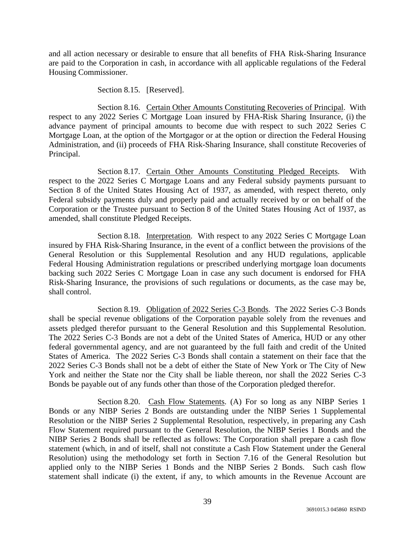and all action necessary or desirable to ensure that all benefits of FHA Risk-Sharing Insurance are paid to the Corporation in cash, in accordance with all applicable regulations of the Federal Housing Commissioner.

Section 8.15. [Reserved].

Section 8.16. Certain Other Amounts Constituting Recoveries of Principal. With respect to any 2022 Series C Mortgage Loan insured by FHA-Risk Sharing Insurance, (i) the advance payment of principal amounts to become due with respect to such 2022 Series C Mortgage Loan, at the option of the Mortgagor or at the option or direction the Federal Housing Administration, and (ii) proceeds of FHA Risk-Sharing Insurance, shall constitute Recoveries of Principal.

Section 8.17. Certain Other Amounts Constituting Pledged Receipts. With respect to the 2022 Series C Mortgage Loans and any Federal subsidy payments pursuant to Section 8 of the United States Housing Act of 1937, as amended, with respect thereto, only Federal subsidy payments duly and properly paid and actually received by or on behalf of the Corporation or the Trustee pursuant to Section 8 of the United States Housing Act of 1937, as amended, shall constitute Pledged Receipts.

Section 8.18. Interpretation. With respect to any 2022 Series C Mortgage Loan insured by FHA Risk-Sharing Insurance, in the event of a conflict between the provisions of the General Resolution or this Supplemental Resolution and any HUD regulations, applicable Federal Housing Administration regulations or prescribed underlying mortgage loan documents backing such 2022 Series C Mortgage Loan in case any such document is endorsed for FHA Risk-Sharing Insurance, the provisions of such regulations or documents, as the case may be, shall control.

Section 8.19. Obligation of 2022 Series C-3 Bonds. The 2022 Series C-3 Bonds shall be special revenue obligations of the Corporation payable solely from the revenues and assets pledged therefor pursuant to the General Resolution and this Supplemental Resolution. The 2022 Series C-3 Bonds are not a debt of the United States of America, HUD or any other federal governmental agency, and are not guaranteed by the full faith and credit of the United States of America. The 2022 Series C-3 Bonds shall contain a statement on their face that the 2022 Series C-3 Bonds shall not be a debt of either the State of New York or The City of New York and neither the State nor the City shall be liable thereon, nor shall the 2022 Series C-3 Bonds be payable out of any funds other than those of the Corporation pledged therefor.

Section 8.20. Cash Flow Statements. (A) For so long as any NIBP Series 1 Bonds or any NIBP Series 2 Bonds are outstanding under the NIBP Series 1 Supplemental Resolution or the NIBP Series 2 Supplemental Resolution, respectively, in preparing any Cash Flow Statement required pursuant to the General Resolution, the NIBP Series 1 Bonds and the NIBP Series 2 Bonds shall be reflected as follows: The Corporation shall prepare a cash flow statement (which, in and of itself, shall not constitute a Cash Flow Statement under the General Resolution) using the methodology set forth in Section 7.16 of the General Resolution but applied only to the NIBP Series 1 Bonds and the NIBP Series 2 Bonds. Such cash flow statement shall indicate (i) the extent, if any, to which amounts in the Revenue Account are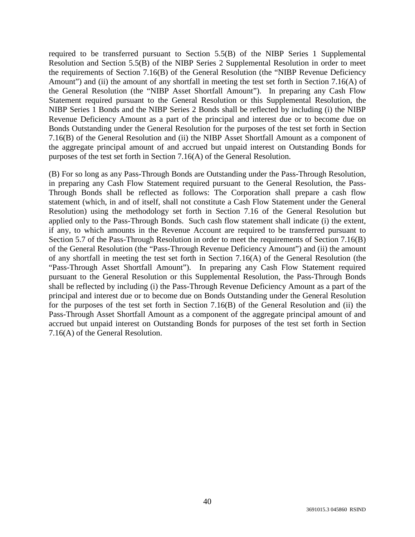required to be transferred pursuant to Section 5.5(B) of the NIBP Series 1 Supplemental Resolution and Section 5.5(B) of the NIBP Series 2 Supplemental Resolution in order to meet the requirements of Section 7.16(B) of the General Resolution (the "NIBP Revenue Deficiency Amount") and (ii) the amount of any shortfall in meeting the test set forth in Section 7.16(A) of the General Resolution (the "NIBP Asset Shortfall Amount"). In preparing any Cash Flow Statement required pursuant to the General Resolution or this Supplemental Resolution, the NIBP Series 1 Bonds and the NIBP Series 2 Bonds shall be reflected by including (i) the NIBP Revenue Deficiency Amount as a part of the principal and interest due or to become due on Bonds Outstanding under the General Resolution for the purposes of the test set forth in Section 7.16(B) of the General Resolution and (ii) the NIBP Asset Shortfall Amount as a component of the aggregate principal amount of and accrued but unpaid interest on Outstanding Bonds for purposes of the test set forth in Section 7.16(A) of the General Resolution.

(B) For so long as any Pass-Through Bonds are Outstanding under the Pass-Through Resolution, in preparing any Cash Flow Statement required pursuant to the General Resolution, the Pass-Through Bonds shall be reflected as follows: The Corporation shall prepare a cash flow statement (which, in and of itself, shall not constitute a Cash Flow Statement under the General Resolution) using the methodology set forth in Section 7.16 of the General Resolution but applied only to the Pass-Through Bonds. Such cash flow statement shall indicate (i) the extent, if any, to which amounts in the Revenue Account are required to be transferred pursuant to Section 5.7 of the Pass-Through Resolution in order to meet the requirements of Section 7.16(B) of the General Resolution (the "Pass-Through Revenue Deficiency Amount") and (ii) the amount of any shortfall in meeting the test set forth in Section 7.16(A) of the General Resolution (the "Pass-Through Asset Shortfall Amount"). In preparing any Cash Flow Statement required pursuant to the General Resolution or this Supplemental Resolution, the Pass-Through Bonds shall be reflected by including (i) the Pass-Through Revenue Deficiency Amount as a part of the principal and interest due or to become due on Bonds Outstanding under the General Resolution for the purposes of the test set forth in Section 7.16(B) of the General Resolution and (ii) the Pass-Through Asset Shortfall Amount as a component of the aggregate principal amount of and accrued but unpaid interest on Outstanding Bonds for purposes of the test set forth in Section 7.16(A) of the General Resolution.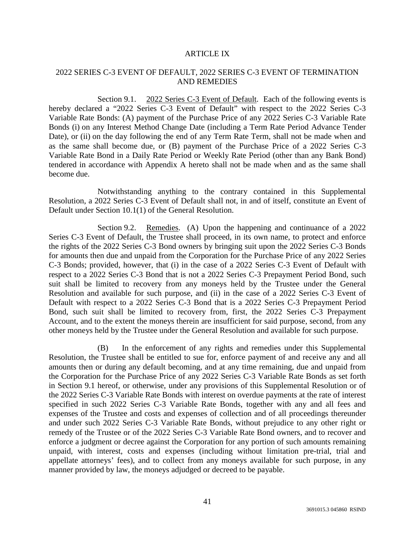#### ARTICLE IX

## 2022 SERIES C-3 EVENT OF DEFAULT, 2022 SERIES C-3 EVENT OF TERMINATION AND REMEDIES

Section 9.1. 2022 Series C-3 Event of Default. Each of the following events is hereby declared a "2022 Series C-3 Event of Default" with respect to the 2022 Series C-3 Variable Rate Bonds: (A) payment of the Purchase Price of any 2022 Series C-3 Variable Rate Bonds (i) on any Interest Method Change Date (including a Term Rate Period Advance Tender Date), or (ii) on the day following the end of any Term Rate Term, shall not be made when and as the same shall become due, or (B) payment of the Purchase Price of a 2022 Series C-3 Variable Rate Bond in a Daily Rate Period or Weekly Rate Period (other than any Bank Bond) tendered in accordance with Appendix A hereto shall not be made when and as the same shall become due.

Notwithstanding anything to the contrary contained in this Supplemental Resolution, a 2022 Series C-3 Event of Default shall not, in and of itself, constitute an Event of Default under Section 10.1(1) of the General Resolution.

Section 9.2. Remedies. (A) Upon the happening and continuance of a 2022 Series C-3 Event of Default, the Trustee shall proceed, in its own name, to protect and enforce the rights of the 2022 Series C-3 Bond owners by bringing suit upon the 2022 Series C-3 Bonds for amounts then due and unpaid from the Corporation for the Purchase Price of any 2022 Series C-3 Bonds; provided, however, that (i) in the case of a 2022 Series C-3 Event of Default with respect to a 2022 Series C-3 Bond that is not a 2022 Series C-3 Prepayment Period Bond, such suit shall be limited to recovery from any moneys held by the Trustee under the General Resolution and available for such purpose, and (ii) in the case of a 2022 Series C-3 Event of Default with respect to a 2022 Series C-3 Bond that is a 2022 Series C-3 Prepayment Period Bond, such suit shall be limited to recovery from, first, the 2022 Series C-3 Prepayment Account, and to the extent the moneys therein are insufficient for said purpose, second, from any other moneys held by the Trustee under the General Resolution and available for such purpose.

(B) In the enforcement of any rights and remedies under this Supplemental Resolution, the Trustee shall be entitled to sue for, enforce payment of and receive any and all amounts then or during any default becoming, and at any time remaining, due and unpaid from the Corporation for the Purchase Price of any 2022 Series C-3 Variable Rate Bonds as set forth in Section 9.1 hereof, or otherwise, under any provisions of this Supplemental Resolution or of the 2022 Series C-3 Variable Rate Bonds with interest on overdue payments at the rate of interest specified in such 2022 Series C-3 Variable Rate Bonds, together with any and all fees and expenses of the Trustee and costs and expenses of collection and of all proceedings thereunder and under such 2022 Series C-3 Variable Rate Bonds, without prejudice to any other right or remedy of the Trustee or of the 2022 Series C-3 Variable Rate Bond owners, and to recover and enforce a judgment or decree against the Corporation for any portion of such amounts remaining unpaid, with interest, costs and expenses (including without limitation pre-trial, trial and appellate attorneys' fees), and to collect from any moneys available for such purpose, in any manner provided by law, the moneys adjudged or decreed to be payable.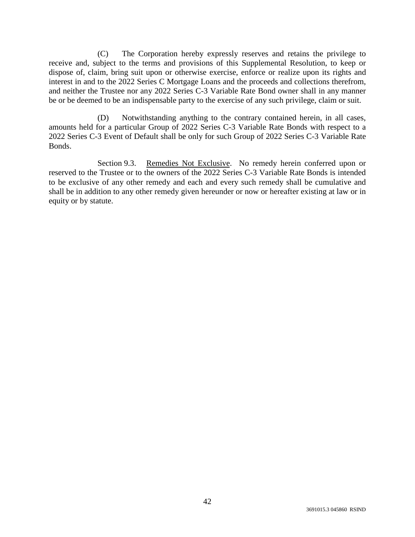(C) The Corporation hereby expressly reserves and retains the privilege to receive and, subject to the terms and provisions of this Supplemental Resolution, to keep or dispose of, claim, bring suit upon or otherwise exercise, enforce or realize upon its rights and interest in and to the 2022 Series C Mortgage Loans and the proceeds and collections therefrom, and neither the Trustee nor any 2022 Series C-3 Variable Rate Bond owner shall in any manner be or be deemed to be an indispensable party to the exercise of any such privilege, claim or suit.

(D) Notwithstanding anything to the contrary contained herein, in all cases, amounts held for a particular Group of 2022 Series C-3 Variable Rate Bonds with respect to a 2022 Series C-3 Event of Default shall be only for such Group of 2022 Series C-3 Variable Rate Bonds.

Section 9.3. Remedies Not Exclusive. No remedy herein conferred upon or reserved to the Trustee or to the owners of the 2022 Series C-3 Variable Rate Bonds is intended to be exclusive of any other remedy and each and every such remedy shall be cumulative and shall be in addition to any other remedy given hereunder or now or hereafter existing at law or in equity or by statute.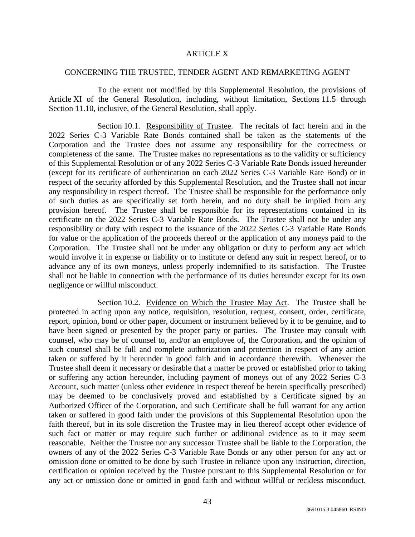#### ARTICLE X

#### CONCERNING THE TRUSTEE, TENDER AGENT AND REMARKETING AGENT

To the extent not modified by this Supplemental Resolution, the provisions of Article XI of the General Resolution, including, without limitation, Sections 11.5 through Section 11.10, inclusive, of the General Resolution, shall apply.

Section 10.1. Responsibility of Trustee. The recitals of fact herein and in the 2022 Series C-3 Variable Rate Bonds contained shall be taken as the statements of the Corporation and the Trustee does not assume any responsibility for the correctness or completeness of the same. The Trustee makes no representations as to the validity or sufficiency of this Supplemental Resolution or of any 2022 Series C-3 Variable Rate Bonds issued hereunder (except for its certificate of authentication on each 2022 Series C-3 Variable Rate Bond) or in respect of the security afforded by this Supplemental Resolution, and the Trustee shall not incur any responsibility in respect thereof. The Trustee shall be responsible for the performance only of such duties as are specifically set forth herein, and no duty shall be implied from any provision hereof. The Trustee shall be responsible for its representations contained in its certificate on the 2022 Series C-3 Variable Rate Bonds. The Trustee shall not be under any responsibility or duty with respect to the issuance of the 2022 Series C-3 Variable Rate Bonds for value or the application of the proceeds thereof or the application of any moneys paid to the Corporation. The Trustee shall not be under any obligation or duty to perform any act which would involve it in expense or liability or to institute or defend any suit in respect hereof, or to advance any of its own moneys, unless properly indemnified to its satisfaction. The Trustee shall not be liable in connection with the performance of its duties hereunder except for its own negligence or willful misconduct.

Section 10.2. Evidence on Which the Trustee May Act. The Trustee shall be protected in acting upon any notice, requisition, resolution, request, consent, order, certificate, report, opinion, bond or other paper, document or instrument believed by it to be genuine, and to have been signed or presented by the proper party or parties. The Trustee may consult with counsel, who may be of counsel to, and/or an employee of, the Corporation, and the opinion of such counsel shall be full and complete authorization and protection in respect of any action taken or suffered by it hereunder in good faith and in accordance therewith. Whenever the Trustee shall deem it necessary or desirable that a matter be proved or established prior to taking or suffering any action hereunder, including payment of moneys out of any 2022 Series C-3 Account, such matter (unless other evidence in respect thereof be herein specifically prescribed) may be deemed to be conclusively proved and established by a Certificate signed by an Authorized Officer of the Corporation, and such Certificate shall be full warrant for any action taken or suffered in good faith under the provisions of this Supplemental Resolution upon the faith thereof, but in its sole discretion the Trustee may in lieu thereof accept other evidence of such fact or matter or may require such further or additional evidence as to it may seem reasonable. Neither the Trustee nor any successor Trustee shall be liable to the Corporation, the owners of any of the 2022 Series C-3 Variable Rate Bonds or any other person for any act or omission done or omitted to be done by such Trustee in reliance upon any instruction, direction, certification or opinion received by the Trustee pursuant to this Supplemental Resolution or for any act or omission done or omitted in good faith and without willful or reckless misconduct.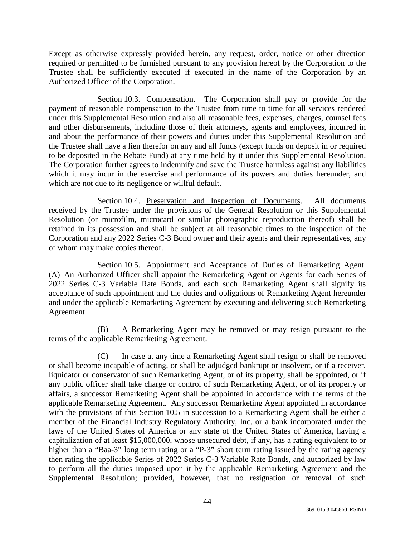Except as otherwise expressly provided herein, any request, order, notice or other direction required or permitted to be furnished pursuant to any provision hereof by the Corporation to the Trustee shall be sufficiently executed if executed in the name of the Corporation by an Authorized Officer of the Corporation.

Section 10.3. Compensation. The Corporation shall pay or provide for the payment of reasonable compensation to the Trustee from time to time for all services rendered under this Supplemental Resolution and also all reasonable fees, expenses, charges, counsel fees and other disbursements, including those of their attorneys, agents and employees, incurred in and about the performance of their powers and duties under this Supplemental Resolution and the Trustee shall have a lien therefor on any and all funds (except funds on deposit in or required to be deposited in the Rebate Fund) at any time held by it under this Supplemental Resolution. The Corporation further agrees to indemnify and save the Trustee harmless against any liabilities which it may incur in the exercise and performance of its powers and duties hereunder, and which are not due to its negligence or willful default.

Section 10.4. Preservation and Inspection of Documents. All documents received by the Trustee under the provisions of the General Resolution or this Supplemental Resolution (or microfilm, microcard or similar photographic reproduction thereof) shall be retained in its possession and shall be subject at all reasonable times to the inspection of the Corporation and any 2022 Series C-3 Bond owner and their agents and their representatives, any of whom may make copies thereof.

Section 10.5. Appointment and Acceptance of Duties of Remarketing Agent. (A) An Authorized Officer shall appoint the Remarketing Agent or Agents for each Series of 2022 Series C-3 Variable Rate Bonds, and each such Remarketing Agent shall signify its acceptance of such appointment and the duties and obligations of Remarketing Agent hereunder and under the applicable Remarketing Agreement by executing and delivering such Remarketing Agreement.

(B) A Remarketing Agent may be removed or may resign pursuant to the terms of the applicable Remarketing Agreement.

(C) In case at any time a Remarketing Agent shall resign or shall be removed or shall become incapable of acting, or shall be adjudged bankrupt or insolvent, or if a receiver, liquidator or conservator of such Remarketing Agent, or of its property, shall be appointed, or if any public officer shall take charge or control of such Remarketing Agent, or of its property or affairs, a successor Remarketing Agent shall be appointed in accordance with the terms of the applicable Remarketing Agreement. Any successor Remarketing Agent appointed in accordance with the provisions of this Section 10.5 in succession to a Remarketing Agent shall be either a member of the Financial Industry Regulatory Authority, Inc. or a bank incorporated under the laws of the United States of America or any state of the United States of America, having a capitalization of at least \$15,000,000, whose unsecured debt, if any, has a rating equivalent to or higher than a "Baa-3" long term rating or a "P-3" short term rating issued by the rating agency then rating the applicable Series of 2022 Series C-3 Variable Rate Bonds, and authorized by law to perform all the duties imposed upon it by the applicable Remarketing Agreement and the Supplemental Resolution; provided, however, that no resignation or removal of such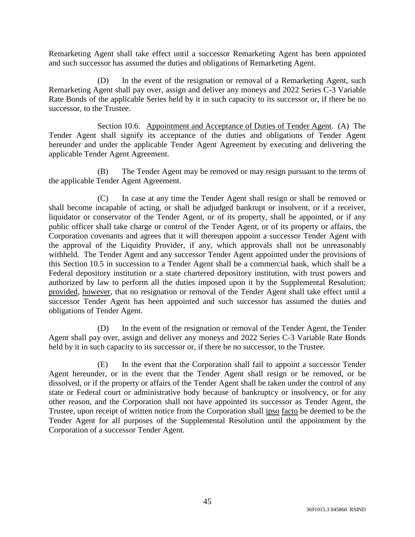Remarketing Agent shall take effect until a successor Remarketing Agent has been appointed and such successor has assumed the duties and obligations of Remarketing Agent.

(D) In the event of the resignation or removal of a Remarketing Agent, such Remarketing Agent shall pay over, assign and deliver any moneys and 2022 Series C-3 Variable Rate Bonds of the applicable Series held by it in such capacity to its successor or, if there be no successor, to the Trustee.

Section 10.6. Appointment and Acceptance of Duties of Tender Agent. (A) The Tender Agent shall signify its acceptance of the duties and obligations of Tender Agent hereunder and under the applicable Tender Agent Agreement by executing and delivering the applicable Tender Agent Agreement.

(B) The Tender Agent may be removed or may resign pursuant to the terms of the applicable Tender Agent Agreement.

(C) In case at any time the Tender Agent shall resign or shall be removed or shall become incapable of acting, or shall be adjudged bankrupt or insolvent, or if a receiver, liquidator or conservator of the Tender Agent, or of its property, shall be appointed, or if any public officer shall take charge or control of the Tender Agent, or of its property or affairs, the Corporation covenants and agrees that it will thereupon appoint a successor Tender Agent with the approval of the Liquidity Provider, if any, which approvals shall not be unreasonably withheld. The Tender Agent and any successor Tender Agent appointed under the provisions of this Section 10.5 in succession to a Tender Agent shall be a commercial bank, which shall be a Federal depository institution or a state chartered depository institution, with trust powers and authorized by law to perform all the duties imposed upon it by the Supplemental Resolution; provided, however, that no resignation or removal of the Tender Agent shall take effect until a successor Tender Agent has been appointed and such successor has assumed the duties and obligations of Tender Agent.

(D) In the event of the resignation or removal of the Tender Agent, the Tender Agent shall pay over, assign and deliver any moneys and 2022 Series C-3 Variable Rate Bonds held by it in such capacity to its successor or, if there be no successor, to the Trustee.

(E) In the event that the Corporation shall fail to appoint a successor Tender Agent hereunder, or in the event that the Tender Agent shall resign or be removed, or be dissolved, or if the property or affairs of the Tender Agent shall be taken under the control of any state or Federal court or administrative body because of bankruptcy or insolvency, or for any other reason, and the Corporation shall not have appointed its successor as Tender Agent, the Trustee, upon receipt of written notice from the Corporation shall ipso facto be deemed to be the Tender Agent for all purposes of the Supplemental Resolution until the appointment by the Corporation of a successor Tender Agent.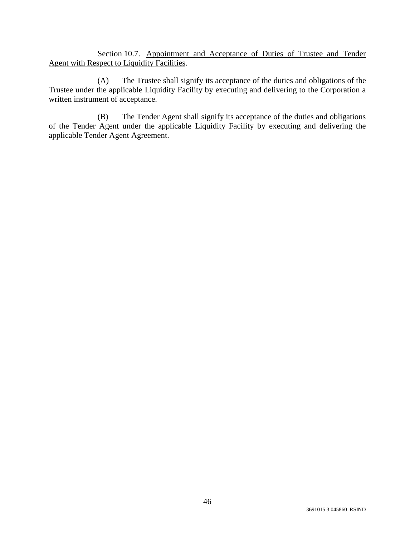Section 10.7. Appointment and Acceptance of Duties of Trustee and Tender Agent with Respect to Liquidity Facilities.

(A) The Trustee shall signify its acceptance of the duties and obligations of the Trustee under the applicable Liquidity Facility by executing and delivering to the Corporation a written instrument of acceptance.

(B) The Tender Agent shall signify its acceptance of the duties and obligations of the Tender Agent under the applicable Liquidity Facility by executing and delivering the applicable Tender Agent Agreement.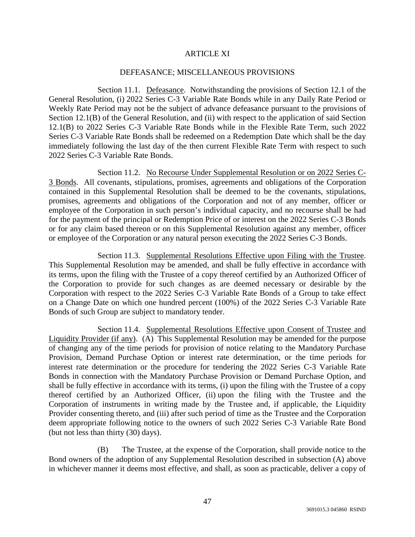## ARTICLE XI

#### DEFEASANCE; MISCELLANEOUS PROVISIONS

Section 11.1. Defeasance. Notwithstanding the provisions of Section 12.1 of the General Resolution, (i) 2022 Series C-3 Variable Rate Bonds while in any Daily Rate Period or Weekly Rate Period may not be the subject of advance defeasance pursuant to the provisions of Section 12.1(B) of the General Resolution, and (ii) with respect to the application of said Section 12.1(B) to 2022 Series C-3 Variable Rate Bonds while in the Flexible Rate Term, such 2022 Series C-3 Variable Rate Bonds shall be redeemed on a Redemption Date which shall be the day immediately following the last day of the then current Flexible Rate Term with respect to such 2022 Series C-3 Variable Rate Bonds.

Section 11.2. No Recourse Under Supplemental Resolution or on 2022 Series C-3 Bonds. All covenants, stipulations, promises, agreements and obligations of the Corporation contained in this Supplemental Resolution shall be deemed to be the covenants, stipulations, promises, agreements and obligations of the Corporation and not of any member, officer or employee of the Corporation in such person's individual capacity, and no recourse shall be had for the payment of the principal or Redemption Price of or interest on the 2022 Series C-3 Bonds or for any claim based thereon or on this Supplemental Resolution against any member, officer or employee of the Corporation or any natural person executing the 2022 Series C-3 Bonds.

Section 11.3. Supplemental Resolutions Effective upon Filing with the Trustee. This Supplemental Resolution may be amended, and shall be fully effective in accordance with its terms, upon the filing with the Trustee of a copy thereof certified by an Authorized Officer of the Corporation to provide for such changes as are deemed necessary or desirable by the Corporation with respect to the 2022 Series C-3 Variable Rate Bonds of a Group to take effect on a Change Date on which one hundred percent (100%) of the 2022 Series C-3 Variable Rate Bonds of such Group are subject to mandatory tender.

Section 11.4. Supplemental Resolutions Effective upon Consent of Trustee and Liquidity Provider (if any). (A) This Supplemental Resolution may be amended for the purpose of changing any of the time periods for provision of notice relating to the Mandatory Purchase Provision, Demand Purchase Option or interest rate determination, or the time periods for interest rate determination or the procedure for tendering the 2022 Series C-3 Variable Rate Bonds in connection with the Mandatory Purchase Provision or Demand Purchase Option, and shall be fully effective in accordance with its terms, (i) upon the filing with the Trustee of a copy thereof certified by an Authorized Officer, (ii) upon the filing with the Trustee and the Corporation of instruments in writing made by the Trustee and, if applicable, the Liquidity Provider consenting thereto, and (iii) after such period of time as the Trustee and the Corporation deem appropriate following notice to the owners of such 2022 Series C-3 Variable Rate Bond (but not less than thirty (30) days).

(B) The Trustee, at the expense of the Corporation, shall provide notice to the Bond owners of the adoption of any Supplemental Resolution described in subsection (A) above in whichever manner it deems most effective, and shall, as soon as practicable, deliver a copy of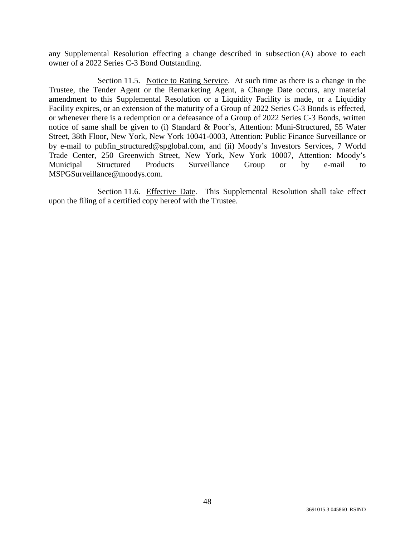any Supplemental Resolution effecting a change described in subsection (A) above to each owner of a 2022 Series C-3 Bond Outstanding.

Section 11.5. Notice to Rating Service. At such time as there is a change in the Trustee, the Tender Agent or the Remarketing Agent, a Change Date occurs, any material amendment to this Supplemental Resolution or a Liquidity Facility is made, or a Liquidity Facility expires, or an extension of the maturity of a Group of 2022 Series C-3 Bonds is effected, or whenever there is a redemption or a defeasance of a Group of 2022 Series C-3 Bonds, written notice of same shall be given to (i) Standard & Poor's, Attention: Muni-Structured, 55 Water Street, 38th Floor, New York, New York 10041-0003, Attention: Public Finance Surveillance or by e-mail to pubfin\_structured@spglobal.com, and (ii) Moody's Investors Services, 7 World Trade Center, 250 Greenwich Street, New York, New York 10007, Attention: Moody's Municipal Structured Products Surveillance Group or by e-mail to MSPGSurveillance@moodys.com.

Section 11.6. Effective Date. This Supplemental Resolution shall take effect upon the filing of a certified copy hereof with the Trustee.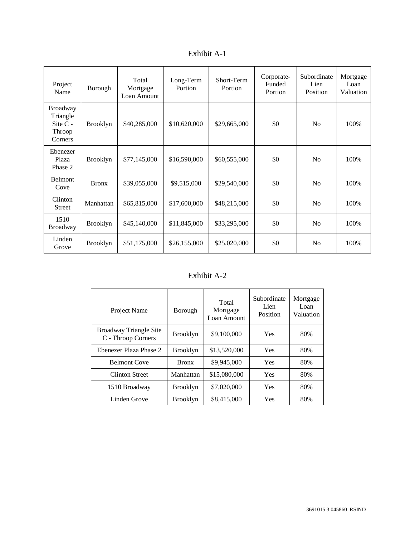| Exhibit A-1 |  |
|-------------|--|
|-------------|--|

| Project<br>Name                                                | Borough         | Total<br>Mortgage<br>Loan Amount | Long-Term<br>Portion | Short-Term<br>Portion | Corporate-<br>Funded<br>Portion | Subordinate<br>Lien<br>Position | Mortgage<br>Loan<br>Valuation |
|----------------------------------------------------------------|-----------------|----------------------------------|----------------------|-----------------------|---------------------------------|---------------------------------|-------------------------------|
| <b>Broadway</b><br>Triangle<br>Site $C -$<br>Throop<br>Corners | <b>Brooklyn</b> | \$40,285,000                     | \$10,620,000         | \$29,665,000          | \$0                             | N <sub>o</sub>                  | 100%                          |
| Ebenezer<br>Plaza<br>Phase 2                                   | <b>Brooklyn</b> | \$77,145,000                     | \$16,590,000         | \$60,555,000          | \$0                             | N <sub>o</sub>                  | 100%                          |
| Belmont<br>Cove                                                | <b>Bronx</b>    | \$39,055,000                     | \$9,515,000          | \$29,540,000          | \$0                             | N <sub>o</sub>                  | 100%                          |
| Clinton<br><b>Street</b>                                       | Manhattan       | \$65,815,000                     | \$17,600,000         | \$48,215,000          | \$0                             | No                              | 100%                          |
| 1510<br>Broadway                                               | <b>Brooklyn</b> | \$45,140,000                     | \$11,845,000         | \$33,295,000          | \$0                             | N <sub>0</sub>                  | 100%                          |
| Linden<br>Grove                                                | <b>Brooklyn</b> | \$51,175,000                     | \$26,155,000         | \$25,020,000          | \$0                             | N <sub>0</sub>                  | 100%                          |

# Exhibit A-2

| Project Name                                 | Borough         | Total<br>Mortgage<br>Loan Amount | Subordinate<br>Lien<br>Position | Mortgage<br>Loan<br>Valuation |
|----------------------------------------------|-----------------|----------------------------------|---------------------------------|-------------------------------|
| Broadway Triangle Site<br>C - Throop Corners | <b>Brooklyn</b> | \$9,100,000                      | Yes                             | 80%                           |
| Ebenezer Plaza Phase 2                       | <b>Brooklyn</b> | \$13,520,000                     | Yes                             | 80%                           |
| <b>Belmont Cove</b>                          | <b>Bronx</b>    | \$9,945,000                      | <b>Yes</b>                      | 80%                           |
| <b>Clinton Street</b>                        | Manhattan       | \$15,080,000                     | <b>Yes</b>                      | 80%                           |
| 1510 Broadway                                | <b>Brooklyn</b> | \$7,020,000                      | Yes                             | 80%                           |
| Linden Grove                                 | <b>Brooklyn</b> | \$8,415,000                      | Yes                             | 80%                           |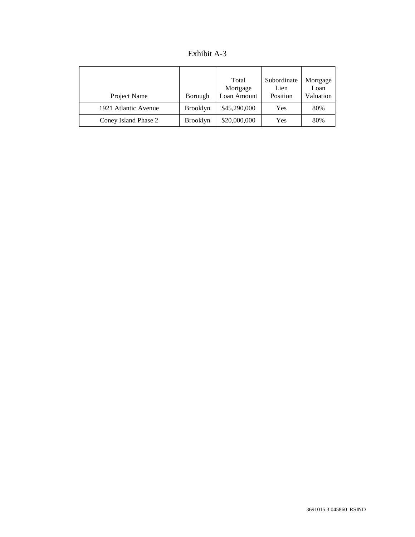| Exhibit A-3 |  |
|-------------|--|
|-------------|--|

| Project Name         | Borough         | Total<br>Mortgage<br>Loan Amount | Subordinate<br>Lien<br>Position | Mortgage<br>Loan<br>Valuation |
|----------------------|-----------------|----------------------------------|---------------------------------|-------------------------------|
| 1921 Atlantic Avenue | <b>Brooklyn</b> | \$45,290,000                     | Yes                             | 80%                           |
| Coney Island Phase 2 | <b>Brooklyn</b> | \$20,000,000                     | Yes                             | 80%                           |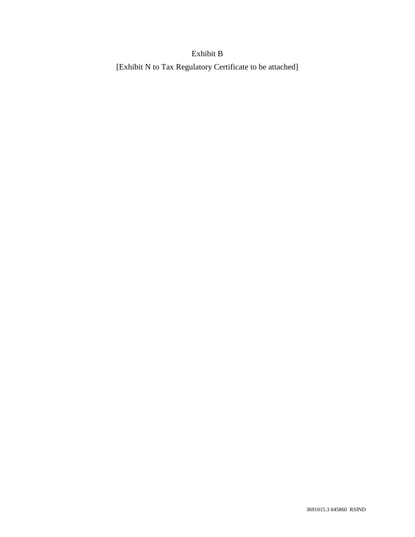# Exhibit B

[Exhibit N to Tax Regulatory Certificate to be attached]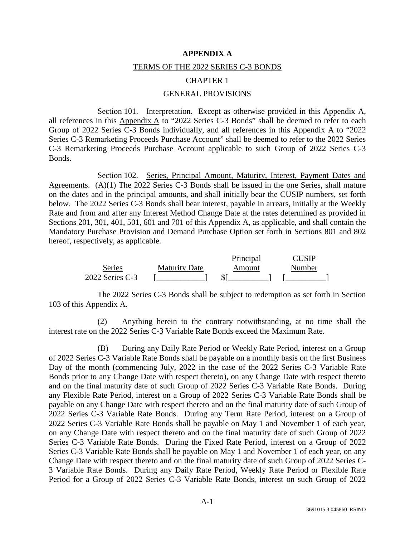#### **APPENDIX A**

#### TERMS OF THE 2022 SERIES C-3 BONDS

#### CHAPTER 1

## GENERAL PROVISIONS

Section 101. Interpretation. Except as otherwise provided in this Appendix A, all references in this  $\Delta$ ppendix  $\Delta$  to "2022 Series C-3 Bonds" shall be deemed to refer to each Group of 2022 Series C-3 Bonds individually, and all references in this Appendix A to "2022 Series C-3 Remarketing Proceeds Purchase Account" shall be deemed to refer to the 2022 Series C-3 Remarketing Proceeds Purchase Account applicable to such Group of 2022 Series C-3 Bonds.

Section 102. Series, Principal Amount, Maturity, Interest, Payment Dates and Agreements. (A)(1) The 2022 Series C-3 Bonds shall be issued in the one Series, shall mature on the dates and in the principal amounts, and shall initially bear the CUSIP numbers, set forth below. The 2022 Series C-3 Bonds shall bear interest, payable in arrears, initially at the Weekly Rate and from and after any Interest Method Change Date at the rates determined as provided in Sections 201, 301, 401, 501, 601 and 701 of this Appendix A, as applicable, and shall contain the Mandatory Purchase Provision and Demand Purchase Option set forth in Sections 801 and 802 hereof, respectively, as applicable.

|                 |                      | Principal | <b>CUSIP</b> |
|-----------------|----------------------|-----------|--------------|
| Series          | <b>Maturity Date</b> | Amount    | Number       |
| 2022 Series C-3 |                      |           |              |

The 2022 Series C-3 Bonds shall be subject to redemption as set forth in Section 103 of this Appendix A.

(2) Anything herein to the contrary notwithstanding, at no time shall the interest rate on the 2022 Series C-3 Variable Rate Bonds exceed the Maximum Rate.

(B) During any Daily Rate Period or Weekly Rate Period, interest on a Group of 2022 Series C-3 Variable Rate Bonds shall be payable on a monthly basis on the first Business Day of the month (commencing July, 2022 in the case of the 2022 Series C-3 Variable Rate Bonds prior to any Change Date with respect thereto), on any Change Date with respect thereto and on the final maturity date of such Group of 2022 Series C-3 Variable Rate Bonds. During any Flexible Rate Period, interest on a Group of 2022 Series C-3 Variable Rate Bonds shall be payable on any Change Date with respect thereto and on the final maturity date of such Group of 2022 Series C-3 Variable Rate Bonds. During any Term Rate Period, interest on a Group of 2022 Series C-3 Variable Rate Bonds shall be payable on May 1 and November 1 of each year, on any Change Date with respect thereto and on the final maturity date of such Group of 2022 Series C-3 Variable Rate Bonds. During the Fixed Rate Period, interest on a Group of 2022 Series C-3 Variable Rate Bonds shall be payable on May 1 and November 1 of each year, on any Change Date with respect thereto and on the final maturity date of such Group of 2022 Series C-3 Variable Rate Bonds. During any Daily Rate Period, Weekly Rate Period or Flexible Rate Period for a Group of 2022 Series C-3 Variable Rate Bonds, interest on such Group of 2022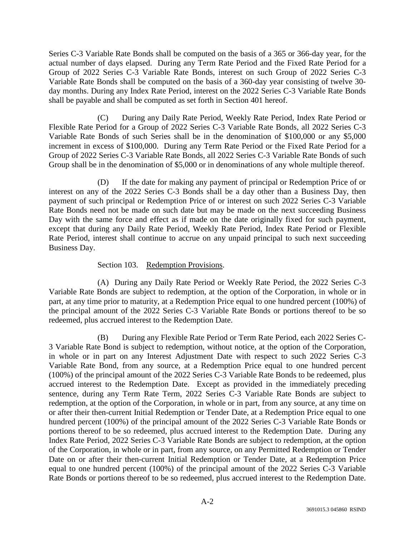Series C-3 Variable Rate Bonds shall be computed on the basis of a 365 or 366-day year, for the actual number of days elapsed. During any Term Rate Period and the Fixed Rate Period for a Group of 2022 Series C-3 Variable Rate Bonds, interest on such Group of 2022 Series C-3 Variable Rate Bonds shall be computed on the basis of a 360-day year consisting of twelve 30 day months. During any Index Rate Period, interest on the 2022 Series C-3 Variable Rate Bonds shall be payable and shall be computed as set forth in Section 401 hereof.

(C) During any Daily Rate Period, Weekly Rate Period, Index Rate Period or Flexible Rate Period for a Group of 2022 Series C-3 Variable Rate Bonds, all 2022 Series C-3 Variable Rate Bonds of such Series shall be in the denomination of \$100,000 or any \$5,000 increment in excess of \$100,000. During any Term Rate Period or the Fixed Rate Period for a Group of 2022 Series C-3 Variable Rate Bonds, all 2022 Series C-3 Variable Rate Bonds of such Group shall be in the denomination of \$5,000 or in denominations of any whole multiple thereof.

(D) If the date for making any payment of principal or Redemption Price of or interest on any of the 2022 Series C-3 Bonds shall be a day other than a Business Day, then payment of such principal or Redemption Price of or interest on such 2022 Series C-3 Variable Rate Bonds need not be made on such date but may be made on the next succeeding Business Day with the same force and effect as if made on the date originally fixed for such payment, except that during any Daily Rate Period, Weekly Rate Period, Index Rate Period or Flexible Rate Period, interest shall continue to accrue on any unpaid principal to such next succeeding Business Day.

# Section 103. Redemption Provisions.

(A) During any Daily Rate Period or Weekly Rate Period, the 2022 Series C-3 Variable Rate Bonds are subject to redemption, at the option of the Corporation, in whole or in part, at any time prior to maturity, at a Redemption Price equal to one hundred percent (100%) of the principal amount of the 2022 Series C-3 Variable Rate Bonds or portions thereof to be so redeemed, plus accrued interest to the Redemption Date.

(B) During any Flexible Rate Period or Term Rate Period, each 2022 Series C-3 Variable Rate Bond is subject to redemption, without notice, at the option of the Corporation, in whole or in part on any Interest Adjustment Date with respect to such 2022 Series C-3 Variable Rate Bond, from any source, at a Redemption Price equal to one hundred percent (100%) of the principal amount of the 2022 Series C-3 Variable Rate Bonds to be redeemed, plus accrued interest to the Redemption Date. Except as provided in the immediately preceding sentence, during any Term Rate Term, 2022 Series C-3 Variable Rate Bonds are subject to redemption, at the option of the Corporation, in whole or in part, from any source, at any time on or after their then-current Initial Redemption or Tender Date, at a Redemption Price equal to one hundred percent (100%) of the principal amount of the 2022 Series C-3 Variable Rate Bonds or portions thereof to be so redeemed, plus accrued interest to the Redemption Date. During any Index Rate Period, 2022 Series C-3 Variable Rate Bonds are subject to redemption, at the option of the Corporation, in whole or in part, from any source, on any Permitted Redemption or Tender Date on or after their then-current Initial Redemption or Tender Date, at a Redemption Price equal to one hundred percent (100%) of the principal amount of the 2022 Series C-3 Variable Rate Bonds or portions thereof to be so redeemed, plus accrued interest to the Redemption Date.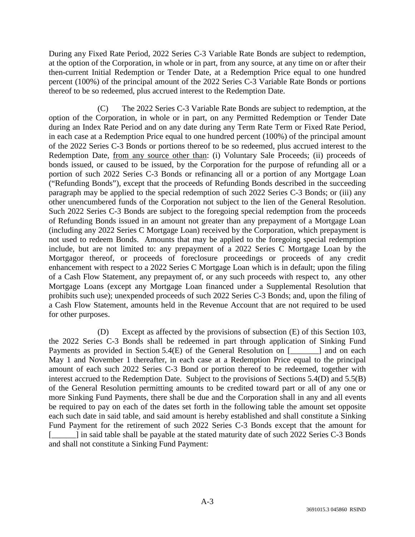During any Fixed Rate Period, 2022 Series C-3 Variable Rate Bonds are subject to redemption, at the option of the Corporation, in whole or in part, from any source, at any time on or after their then-current Initial Redemption or Tender Date, at a Redemption Price equal to one hundred percent (100%) of the principal amount of the 2022 Series C-3 Variable Rate Bonds or portions thereof to be so redeemed, plus accrued interest to the Redemption Date.

(C) The 2022 Series C-3 Variable Rate Bonds are subject to redemption, at the option of the Corporation, in whole or in part, on any Permitted Redemption or Tender Date during an Index Rate Period and on any date during any Term Rate Term or Fixed Rate Period, in each case at a Redemption Price equal to one hundred percent (100%) of the principal amount of the 2022 Series C-3 Bonds or portions thereof to be so redeemed, plus accrued interest to the Redemption Date, from any source other than: (i) Voluntary Sale Proceeds; (ii) proceeds of bonds issued, or caused to be issued, by the Corporation for the purpose of refunding all or a portion of such 2022 Series C-3 Bonds or refinancing all or a portion of any Mortgage Loan ("Refunding Bonds"), except that the proceeds of Refunding Bonds described in the succeeding paragraph may be applied to the special redemption of such 2022 Series C-3 Bonds; or (iii) any other unencumbered funds of the Corporation not subject to the lien of the General Resolution. Such 2022 Series C-3 Bonds are subject to the foregoing special redemption from the proceeds of Refunding Bonds issued in an amount not greater than any prepayment of a Mortgage Loan (including any 2022 Series C Mortgage Loan) received by the Corporation, which prepayment is not used to redeem Bonds. Amounts that may be applied to the foregoing special redemption include, but are not limited to: any prepayment of a 2022 Series C Mortgage Loan by the Mortgagor thereof, or proceeds of foreclosure proceedings or proceeds of any credit enhancement with respect to a 2022 Series C Mortgage Loan which is in default; upon the filing of a Cash Flow Statement, any prepayment of, or any such proceeds with respect to, any other Mortgage Loans (except any Mortgage Loan financed under a Supplemental Resolution that prohibits such use); unexpended proceeds of such 2022 Series C-3 Bonds; and, upon the filing of a Cash Flow Statement, amounts held in the Revenue Account that are not required to be used for other purposes.

(D) Except as affected by the provisions of subsection (E) of this Section 103, the 2022 Series C-3 Bonds shall be redeemed in part through application of Sinking Fund Payments as provided in Section 5.4(E) of the General Resolution on [\_\_\_\_\_\_\_] and on each May 1 and November 1 thereafter, in each case at a Redemption Price equal to the principal amount of each such 2022 Series C-3 Bond or portion thereof to be redeemed, together with interest accrued to the Redemption Date. Subject to the provisions of Sections 5.4(D) and 5.5(B) of the General Resolution permitting amounts to be credited toward part or all of any one or more Sinking Fund Payments, there shall be due and the Corporation shall in any and all events be required to pay on each of the dates set forth in the following table the amount set opposite each such date in said table, and said amount is hereby established and shall constitute a Sinking Fund Payment for the retirement of such 2022 Series C-3 Bonds except that the amount for [\_\_\_\_\_] in said table shall be payable at the stated maturity date of such 2022 Series C-3 Bonds and shall not constitute a Sinking Fund Payment: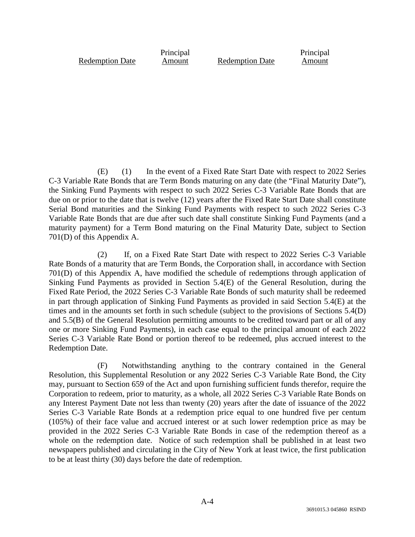Redemption Date

Principal

Amount Redemption Date

Principal Amount

(E) (1) In the event of a Fixed Rate Start Date with respect to 2022 Series C-3 Variable Rate Bonds that are Term Bonds maturing on any date (the "Final Maturity Date"), the Sinking Fund Payments with respect to such 2022 Series C-3 Variable Rate Bonds that are due on or prior to the date that is twelve (12) years after the Fixed Rate Start Date shall constitute Serial Bond maturities and the Sinking Fund Payments with respect to such 2022 Series C-3 Variable Rate Bonds that are due after such date shall constitute Sinking Fund Payments (and a maturity payment) for a Term Bond maturing on the Final Maturity Date, subject to Section 701(D) of this Appendix A.

(2) If, on a Fixed Rate Start Date with respect to 2022 Series C-3 Variable Rate Bonds of a maturity that are Term Bonds, the Corporation shall, in accordance with Section 701(D) of this Appendix A, have modified the schedule of redemptions through application of Sinking Fund Payments as provided in Section 5.4(E) of the General Resolution, during the Fixed Rate Period, the 2022 Series C-3 Variable Rate Bonds of such maturity shall be redeemed in part through application of Sinking Fund Payments as provided in said Section 5.4(E) at the times and in the amounts set forth in such schedule (subject to the provisions of Sections 5.4(D) and 5.5(B) of the General Resolution permitting amounts to be credited toward part or all of any one or more Sinking Fund Payments), in each case equal to the principal amount of each 2022 Series C-3 Variable Rate Bond or portion thereof to be redeemed, plus accrued interest to the Redemption Date.

(F) Notwithstanding anything to the contrary contained in the General Resolution, this Supplemental Resolution or any 2022 Series C-3 Variable Rate Bond, the City may, pursuant to Section 659 of the Act and upon furnishing sufficient funds therefor, require the Corporation to redeem, prior to maturity, as a whole, all 2022 Series C-3 Variable Rate Bonds on any Interest Payment Date not less than twenty (20) years after the date of issuance of the 2022 Series C-3 Variable Rate Bonds at a redemption price equal to one hundred five per centum (105%) of their face value and accrued interest or at such lower redemption price as may be provided in the 2022 Series C-3 Variable Rate Bonds in case of the redemption thereof as a whole on the redemption date. Notice of such redemption shall be published in at least two newspapers published and circulating in the City of New York at least twice, the first publication to be at least thirty (30) days before the date of redemption.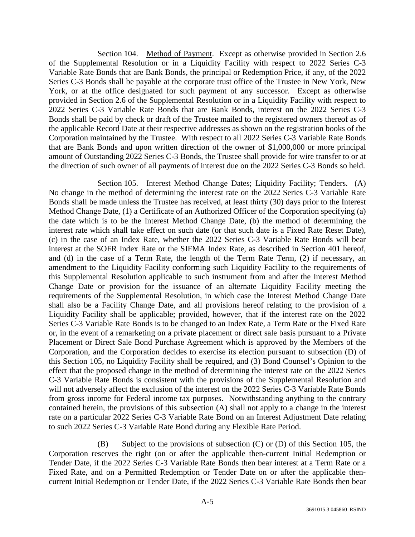Section 104. Method of Payment. Except as otherwise provided in Section 2.6 of the Supplemental Resolution or in a Liquidity Facility with respect to 2022 Series C-3 Variable Rate Bonds that are Bank Bonds, the principal or Redemption Price, if any, of the 2022 Series C-3 Bonds shall be payable at the corporate trust office of the Trustee in New York, New York, or at the office designated for such payment of any successor. Except as otherwise provided in Section 2.6 of the Supplemental Resolution or in a Liquidity Facility with respect to 2022 Series C-3 Variable Rate Bonds that are Bank Bonds, interest on the 2022 Series C-3 Bonds shall be paid by check or draft of the Trustee mailed to the registered owners thereof as of the applicable Record Date at their respective addresses as shown on the registration books of the Corporation maintained by the Trustee. With respect to all 2022 Series C-3 Variable Rate Bonds that are Bank Bonds and upon written direction of the owner of \$1,000,000 or more principal amount of Outstanding 2022 Series C-3 Bonds, the Trustee shall provide for wire transfer to or at the direction of such owner of all payments of interest due on the 2022 Series C-3 Bonds so held.

Section 105. Interest Method Change Dates; Liquidity Facility; Tenders. (A) No change in the method of determining the interest rate on the 2022 Series C-3 Variable Rate Bonds shall be made unless the Trustee has received, at least thirty (30) days prior to the Interest Method Change Date, (1) a Certificate of an Authorized Officer of the Corporation specifying (a) the date which is to be the Interest Method Change Date, (b) the method of determining the interest rate which shall take effect on such date (or that such date is a Fixed Rate Reset Date), (c) in the case of an Index Rate, whether the 2022 Series C-3 Variable Rate Bonds will bear interest at the SOFR Index Rate or the SIFMA Index Rate, as described in Section 401 hereof, and (d) in the case of a Term Rate, the length of the Term Rate Term, (2) if necessary, an amendment to the Liquidity Facility conforming such Liquidity Facility to the requirements of this Supplemental Resolution applicable to such instrument from and after the Interest Method Change Date or provision for the issuance of an alternate Liquidity Facility meeting the requirements of the Supplemental Resolution, in which case the Interest Method Change Date shall also be a Facility Change Date, and all provisions hereof relating to the provision of a Liquidity Facility shall be applicable; provided, however, that if the interest rate on the 2022 Series C-3 Variable Rate Bonds is to be changed to an Index Rate, a Term Rate or the Fixed Rate or, in the event of a remarketing on a private placement or direct sale basis pursuant to a Private Placement or Direct Sale Bond Purchase Agreement which is approved by the Members of the Corporation, and the Corporation decides to exercise its election pursuant to subsection (D) of this Section 105, no Liquidity Facility shall be required, and (3) Bond Counsel's Opinion to the effect that the proposed change in the method of determining the interest rate on the 2022 Series C-3 Variable Rate Bonds is consistent with the provisions of the Supplemental Resolution and will not adversely affect the exclusion of the interest on the 2022 Series C-3 Variable Rate Bonds from gross income for Federal income tax purposes. Notwithstanding anything to the contrary contained herein, the provisions of this subsection (A) shall not apply to a change in the interest rate on a particular 2022 Series C-3 Variable Rate Bond on an Interest Adjustment Date relating to such 2022 Series C-3 Variable Rate Bond during any Flexible Rate Period.

(B) Subject to the provisions of subsection (C) or (D) of this Section 105, the Corporation reserves the right (on or after the applicable then-current Initial Redemption or Tender Date, if the 2022 Series C-3 Variable Rate Bonds then bear interest at a Term Rate or a Fixed Rate, and on a Permitted Redemption or Tender Date on or after the applicable thencurrent Initial Redemption or Tender Date, if the 2022 Series C-3 Variable Rate Bonds then bear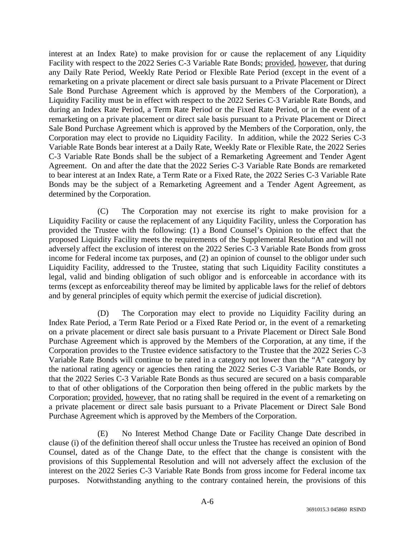interest at an Index Rate) to make provision for or cause the replacement of any Liquidity Facility with respect to the 2022 Series C-3 Variable Rate Bonds; provided, however, that during any Daily Rate Period, Weekly Rate Period or Flexible Rate Period (except in the event of a remarketing on a private placement or direct sale basis pursuant to a Private Placement or Direct Sale Bond Purchase Agreement which is approved by the Members of the Corporation), a Liquidity Facility must be in effect with respect to the 2022 Series C-3 Variable Rate Bonds, and during an Index Rate Period, a Term Rate Period or the Fixed Rate Period, or in the event of a remarketing on a private placement or direct sale basis pursuant to a Private Placement or Direct Sale Bond Purchase Agreement which is approved by the Members of the Corporation, only, the Corporation may elect to provide no Liquidity Facility. In addition, while the 2022 Series C-3 Variable Rate Bonds bear interest at a Daily Rate, Weekly Rate or Flexible Rate, the 2022 Series C-3 Variable Rate Bonds shall be the subject of a Remarketing Agreement and Tender Agent Agreement. On and after the date that the 2022 Series C-3 Variable Rate Bonds are remarketed to bear interest at an Index Rate, a Term Rate or a Fixed Rate, the 2022 Series C-3 Variable Rate Bonds may be the subject of a Remarketing Agreement and a Tender Agent Agreement, as determined by the Corporation.

(C) The Corporation may not exercise its right to make provision for a Liquidity Facility or cause the replacement of any Liquidity Facility, unless the Corporation has provided the Trustee with the following: (1) a Bond Counsel's Opinion to the effect that the proposed Liquidity Facility meets the requirements of the Supplemental Resolution and will not adversely affect the exclusion of interest on the 2022 Series C-3 Variable Rate Bonds from gross income for Federal income tax purposes, and (2) an opinion of counsel to the obligor under such Liquidity Facility, addressed to the Trustee, stating that such Liquidity Facility constitutes a legal, valid and binding obligation of such obligor and is enforceable in accordance with its terms (except as enforceability thereof may be limited by applicable laws for the relief of debtors and by general principles of equity which permit the exercise of judicial discretion).

(D) The Corporation may elect to provide no Liquidity Facility during an Index Rate Period, a Term Rate Period or a Fixed Rate Period or, in the event of a remarketing on a private placement or direct sale basis pursuant to a Private Placement or Direct Sale Bond Purchase Agreement which is approved by the Members of the Corporation, at any time, if the Corporation provides to the Trustee evidence satisfactory to the Trustee that the 2022 Series C-3 Variable Rate Bonds will continue to be rated in a category not lower than the "A" category by the national rating agency or agencies then rating the 2022 Series C-3 Variable Rate Bonds, or that the 2022 Series C-3 Variable Rate Bonds as thus secured are secured on a basis comparable to that of other obligations of the Corporation then being offered in the public markets by the Corporation; provided, however, that no rating shall be required in the event of a remarketing on a private placement or direct sale basis pursuant to a Private Placement or Direct Sale Bond Purchase Agreement which is approved by the Members of the Corporation.

(E) No Interest Method Change Date or Facility Change Date described in clause (i) of the definition thereof shall occur unless the Trustee has received an opinion of Bond Counsel, dated as of the Change Date, to the effect that the change is consistent with the provisions of this Supplemental Resolution and will not adversely affect the exclusion of the interest on the 2022 Series C-3 Variable Rate Bonds from gross income for Federal income tax purposes. Notwithstanding anything to the contrary contained herein, the provisions of this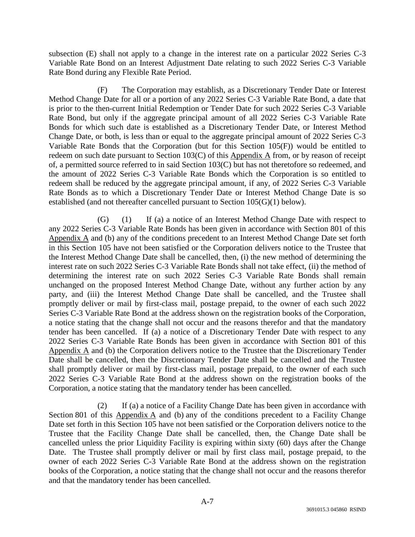subsection (E) shall not apply to a change in the interest rate on a particular 2022 Series C-3 Variable Rate Bond on an Interest Adjustment Date relating to such 2022 Series C-3 Variable Rate Bond during any Flexible Rate Period.

(F) The Corporation may establish, as a Discretionary Tender Date or Interest Method Change Date for all or a portion of any 2022 Series C-3 Variable Rate Bond, a date that is prior to the then-current Initial Redemption or Tender Date for such 2022 Series C-3 Variable Rate Bond, but only if the aggregate principal amount of all 2022 Series C-3 Variable Rate Bonds for which such date is established as a Discretionary Tender Date, or Interest Method Change Date, or both, is less than or equal to the aggregate principal amount of 2022 Series C-3 Variable Rate Bonds that the Corporation (but for this Section 105(F)) would be entitled to redeem on such date pursuant to Section 103(C) of this Appendix A from, or by reason of receipt of, a permitted source referred to in said Section 103(C) but has not theretofore so redeemed, and the amount of 2022 Series C-3 Variable Rate Bonds which the Corporation is so entitled to redeem shall be reduced by the aggregate principal amount, if any, of 2022 Series C-3 Variable Rate Bonds as to which a Discretionary Tender Date or Interest Method Change Date is so established (and not thereafter cancelled pursuant to Section 105(G)(1) below).

(G) (1) If (a) a notice of an Interest Method Change Date with respect to any 2022 Series C-3 Variable Rate Bonds has been given in accordance with Section 801 of this Appendix A and (b) any of the conditions precedent to an Interest Method Change Date set forth in this Section 105 have not been satisfied or the Corporation delivers notice to the Trustee that the Interest Method Change Date shall be cancelled, then, (i) the new method of determining the interest rate on such 2022 Series C-3 Variable Rate Bonds shall not take effect, (ii) the method of determining the interest rate on such 2022 Series C-3 Variable Rate Bonds shall remain unchanged on the proposed Interest Method Change Date, without any further action by any party, and (iii) the Interest Method Change Date shall be cancelled, and the Trustee shall promptly deliver or mail by first-class mail, postage prepaid, to the owner of each such 2022 Series C-3 Variable Rate Bond at the address shown on the registration books of the Corporation, a notice stating that the change shall not occur and the reasons therefor and that the mandatory tender has been cancelled. If (a) a notice of a Discretionary Tender Date with respect to any 2022 Series C-3 Variable Rate Bonds has been given in accordance with Section 801 of this Appendix A and (b) the Corporation delivers notice to the Trustee that the Discretionary Tender Date shall be cancelled, then the Discretionary Tender Date shall be cancelled and the Trustee shall promptly deliver or mail by first-class mail, postage prepaid, to the owner of each such 2022 Series C-3 Variable Rate Bond at the address shown on the registration books of the Corporation, a notice stating that the mandatory tender has been cancelled.

(2) If (a) a notice of a Facility Change Date has been given in accordance with Section 801 of this Appendix A and (b) any of the conditions precedent to a Facility Change Date set forth in this Section 105 have not been satisfied or the Corporation delivers notice to the Trustee that the Facility Change Date shall be cancelled, then, the Change Date shall be cancelled unless the prior Liquidity Facility is expiring within sixty (60) days after the Change Date. The Trustee shall promptly deliver or mail by first class mail, postage prepaid, to the owner of each 2022 Series C-3 Variable Rate Bond at the address shown on the registration books of the Corporation, a notice stating that the change shall not occur and the reasons therefor and that the mandatory tender has been cancelled.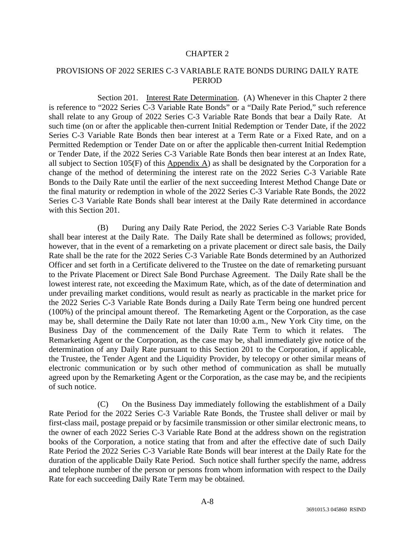#### CHAPTER 2

## PROVISIONS OF 2022 SERIES C-3 VARIABLE RATE BONDS DURING DAILY RATE **PERIOD**

Section 201. Interest Rate Determination. (A) Whenever in this Chapter 2 there is reference to "2022 Series C-3 Variable Rate Bonds" or a "Daily Rate Period," such reference shall relate to any Group of 2022 Series C-3 Variable Rate Bonds that bear a Daily Rate. At such time (on or after the applicable then-current Initial Redemption or Tender Date, if the 2022 Series C-3 Variable Rate Bonds then bear interest at a Term Rate or a Fixed Rate, and on a Permitted Redemption or Tender Date on or after the applicable then-current Initial Redemption or Tender Date, if the 2022 Series C-3 Variable Rate Bonds then bear interest at an Index Rate, all subject to Section 105(F) of this Appendix A) as shall be designated by the Corporation for a change of the method of determining the interest rate on the 2022 Series C-3 Variable Rate Bonds to the Daily Rate until the earlier of the next succeeding Interest Method Change Date or the final maturity or redemption in whole of the 2022 Series C-3 Variable Rate Bonds, the 2022 Series C-3 Variable Rate Bonds shall bear interest at the Daily Rate determined in accordance with this Section 201.

(B) During any Daily Rate Period, the 2022 Series C-3 Variable Rate Bonds shall bear interest at the Daily Rate. The Daily Rate shall be determined as follows; provided, however, that in the event of a remarketing on a private placement or direct sale basis, the Daily Rate shall be the rate for the 2022 Series C-3 Variable Rate Bonds determined by an Authorized Officer and set forth in a Certificate delivered to the Trustee on the date of remarketing pursuant to the Private Placement or Direct Sale Bond Purchase Agreement. The Daily Rate shall be the lowest interest rate, not exceeding the Maximum Rate, which, as of the date of determination and under prevailing market conditions, would result as nearly as practicable in the market price for the 2022 Series C-3 Variable Rate Bonds during a Daily Rate Term being one hundred percent (100%) of the principal amount thereof. The Remarketing Agent or the Corporation, as the case may be, shall determine the Daily Rate not later than 10:00 a.m., New York City time, on the Business Day of the commencement of the Daily Rate Term to which it relates. The Remarketing Agent or the Corporation, as the case may be, shall immediately give notice of the determination of any Daily Rate pursuant to this Section 201 to the Corporation, if applicable, the Trustee, the Tender Agent and the Liquidity Provider, by telecopy or other similar means of electronic communication or by such other method of communication as shall be mutually agreed upon by the Remarketing Agent or the Corporation, as the case may be, and the recipients of such notice.

(C) On the Business Day immediately following the establishment of a Daily Rate Period for the 2022 Series C-3 Variable Rate Bonds, the Trustee shall deliver or mail by first-class mail, postage prepaid or by facsimile transmission or other similar electronic means, to the owner of each 2022 Series C-3 Variable Rate Bond at the address shown on the registration books of the Corporation, a notice stating that from and after the effective date of such Daily Rate Period the 2022 Series C-3 Variable Rate Bonds will bear interest at the Daily Rate for the duration of the applicable Daily Rate Period. Such notice shall further specify the name, address and telephone number of the person or persons from whom information with respect to the Daily Rate for each succeeding Daily Rate Term may be obtained.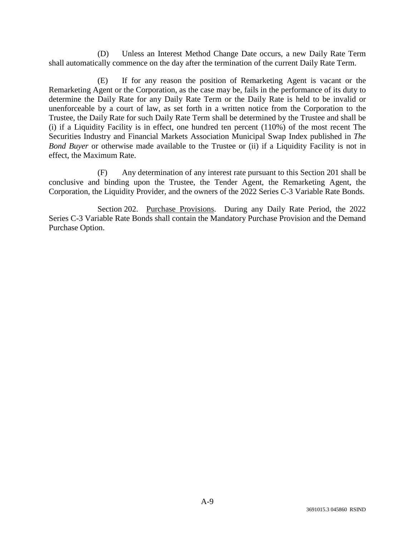(D) Unless an Interest Method Change Date occurs, a new Daily Rate Term shall automatically commence on the day after the termination of the current Daily Rate Term.

(E) If for any reason the position of Remarketing Agent is vacant or the Remarketing Agent or the Corporation, as the case may be, fails in the performance of its duty to determine the Daily Rate for any Daily Rate Term or the Daily Rate is held to be invalid or unenforceable by a court of law, as set forth in a written notice from the Corporation to the Trustee, the Daily Rate for such Daily Rate Term shall be determined by the Trustee and shall be (i) if a Liquidity Facility is in effect, one hundred ten percent (110%) of the most recent The Securities Industry and Financial Markets Association Municipal Swap Index published in *The Bond Buyer* or otherwise made available to the Trustee or (ii) if a Liquidity Facility is not in effect, the Maximum Rate.

(F) Any determination of any interest rate pursuant to this Section 201 shall be conclusive and binding upon the Trustee, the Tender Agent, the Remarketing Agent, the Corporation, the Liquidity Provider, and the owners of the 2022 Series C-3 Variable Rate Bonds.

Section 202. Purchase Provisions. During any Daily Rate Period, the 2022 Series C-3 Variable Rate Bonds shall contain the Mandatory Purchase Provision and the Demand Purchase Option.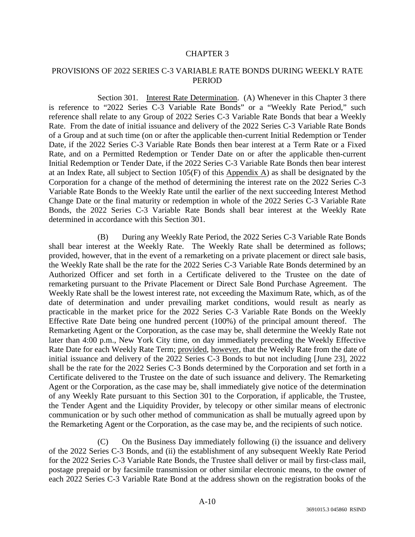#### CHAPTER 3

## PROVISIONS OF 2022 SERIES C-3 VARIABLE RATE BONDS DURING WEEKLY RATE **PERIOD**

Section 301. Interest Rate Determination. (A) Whenever in this Chapter 3 there is reference to "2022 Series C-3 Variable Rate Bonds" or a "Weekly Rate Period," such reference shall relate to any Group of 2022 Series C-3 Variable Rate Bonds that bear a Weekly Rate. From the date of initial issuance and delivery of the 2022 Series C-3 Variable Rate Bonds of a Group and at such time (on or after the applicable then-current Initial Redemption or Tender Date, if the 2022 Series C-3 Variable Rate Bonds then bear interest at a Term Rate or a Fixed Rate, and on a Permitted Redemption or Tender Date on or after the applicable then-current Initial Redemption or Tender Date, if the 2022 Series C-3 Variable Rate Bonds then bear interest at an Index Rate, all subject to Section 105(F) of this Appendix A) as shall be designated by the Corporation for a change of the method of determining the interest rate on the 2022 Series C-3 Variable Rate Bonds to the Weekly Rate until the earlier of the next succeeding Interest Method Change Date or the final maturity or redemption in whole of the 2022 Series C-3 Variable Rate Bonds, the 2022 Series C-3 Variable Rate Bonds shall bear interest at the Weekly Rate determined in accordance with this Section 301.

(B) During any Weekly Rate Period, the 2022 Series C-3 Variable Rate Bonds shall bear interest at the Weekly Rate. The Weekly Rate shall be determined as follows; provided, however, that in the event of a remarketing on a private placement or direct sale basis, the Weekly Rate shall be the rate for the 2022 Series C-3 Variable Rate Bonds determined by an Authorized Officer and set forth in a Certificate delivered to the Trustee on the date of remarketing pursuant to the Private Placement or Direct Sale Bond Purchase Agreement. The Weekly Rate shall be the lowest interest rate, not exceeding the Maximum Rate, which, as of the date of determination and under prevailing market conditions, would result as nearly as practicable in the market price for the 2022 Series C-3 Variable Rate Bonds on the Weekly Effective Rate Date being one hundred percent (100%) of the principal amount thereof. The Remarketing Agent or the Corporation, as the case may be, shall determine the Weekly Rate not later than 4:00 p.m., New York City time, on day immediately preceding the Weekly Effective Rate Date for each Weekly Rate Term; provided, however, that the Weekly Rate from the date of initial issuance and delivery of the 2022 Series C-3 Bonds to but not including [June 23], 2022 shall be the rate for the 2022 Series C-3 Bonds determined by the Corporation and set forth in a Certificate delivered to the Trustee on the date of such issuance and delivery. The Remarketing Agent or the Corporation, as the case may be, shall immediately give notice of the determination of any Weekly Rate pursuant to this Section 301 to the Corporation, if applicable, the Trustee, the Tender Agent and the Liquidity Provider, by telecopy or other similar means of electronic communication or by such other method of communication as shall be mutually agreed upon by the Remarketing Agent or the Corporation, as the case may be, and the recipients of such notice.

(C) On the Business Day immediately following (i) the issuance and delivery of the 2022 Series C-3 Bonds, and (ii) the establishment of any subsequent Weekly Rate Period for the 2022 Series C-3 Variable Rate Bonds, the Trustee shall deliver or mail by first-class mail, postage prepaid or by facsimile transmission or other similar electronic means, to the owner of each 2022 Series C-3 Variable Rate Bond at the address shown on the registration books of the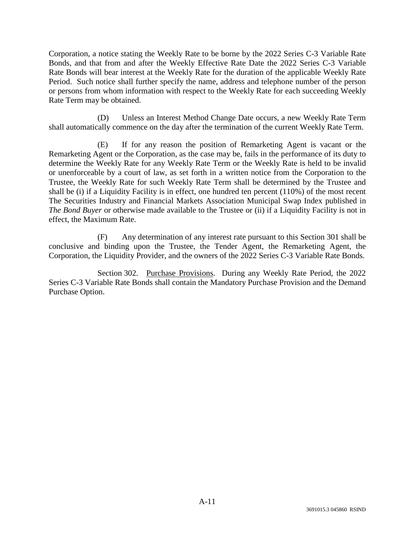Corporation, a notice stating the Weekly Rate to be borne by the 2022 Series C-3 Variable Rate Bonds, and that from and after the Weekly Effective Rate Date the 2022 Series C-3 Variable Rate Bonds will bear interest at the Weekly Rate for the duration of the applicable Weekly Rate Period. Such notice shall further specify the name, address and telephone number of the person or persons from whom information with respect to the Weekly Rate for each succeeding Weekly Rate Term may be obtained.

(D) Unless an Interest Method Change Date occurs, a new Weekly Rate Term shall automatically commence on the day after the termination of the current Weekly Rate Term.

(E) If for any reason the position of Remarketing Agent is vacant or the Remarketing Agent or the Corporation, as the case may be, fails in the performance of its duty to determine the Weekly Rate for any Weekly Rate Term or the Weekly Rate is held to be invalid or unenforceable by a court of law, as set forth in a written notice from the Corporation to the Trustee, the Weekly Rate for such Weekly Rate Term shall be determined by the Trustee and shall be (i) if a Liquidity Facility is in effect, one hundred ten percent (110%) of the most recent The Securities Industry and Financial Markets Association Municipal Swap Index published in *The Bond Buyer* or otherwise made available to the Trustee or (ii) if a Liquidity Facility is not in effect, the Maximum Rate.

(F) Any determination of any interest rate pursuant to this Section 301 shall be conclusive and binding upon the Trustee, the Tender Agent, the Remarketing Agent, the Corporation, the Liquidity Provider, and the owners of the 2022 Series C-3 Variable Rate Bonds.

Section 302. Purchase Provisions. During any Weekly Rate Period, the 2022 Series C-3 Variable Rate Bonds shall contain the Mandatory Purchase Provision and the Demand Purchase Option.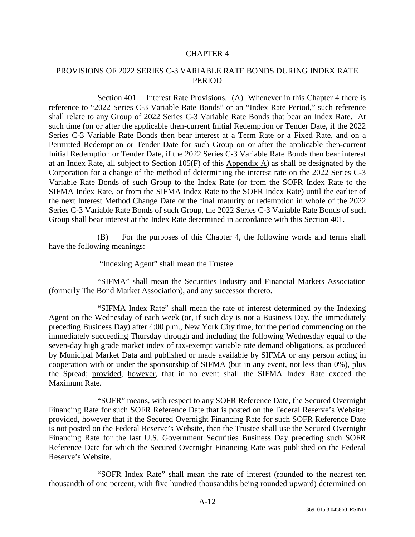## CHAPTER 4

# PROVISIONS OF 2022 SERIES C-3 VARIABLE RATE BONDS DURING INDEX RATE PERIOD

Section 401. Interest Rate Provisions. (A) Whenever in this Chapter 4 there is reference to "2022 Series C-3 Variable Rate Bonds" or an "Index Rate Period," such reference shall relate to any Group of 2022 Series C-3 Variable Rate Bonds that bear an Index Rate. At such time (on or after the applicable then-current Initial Redemption or Tender Date, if the 2022 Series C-3 Variable Rate Bonds then bear interest at a Term Rate or a Fixed Rate, and on a Permitted Redemption or Tender Date for such Group on or after the applicable then-current Initial Redemption or Tender Date, if the 2022 Series C-3 Variable Rate Bonds then bear interest at an Index Rate, all subject to Section  $105(F)$  of this Appendix A) as shall be designated by the Corporation for a change of the method of determining the interest rate on the 2022 Series C-3 Variable Rate Bonds of such Group to the Index Rate (or from the SOFR Index Rate to the SIFMA Index Rate, or from the SIFMA Index Rate to the SOFR Index Rate) until the earlier of the next Interest Method Change Date or the final maturity or redemption in whole of the 2022 Series C-3 Variable Rate Bonds of such Group, the 2022 Series C-3 Variable Rate Bonds of such Group shall bear interest at the Index Rate determined in accordance with this Section 401.

(B) For the purposes of this Chapter 4, the following words and terms shall have the following meanings:

"Indexing Agent" shall mean the Trustee.

"SIFMA" shall mean the Securities Industry and Financial Markets Association (formerly The Bond Market Association), and any successor thereto.

"SIFMA Index Rate" shall mean the rate of interest determined by the Indexing Agent on the Wednesday of each week (or, if such day is not a Business Day, the immediately preceding Business Day) after 4:00 p.m., New York City time, for the period commencing on the immediately succeeding Thursday through and including the following Wednesday equal to the seven-day high grade market index of tax-exempt variable rate demand obligations, as produced by Municipal Market Data and published or made available by SIFMA or any person acting in cooperation with or under the sponsorship of SIFMA (but in any event, not less than 0%), plus the Spread; provided*,* however, that in no event shall the SIFMA Index Rate exceed the Maximum Rate.

"SOFR" means, with respect to any SOFR Reference Date, the Secured Overnight Financing Rate for such SOFR Reference Date that is posted on the Federal Reserve's Website; provided, however that if the Secured Overnight Financing Rate for such SOFR Reference Date is not posted on the Federal Reserve's Website, then the Trustee shall use the Secured Overnight Financing Rate for the last U.S. Government Securities Business Day preceding such SOFR Reference Date for which the Secured Overnight Financing Rate was published on the Federal Reserve's Website.

"SOFR Index Rate" shall mean the rate of interest (rounded to the nearest ten thousandth of one percent, with five hundred thousandths being rounded upward) determined on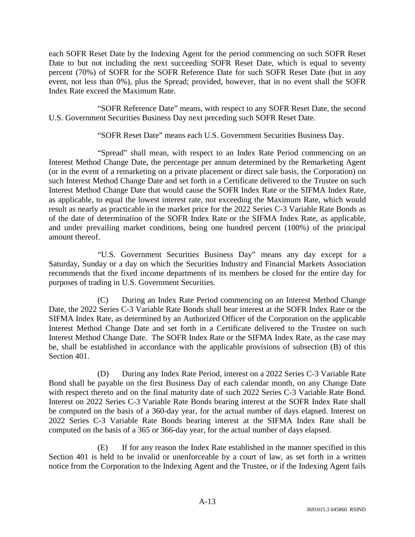each SOFR Reset Date by the Indexing Agent for the period commencing on such SOFR Reset Date to but not including the next succeeding SOFR Reset Date, which is equal to seventy percent (70%) of SOFR for the SOFR Reference Date for such SOFR Reset Date (but in any event, not less than 0%), plus the Spread; provided, however, that in no event shall the SOFR Index Rate exceed the Maximum Rate.

"SOFR Reference Date" means, with respect to any SOFR Reset Date, the second U.S. Government Securities Business Day next preceding such SOFR Reset Date.

"SOFR Reset Date" means each U.S. Government Securities Business Day.

"Spread" shall mean, with respect to an Index Rate Period commencing on an Interest Method Change Date, the percentage per annum determined by the Remarketing Agent (or in the event of a remarketing on a private placement or direct sale basis, the Corporation) on such Interest Method Change Date and set forth in a Certificate delivered to the Trustee on such Interest Method Change Date that would cause the SOFR Index Rate or the SIFMA Index Rate, as applicable, to equal the lowest interest rate, not exceeding the Maximum Rate, which would result as nearly as practicable in the market price for the 2022 Series C-3 Variable Rate Bonds as of the date of determination of the SOFR Index Rate or the SIFMA Index Rate, as applicable, and under prevailing market conditions, being one hundred percent (100%) of the principal amount thereof.

"U.S. Government Securities Business Day" means any day except for a Saturday, Sunday or a day on which the Securities Industry and Financial Markets Association recommends that the fixed income departments of its members be closed for the entire day for purposes of trading in U.S. Government Securities.

(C) During an Index Rate Period commencing on an Interest Method Change Date, the 2022 Series C-3 Variable Rate Bonds shall bear interest at the SOFR Index Rate or the SIFMA Index Rate, as determined by an Authorized Officer of the Corporation on the applicable Interest Method Change Date and set forth in a Certificate delivered to the Trustee on such Interest Method Change Date. The SOFR Index Rate or the SIFMA Index Rate, as the case may be, shall be established in accordance with the applicable provisions of subsection (B) of this Section 401.

(D) During any Index Rate Period, interest on a 2022 Series C-3 Variable Rate Bond shall be payable on the first Business Day of each calendar month, on any Change Date with respect thereto and on the final maturity date of such 2022 Series C-3 Variable Rate Bond. Interest on 2022 Series C-3 Variable Rate Bonds bearing interest at the SOFR Index Rate shall be computed on the basis of a 360-day year, for the actual number of days elapsed. Interest on 2022 Series C-3 Variable Rate Bonds bearing interest at the SIFMA Index Rate shall be computed on the basis of a 365 or 366-day year, for the actual number of days elapsed.

(E) If for any reason the Index Rate established in the manner specified in this Section 401 is held to be invalid or unenforceable by a court of law, as set forth in a written notice from the Corporation to the Indexing Agent and the Trustee, or if the Indexing Agent fails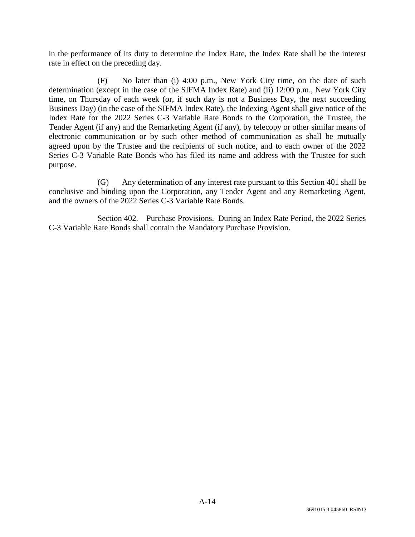in the performance of its duty to determine the Index Rate, the Index Rate shall be the interest rate in effect on the preceding day.

(F) No later than (i) 4:00 p.m., New York City time, on the date of such determination (except in the case of the SIFMA Index Rate) and (ii) 12:00 p.m., New York City time, on Thursday of each week (or, if such day is not a Business Day, the next succeeding Business Day) (in the case of the SIFMA Index Rate), the Indexing Agent shall give notice of the Index Rate for the 2022 Series C-3 Variable Rate Bonds to the Corporation, the Trustee, the Tender Agent (if any) and the Remarketing Agent (if any), by telecopy or other similar means of electronic communication or by such other method of communication as shall be mutually agreed upon by the Trustee and the recipients of such notice, and to each owner of the 2022 Series C-3 Variable Rate Bonds who has filed its name and address with the Trustee for such purpose.

(G) Any determination of any interest rate pursuant to this Section 401 shall be conclusive and binding upon the Corporation, any Tender Agent and any Remarketing Agent, and the owners of the 2022 Series C-3 Variable Rate Bonds.

Section 402. Purchase Provisions. During an Index Rate Period, the 2022 Series C-3 Variable Rate Bonds shall contain the Mandatory Purchase Provision.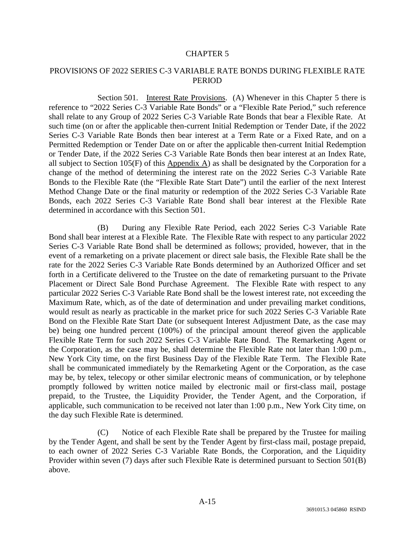#### CHAPTER 5

## PROVISIONS OF 2022 SERIES C-3 VARIABLE RATE BONDS DURING FLEXIBLE RATE **PERIOD**

Section 501. Interest Rate Provisions. (A) Whenever in this Chapter 5 there is reference to "2022 Series C-3 Variable Rate Bonds" or a "Flexible Rate Period," such reference shall relate to any Group of 2022 Series C-3 Variable Rate Bonds that bear a Flexible Rate. At such time (on or after the applicable then-current Initial Redemption or Tender Date, if the 2022 Series C-3 Variable Rate Bonds then bear interest at a Term Rate or a Fixed Rate, and on a Permitted Redemption or Tender Date on or after the applicable then-current Initial Redemption or Tender Date, if the 2022 Series C-3 Variable Rate Bonds then bear interest at an Index Rate, all subject to Section 105(F) of this Appendix A) as shall be designated by the Corporation for a change of the method of determining the interest rate on the 2022 Series C-3 Variable Rate Bonds to the Flexible Rate (the "Flexible Rate Start Date") until the earlier of the next Interest Method Change Date or the final maturity or redemption of the 2022 Series C-3 Variable Rate Bonds, each 2022 Series C-3 Variable Rate Bond shall bear interest at the Flexible Rate determined in accordance with this Section 501.

(B) During any Flexible Rate Period, each 2022 Series C-3 Variable Rate Bond shall bear interest at a Flexible Rate. The Flexible Rate with respect to any particular 2022 Series C-3 Variable Rate Bond shall be determined as follows; provided, however, that in the event of a remarketing on a private placement or direct sale basis, the Flexible Rate shall be the rate for the 2022 Series C-3 Variable Rate Bonds determined by an Authorized Officer and set forth in a Certificate delivered to the Trustee on the date of remarketing pursuant to the Private Placement or Direct Sale Bond Purchase Agreement. The Flexible Rate with respect to any particular 2022 Series C-3 Variable Rate Bond shall be the lowest interest rate, not exceeding the Maximum Rate, which, as of the date of determination and under prevailing market conditions, would result as nearly as practicable in the market price for such 2022 Series C-3 Variable Rate Bond on the Flexible Rate Start Date (or subsequent Interest Adjustment Date, as the case may be) being one hundred percent (100%) of the principal amount thereof given the applicable Flexible Rate Term for such 2022 Series C-3 Variable Rate Bond. The Remarketing Agent or the Corporation, as the case may be, shall determine the Flexible Rate not later than 1:00 p.m., New York City time, on the first Business Day of the Flexible Rate Term. The Flexible Rate shall be communicated immediately by the Remarketing Agent or the Corporation, as the case may be, by telex, telecopy or other similar electronic means of communication, or by telephone promptly followed by written notice mailed by electronic mail or first-class mail, postage prepaid, to the Trustee, the Liquidity Provider, the Tender Agent, and the Corporation, if applicable, such communication to be received not later than 1:00 p.m., New York City time, on the day such Flexible Rate is determined.

(C) Notice of each Flexible Rate shall be prepared by the Trustee for mailing by the Tender Agent, and shall be sent by the Tender Agent by first-class mail, postage prepaid, to each owner of 2022 Series C-3 Variable Rate Bonds, the Corporation, and the Liquidity Provider within seven (7) days after such Flexible Rate is determined pursuant to Section 501(B) above.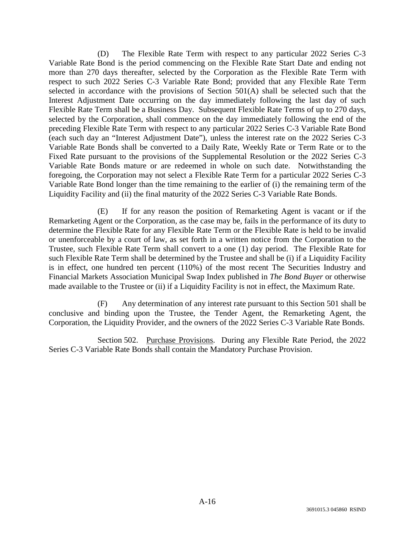(D) The Flexible Rate Term with respect to any particular 2022 Series C-3 Variable Rate Bond is the period commencing on the Flexible Rate Start Date and ending not more than 270 days thereafter, selected by the Corporation as the Flexible Rate Term with respect to such 2022 Series C-3 Variable Rate Bond; provided that any Flexible Rate Term selected in accordance with the provisions of Section 501(A) shall be selected such that the Interest Adjustment Date occurring on the day immediately following the last day of such Flexible Rate Term shall be a Business Day. Subsequent Flexible Rate Terms of up to 270 days, selected by the Corporation, shall commence on the day immediately following the end of the preceding Flexible Rate Term with respect to any particular 2022 Series C-3 Variable Rate Bond (each such day an "Interest Adjustment Date"), unless the interest rate on the 2022 Series C-3 Variable Rate Bonds shall be converted to a Daily Rate, Weekly Rate or Term Rate or to the Fixed Rate pursuant to the provisions of the Supplemental Resolution or the 2022 Series C-3 Variable Rate Bonds mature or are redeemed in whole on such date. Notwithstanding the foregoing, the Corporation may not select a Flexible Rate Term for a particular 2022 Series C-3 Variable Rate Bond longer than the time remaining to the earlier of (i) the remaining term of the Liquidity Facility and (ii) the final maturity of the 2022 Series C-3 Variable Rate Bonds.

(E) If for any reason the position of Remarketing Agent is vacant or if the Remarketing Agent or the Corporation, as the case may be, fails in the performance of its duty to determine the Flexible Rate for any Flexible Rate Term or the Flexible Rate is held to be invalid or unenforceable by a court of law, as set forth in a written notice from the Corporation to the Trustee, such Flexible Rate Term shall convert to a one (1) day period. The Flexible Rate for such Flexible Rate Term shall be determined by the Trustee and shall be (i) if a Liquidity Facility is in effect, one hundred ten percent (110%) of the most recent The Securities Industry and Financial Markets Association Municipal Swap Index published in *The Bond Buyer* or otherwise made available to the Trustee or (ii) if a Liquidity Facility is not in effect, the Maximum Rate.

(F) Any determination of any interest rate pursuant to this Section 501 shall be conclusive and binding upon the Trustee, the Tender Agent, the Remarketing Agent, the Corporation, the Liquidity Provider, and the owners of the 2022 Series C-3 Variable Rate Bonds.

Section 502. Purchase Provisions. During any Flexible Rate Period, the 2022 Series C-3 Variable Rate Bonds shall contain the Mandatory Purchase Provision.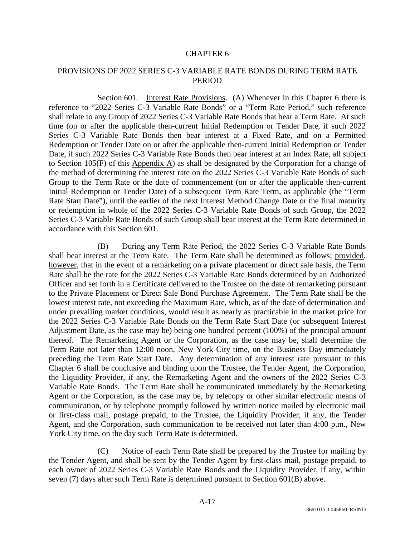#### CHAPTER 6

# PROVISIONS OF 2022 SERIES C-3 VARIABLE RATE BONDS DURING TERM RATE PERIOD

Section 601. Interest Rate Provisions. (A) Whenever in this Chapter 6 there is reference to "2022 Series C-3 Variable Rate Bonds" or a "Term Rate Period," such reference shall relate to any Group of 2022 Series C-3 Variable Rate Bonds that bear a Term Rate. At such time (on or after the applicable then-current Initial Redemption or Tender Date, if such 2022 Series C-3 Variable Rate Bonds then bear interest at a Fixed Rate, and on a Permitted Redemption or Tender Date on or after the applicable then-current Initial Redemption or Tender Date, if such 2022 Series C-3 Variable Rate Bonds then bear interest at an Index Rate, all subject to Section 105(F) of this Appendix A) as shall be designated by the Corporation for a change of the method of determining the interest rate on the 2022 Series C-3 Variable Rate Bonds of such Group to the Term Rate or the date of commencement (on or after the applicable then-current Initial Redemption or Tender Date) of a subsequent Term Rate Term, as applicable (the "Term Rate Start Date"), until the earlier of the next Interest Method Change Date or the final maturity or redemption in whole of the 2022 Series C-3 Variable Rate Bonds of such Group, the 2022 Series C-3 Variable Rate Bonds of such Group shall bear interest at the Term Rate determined in accordance with this Section 601.

(B) During any Term Rate Period, the 2022 Series C-3 Variable Rate Bonds shall bear interest at the Term Rate. The Term Rate shall be determined as follows; provided, however, that in the event of a remarketing on a private placement or direct sale basis, the Term Rate shall be the rate for the 2022 Series C-3 Variable Rate Bonds determined by an Authorized Officer and set forth in a Certificate delivered to the Trustee on the date of remarketing pursuant to the Private Placement or Direct Sale Bond Purchase Agreement. The Term Rate shall be the lowest interest rate, not exceeding the Maximum Rate, which, as of the date of determination and under prevailing market conditions, would result as nearly as practicable in the market price for the 2022 Series C-3 Variable Rate Bonds on the Term Rate Start Date (or subsequent Interest Adjustment Date, as the case may be) being one hundred percent (100%) of the principal amount thereof. The Remarketing Agent or the Corporation, as the case may be, shall determine the Term Rate not later than 12:00 noon, New York City time, on the Business Day immediately preceding the Term Rate Start Date. Any determination of any interest rate pursuant to this Chapter 6 shall be conclusive and binding upon the Trustee, the Tender Agent, the Corporation, the Liquidity Provider, if any, the Remarketing Agent and the owners of the 2022 Series C-3 Variable Rate Bonds. The Term Rate shall be communicated immediately by the Remarketing Agent or the Corporation, as the case may be, by telecopy or other similar electronic means of communication, or by telephone promptly followed by written notice mailed by electronic mail or first-class mail, postage prepaid, to the Trustee, the Liquidity Provider, if any, the Tender Agent, and the Corporation, such communication to be received not later than 4:00 p.m., New York City time, on the day such Term Rate is determined.

(C) Notice of each Term Rate shall be prepared by the Trustee for mailing by the Tender Agent, and shall be sent by the Tender Agent by first-class mail, postage prepaid, to each owner of 2022 Series C-3 Variable Rate Bonds and the Liquidity Provider, if any, within seven (7) days after such Term Rate is determined pursuant to Section 601(B) above.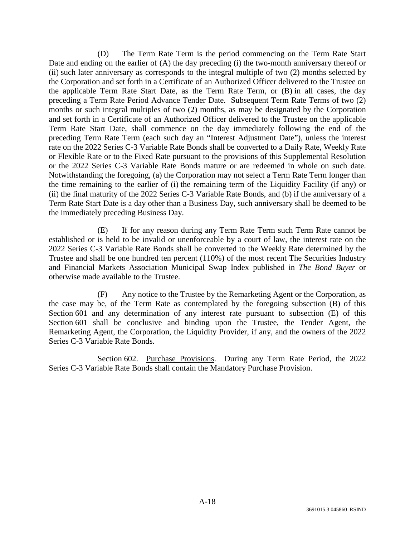(D) The Term Rate Term is the period commencing on the Term Rate Start Date and ending on the earlier of (A) the day preceding (i) the two-month anniversary thereof or (ii) such later anniversary as corresponds to the integral multiple of two (2) months selected by the Corporation and set forth in a Certificate of an Authorized Officer delivered to the Trustee on the applicable Term Rate Start Date, as the Term Rate Term, or (B) in all cases, the day preceding a Term Rate Period Advance Tender Date. Subsequent Term Rate Terms of two (2) months or such integral multiples of two (2) months, as may be designated by the Corporation and set forth in a Certificate of an Authorized Officer delivered to the Trustee on the applicable Term Rate Start Date, shall commence on the day immediately following the end of the preceding Term Rate Term (each such day an "Interest Adjustment Date"), unless the interest rate on the 2022 Series C-3 Variable Rate Bonds shall be converted to a Daily Rate, Weekly Rate or Flexible Rate or to the Fixed Rate pursuant to the provisions of this Supplemental Resolution or the 2022 Series C-3 Variable Rate Bonds mature or are redeemed in whole on such date. Notwithstanding the foregoing, (a) the Corporation may not select a Term Rate Term longer than the time remaining to the earlier of (i) the remaining term of the Liquidity Facility (if any) or (ii) the final maturity of the 2022 Series C-3 Variable Rate Bonds, and (b) if the anniversary of a Term Rate Start Date is a day other than a Business Day, such anniversary shall be deemed to be the immediately preceding Business Day.

(E) If for any reason during any Term Rate Term such Term Rate cannot be established or is held to be invalid or unenforceable by a court of law, the interest rate on the 2022 Series C-3 Variable Rate Bonds shall be converted to the Weekly Rate determined by the Trustee and shall be one hundred ten percent (110%) of the most recent The Securities Industry and Financial Markets Association Municipal Swap Index published in *The Bond Buyer* or otherwise made available to the Trustee.

(F) Any notice to the Trustee by the Remarketing Agent or the Corporation, as the case may be, of the Term Rate as contemplated by the foregoing subsection (B) of this Section 601 and any determination of any interest rate pursuant to subsection (E) of this Section 601 shall be conclusive and binding upon the Trustee, the Tender Agent, the Remarketing Agent, the Corporation, the Liquidity Provider, if any, and the owners of the 2022 Series C-3 Variable Rate Bonds.

Section 602. Purchase Provisions. During any Term Rate Period, the 2022 Series C-3 Variable Rate Bonds shall contain the Mandatory Purchase Provision.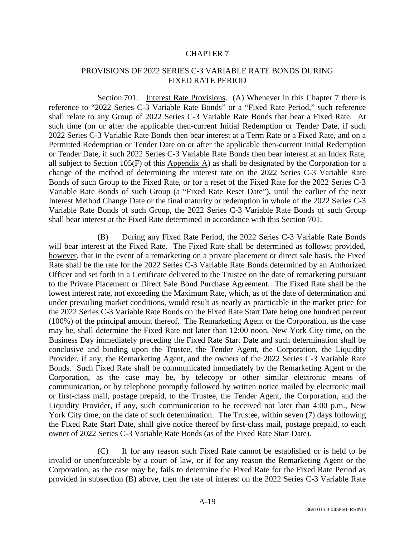## CHAPTER 7

## PROVISIONS OF 2022 SERIES C-3 VARIABLE RATE BONDS DURING FIXED RATE PERIOD

Section 701. Interest Rate Provisions. (A) Whenever in this Chapter 7 there is reference to "2022 Series C-3 Variable Rate Bonds" or a "Fixed Rate Period," such reference shall relate to any Group of 2022 Series C-3 Variable Rate Bonds that bear a Fixed Rate. At such time (on or after the applicable then-current Initial Redemption or Tender Date, if such 2022 Series C-3 Variable Rate Bonds then bear interest at a Term Rate or a Fixed Rate, and on a Permitted Redemption or Tender Date on or after the applicable then-current Initial Redemption or Tender Date, if such 2022 Series C-3 Variable Rate Bonds then bear interest at an Index Rate, all subject to Section 105(F) of this Appendix A) as shall be designated by the Corporation for a change of the method of determining the interest rate on the 2022 Series C-3 Variable Rate Bonds of such Group to the Fixed Rate, or for a reset of the Fixed Rate for the 2022 Series C-3 Variable Rate Bonds of such Group (a "Fixed Rate Reset Date"), until the earlier of the next Interest Method Change Date or the final maturity or redemption in whole of the 2022 Series C-3 Variable Rate Bonds of such Group, the 2022 Series C-3 Variable Rate Bonds of such Group shall bear interest at the Fixed Rate determined in accordance with this Section 701.

(B) During any Fixed Rate Period, the 2022 Series C-3 Variable Rate Bonds will bear interest at the Fixed Rate. The Fixed Rate shall be determined as follows; provided, however, that in the event of a remarketing on a private placement or direct sale basis, the Fixed Rate shall be the rate for the 2022 Series C-3 Variable Rate Bonds determined by an Authorized Officer and set forth in a Certificate delivered to the Trustee on the date of remarketing pursuant to the Private Placement or Direct Sale Bond Purchase Agreement. The Fixed Rate shall be the lowest interest rate, not exceeding the Maximum Rate, which, as of the date of determination and under prevailing market conditions, would result as nearly as practicable in the market price for the 2022 Series C-3 Variable Rate Bonds on the Fixed Rate Start Date being one hundred percent (100%) of the principal amount thereof. The Remarketing Agent or the Corporation, as the case may be, shall determine the Fixed Rate not later than 12:00 noon, New York City time, on the Business Day immediately preceding the Fixed Rate Start Date and such determination shall be conclusive and binding upon the Trustee, the Tender Agent, the Corporation, the Liquidity Provider, if any, the Remarketing Agent, and the owners of the 2022 Series C-3 Variable Rate Bonds. Such Fixed Rate shall be communicated immediately by the Remarketing Agent or the Corporation, as the case may be, by telecopy or other similar electronic means of communication, or by telephone promptly followed by written notice mailed by electronic mail or first-class mail, postage prepaid, to the Trustee, the Tender Agent, the Corporation, and the Liquidity Provider, if any, such communication to be received not later than 4:00 p.m., New York City time, on the date of such determination. The Trustee, within seven (7) days following the Fixed Rate Start Date, shall give notice thereof by first-class mail, postage prepaid, to each owner of 2022 Series C-3 Variable Rate Bonds (as of the Fixed Rate Start Date).

(C) If for any reason such Fixed Rate cannot be established or is held to be invalid or unenforceable by a court of law, or if for any reason the Remarketing Agent or the Corporation, as the case may be, fails to determine the Fixed Rate for the Fixed Rate Period as provided in subsection (B) above, then the rate of interest on the 2022 Series C-3 Variable Rate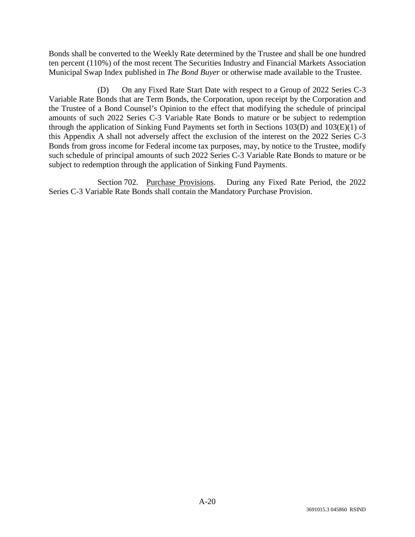Bonds shall be converted to the Weekly Rate determined by the Trustee and shall be one hundred ten percent (110%) of the most recent The Securities Industry and Financial Markets Association Municipal Swap Index published in *The Bond Buyer* or otherwise made available to the Trustee.

(D) On any Fixed Rate Start Date with respect to a Group of 2022 Series C-3 Variable Rate Bonds that are Term Bonds, the Corporation, upon receipt by the Corporation and the Trustee of a Bond Counsel's Opinion to the effect that modifying the schedule of principal amounts of such 2022 Series C-3 Variable Rate Bonds to mature or be subject to redemption through the application of Sinking Fund Payments set forth in Sections  $103(D)$  and  $103(E)(1)$  of this Appendix A shall not adversely affect the exclusion of the interest on the 2022 Series C-3 Bonds from gross income for Federal income tax purposes, may, by notice to the Trustee, modify such schedule of principal amounts of such 2022 Series C-3 Variable Rate Bonds to mature or be subject to redemption through the application of Sinking Fund Payments.

Section 702. Purchase Provisions. During any Fixed Rate Period, the 2022 Series C-3 Variable Rate Bonds shall contain the Mandatory Purchase Provision.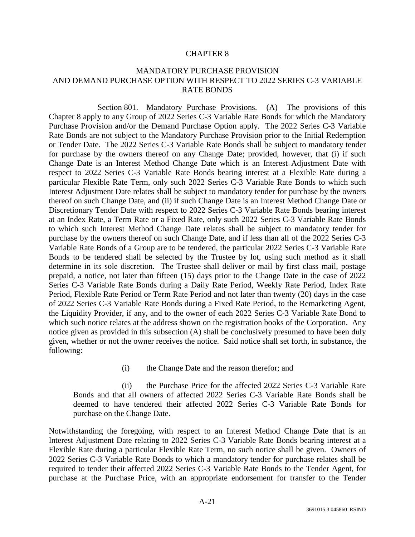## CHAPTER 8

## MANDATORY PURCHASE PROVISION AND DEMAND PURCHASE OPTION WITH RESPECT TO 2022 SERIES C-3 VARIABLE RATE BONDS

Section 801. Mandatory Purchase Provisions. (A) The provisions of this Chapter 8 apply to any Group of 2022 Series C-3 Variable Rate Bonds for which the Mandatory Purchase Provision and/or the Demand Purchase Option apply. The 2022 Series C-3 Variable Rate Bonds are not subject to the Mandatory Purchase Provision prior to the Initial Redemption or Tender Date. The 2022 Series C-3 Variable Rate Bonds shall be subject to mandatory tender for purchase by the owners thereof on any Change Date; provided, however, that (i) if such Change Date is an Interest Method Change Date which is an Interest Adjustment Date with respect to 2022 Series C-3 Variable Rate Bonds bearing interest at a Flexible Rate during a particular Flexible Rate Term, only such 2022 Series C-3 Variable Rate Bonds to which such Interest Adjustment Date relates shall be subject to mandatory tender for purchase by the owners thereof on such Change Date, and (ii) if such Change Date is an Interest Method Change Date or Discretionary Tender Date with respect to 2022 Series C-3 Variable Rate Bonds bearing interest at an Index Rate, a Term Rate or a Fixed Rate, only such 2022 Series C-3 Variable Rate Bonds to which such Interest Method Change Date relates shall be subject to mandatory tender for purchase by the owners thereof on such Change Date, and if less than all of the 2022 Series C-3 Variable Rate Bonds of a Group are to be tendered, the particular 2022 Series C-3 Variable Rate Bonds to be tendered shall be selected by the Trustee by lot, using such method as it shall determine in its sole discretion. The Trustee shall deliver or mail by first class mail, postage prepaid, a notice, not later than fifteen (15) days prior to the Change Date in the case of 2022 Series C-3 Variable Rate Bonds during a Daily Rate Period, Weekly Rate Period, Index Rate Period, Flexible Rate Period or Term Rate Period and not later than twenty (20) days in the case of 2022 Series C-3 Variable Rate Bonds during a Fixed Rate Period, to the Remarketing Agent, the Liquidity Provider, if any, and to the owner of each 2022 Series C-3 Variable Rate Bond to which such notice relates at the address shown on the registration books of the Corporation. Any notice given as provided in this subsection (A) shall be conclusively presumed to have been duly given, whether or not the owner receives the notice. Said notice shall set forth, in substance, the following:

(i) the Change Date and the reason therefor; and

(ii) the Purchase Price for the affected 2022 Series C-3 Variable Rate Bonds and that all owners of affected 2022 Series C-3 Variable Rate Bonds shall be deemed to have tendered their affected 2022 Series C-3 Variable Rate Bonds for purchase on the Change Date.

Notwithstanding the foregoing, with respect to an Interest Method Change Date that is an Interest Adjustment Date relating to 2022 Series C-3 Variable Rate Bonds bearing interest at a Flexible Rate during a particular Flexible Rate Term, no such notice shall be given. Owners of 2022 Series C-3 Variable Rate Bonds to which a mandatory tender for purchase relates shall be required to tender their affected 2022 Series C-3 Variable Rate Bonds to the Tender Agent, for purchase at the Purchase Price, with an appropriate endorsement for transfer to the Tender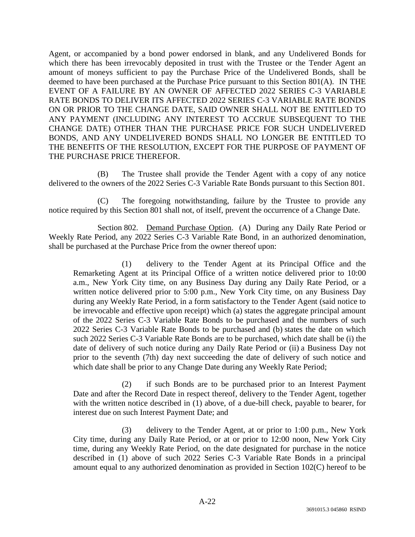Agent, or accompanied by a bond power endorsed in blank, and any Undelivered Bonds for which there has been irrevocably deposited in trust with the Trustee or the Tender Agent an amount of moneys sufficient to pay the Purchase Price of the Undelivered Bonds, shall be deemed to have been purchased at the Purchase Price pursuant to this Section 801(A). IN THE EVENT OF A FAILURE BY AN OWNER OF AFFECTED 2022 SERIES C-3 VARIABLE RATE BONDS TO DELIVER ITS AFFECTED 2022 SERIES C-3 VARIABLE RATE BONDS ON OR PRIOR TO THE CHANGE DATE, SAID OWNER SHALL NOT BE ENTITLED TO ANY PAYMENT (INCLUDING ANY INTEREST TO ACCRUE SUBSEQUENT TO THE CHANGE DATE) OTHER THAN THE PURCHASE PRICE FOR SUCH UNDELIVERED BONDS, AND ANY UNDELIVERED BONDS SHALL NO LONGER BE ENTITLED TO THE BENEFITS OF THE RESOLUTION, EXCEPT FOR THE PURPOSE OF PAYMENT OF THE PURCHASE PRICE THEREFOR.

(B) The Trustee shall provide the Tender Agent with a copy of any notice delivered to the owners of the 2022 Series C-3 Variable Rate Bonds pursuant to this Section 801.

(C) The foregoing notwithstanding, failure by the Trustee to provide any notice required by this Section 801 shall not, of itself, prevent the occurrence of a Change Date.

Section 802. Demand Purchase Option. (A) During any Daily Rate Period or Weekly Rate Period, any 2022 Series C-3 Variable Rate Bond, in an authorized denomination, shall be purchased at the Purchase Price from the owner thereof upon:

(1) delivery to the Tender Agent at its Principal Office and the Remarketing Agent at its Principal Office of a written notice delivered prior to 10:00 a.m., New York City time, on any Business Day during any Daily Rate Period, or a written notice delivered prior to 5:00 p.m., New York City time, on any Business Day during any Weekly Rate Period, in a form satisfactory to the Tender Agent (said notice to be irrevocable and effective upon receipt) which (a) states the aggregate principal amount of the 2022 Series C-3 Variable Rate Bonds to be purchased and the numbers of such 2022 Series C-3 Variable Rate Bonds to be purchased and (b) states the date on which such 2022 Series C-3 Variable Rate Bonds are to be purchased, which date shall be (i) the date of delivery of such notice during any Daily Rate Period or (ii) a Business Day not prior to the seventh (7th) day next succeeding the date of delivery of such notice and which date shall be prior to any Change Date during any Weekly Rate Period;

(2) if such Bonds are to be purchased prior to an Interest Payment Date and after the Record Date in respect thereof, delivery to the Tender Agent, together with the written notice described in (1) above, of a due-bill check, payable to bearer, for interest due on such Interest Payment Date; and

(3) delivery to the Tender Agent, at or prior to 1:00 p.m., New York City time, during any Daily Rate Period, or at or prior to 12:00 noon, New York City time, during any Weekly Rate Period, on the date designated for purchase in the notice described in (1) above of such 2022 Series C-3 Variable Rate Bonds in a principal amount equal to any authorized denomination as provided in Section 102(C) hereof to be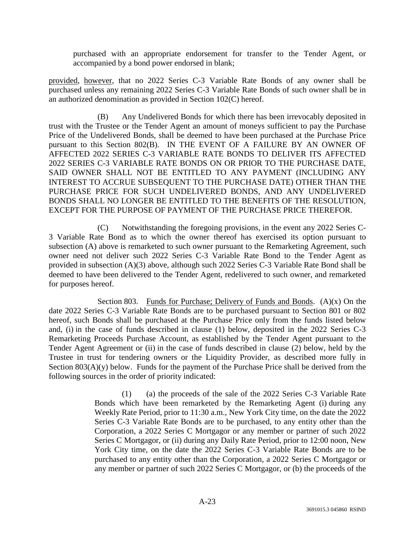purchased with an appropriate endorsement for transfer to the Tender Agent, or accompanied by a bond power endorsed in blank;

provided, however, that no 2022 Series C-3 Variable Rate Bonds of any owner shall be purchased unless any remaining 2022 Series C-3 Variable Rate Bonds of such owner shall be in an authorized denomination as provided in Section 102(C) hereof.

(B) Any Undelivered Bonds for which there has been irrevocably deposited in trust with the Trustee or the Tender Agent an amount of moneys sufficient to pay the Purchase Price of the Undelivered Bonds, shall be deemed to have been purchased at the Purchase Price pursuant to this Section 802(B). IN THE EVENT OF A FAILURE BY AN OWNER OF AFFECTED 2022 SERIES C-3 VARIABLE RATE BONDS TO DELIVER ITS AFFECTED 2022 SERIES C-3 VARIABLE RATE BONDS ON OR PRIOR TO THE PURCHASE DATE, SAID OWNER SHALL NOT BE ENTITLED TO ANY PAYMENT (INCLUDING ANY INTEREST TO ACCRUE SUBSEQUENT TO THE PURCHASE DATE) OTHER THAN THE PURCHASE PRICE FOR SUCH UNDELIVERED BONDS, AND ANY UNDELIVERED BONDS SHALL NO LONGER BE ENTITLED TO THE BENEFITS OF THE RESOLUTION, EXCEPT FOR THE PURPOSE OF PAYMENT OF THE PURCHASE PRICE THEREFOR.

(C) Notwithstanding the foregoing provisions, in the event any 2022 Series C-3 Variable Rate Bond as to which the owner thereof has exercised its option pursuant to subsection (A) above is remarketed to such owner pursuant to the Remarketing Agreement, such owner need not deliver such 2022 Series C-3 Variable Rate Bond to the Tender Agent as provided in subsection (A)(3) above, although such 2022 Series C-3 Variable Rate Bond shall be deemed to have been delivered to the Tender Agent, redelivered to such owner, and remarketed for purposes hereof.

Section 803. Funds for Purchase; Delivery of Funds and Bonds.  $(A)(x)$  On the date 2022 Series C-3 Variable Rate Bonds are to be purchased pursuant to Section 801 or 802 hereof, such Bonds shall be purchased at the Purchase Price only from the funds listed below and, (i) in the case of funds described in clause (1) below, deposited in the 2022 Series C-3 Remarketing Proceeds Purchase Account, as established by the Tender Agent pursuant to the Tender Agent Agreement or (ii) in the case of funds described in clause (2) below, held by the Trustee in trust for tendering owners or the Liquidity Provider, as described more fully in Section  $803(A)(y)$  below. Funds for the payment of the Purchase Price shall be derived from the following sources in the order of priority indicated:

> (1) (a) the proceeds of the sale of the 2022 Series C-3 Variable Rate Bonds which have been remarketed by the Remarketing Agent (i) during any Weekly Rate Period, prior to 11:30 a.m., New York City time, on the date the 2022 Series C-3 Variable Rate Bonds are to be purchased, to any entity other than the Corporation, a 2022 Series C Mortgagor or any member or partner of such 2022 Series C Mortgagor, or (ii) during any Daily Rate Period, prior to 12:00 noon, New York City time, on the date the 2022 Series C-3 Variable Rate Bonds are to be purchased to any entity other than the Corporation, a 2022 Series C Mortgagor or any member or partner of such 2022 Series C Mortgagor, or (b) the proceeds of the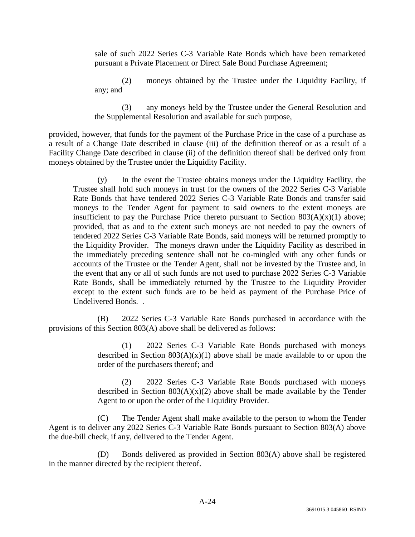sale of such 2022 Series C-3 Variable Rate Bonds which have been remarketed pursuant a Private Placement or Direct Sale Bond Purchase Agreement;

(2) moneys obtained by the Trustee under the Liquidity Facility, if any; and

(3) any moneys held by the Trustee under the General Resolution and the Supplemental Resolution and available for such purpose,

provided, however, that funds for the payment of the Purchase Price in the case of a purchase as a result of a Change Date described in clause (iii) of the definition thereof or as a result of a Facility Change Date described in clause (ii) of the definition thereof shall be derived only from moneys obtained by the Trustee under the Liquidity Facility.

(y) In the event the Trustee obtains moneys under the Liquidity Facility, the Trustee shall hold such moneys in trust for the owners of the 2022 Series C-3 Variable Rate Bonds that have tendered 2022 Series C-3 Variable Rate Bonds and transfer said moneys to the Tender Agent for payment to said owners to the extent moneys are insufficient to pay the Purchase Price thereto pursuant to Section  $803(A)(x)(1)$  above; provided, that as and to the extent such moneys are not needed to pay the owners of tendered 2022 Series C-3 Variable Rate Bonds, said moneys will be returned promptly to the Liquidity Provider. The moneys drawn under the Liquidity Facility as described in the immediately preceding sentence shall not be co-mingled with any other funds or accounts of the Trustee or the Tender Agent, shall not be invested by the Trustee and, in the event that any or all of such funds are not used to purchase 2022 Series C-3 Variable Rate Bonds, shall be immediately returned by the Trustee to the Liquidity Provider except to the extent such funds are to be held as payment of the Purchase Price of Undelivered Bonds. .

(B) 2022 Series C-3 Variable Rate Bonds purchased in accordance with the provisions of this Section 803(A) above shall be delivered as follows:

> (1) 2022 Series C-3 Variable Rate Bonds purchased with moneys described in Section  $803(A)(x)(1)$  above shall be made available to or upon the order of the purchasers thereof; and

> (2) 2022 Series C-3 Variable Rate Bonds purchased with moneys described in Section  $803(A)(x)(2)$  above shall be made available by the Tender Agent to or upon the order of the Liquidity Provider.

(C) The Tender Agent shall make available to the person to whom the Tender Agent is to deliver any 2022 Series C-3 Variable Rate Bonds pursuant to Section 803(A) above the due-bill check, if any, delivered to the Tender Agent.

(D) Bonds delivered as provided in Section 803(A) above shall be registered in the manner directed by the recipient thereof.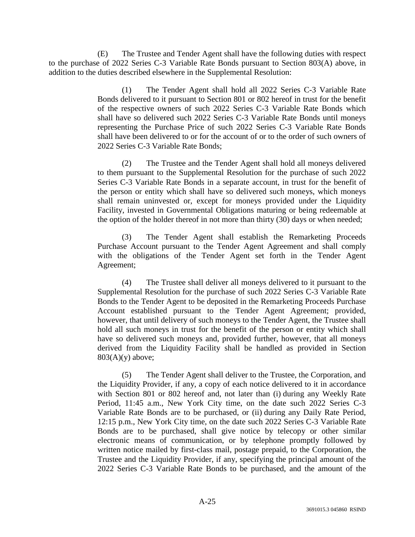(E) The Trustee and Tender Agent shall have the following duties with respect to the purchase of 2022 Series C-3 Variable Rate Bonds pursuant to Section 803(A) above, in addition to the duties described elsewhere in the Supplemental Resolution:

> (1) The Tender Agent shall hold all 2022 Series C-3 Variable Rate Bonds delivered to it pursuant to Section 801 or 802 hereof in trust for the benefit of the respective owners of such 2022 Series C-3 Variable Rate Bonds which shall have so delivered such 2022 Series C-3 Variable Rate Bonds until moneys representing the Purchase Price of such 2022 Series C-3 Variable Rate Bonds shall have been delivered to or for the account of or to the order of such owners of 2022 Series C-3 Variable Rate Bonds;

> (2) The Trustee and the Tender Agent shall hold all moneys delivered to them pursuant to the Supplemental Resolution for the purchase of such 2022 Series C-3 Variable Rate Bonds in a separate account, in trust for the benefit of the person or entity which shall have so delivered such moneys, which moneys shall remain uninvested or, except for moneys provided under the Liquidity Facility, invested in Governmental Obligations maturing or being redeemable at the option of the holder thereof in not more than thirty (30) days or when needed;

> (3) The Tender Agent shall establish the Remarketing Proceeds Purchase Account pursuant to the Tender Agent Agreement and shall comply with the obligations of the Tender Agent set forth in the Tender Agent Agreement;

> (4) The Trustee shall deliver all moneys delivered to it pursuant to the Supplemental Resolution for the purchase of such 2022 Series C-3 Variable Rate Bonds to the Tender Agent to be deposited in the Remarketing Proceeds Purchase Account established pursuant to the Tender Agent Agreement; provided, however, that until delivery of such moneys to the Tender Agent, the Trustee shall hold all such moneys in trust for the benefit of the person or entity which shall have so delivered such moneys and, provided further, however, that all moneys derived from the Liquidity Facility shall be handled as provided in Section  $803(A)(y)$  above;

> (5) The Tender Agent shall deliver to the Trustee, the Corporation, and the Liquidity Provider, if any, a copy of each notice delivered to it in accordance with Section 801 or 802 hereof and, not later than (i) during any Weekly Rate Period, 11:45 a.m., New York City time, on the date such 2022 Series C-3 Variable Rate Bonds are to be purchased, or (ii) during any Daily Rate Period, 12:15 p.m., New York City time, on the date such 2022 Series C-3 Variable Rate Bonds are to be purchased, shall give notice by telecopy or other similar electronic means of communication, or by telephone promptly followed by written notice mailed by first-class mail, postage prepaid, to the Corporation, the Trustee and the Liquidity Provider, if any, specifying the principal amount of the 2022 Series C-3 Variable Rate Bonds to be purchased, and the amount of the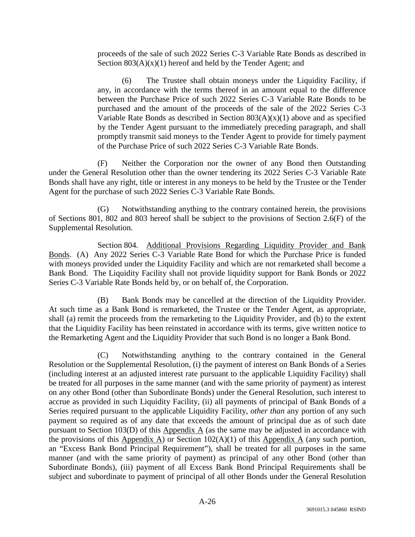proceeds of the sale of such 2022 Series C-3 Variable Rate Bonds as described in Section  $803(A)(x)(1)$  hereof and held by the Tender Agent; and

(6) The Trustee shall obtain moneys under the Liquidity Facility, if any, in accordance with the terms thereof in an amount equal to the difference between the Purchase Price of such 2022 Series C-3 Variable Rate Bonds to be purchased and the amount of the proceeds of the sale of the 2022 Series C-3 Variable Rate Bonds as described in Section  $803(A)(x)(1)$  above and as specified by the Tender Agent pursuant to the immediately preceding paragraph, and shall promptly transmit said moneys to the Tender Agent to provide for timely payment of the Purchase Price of such 2022 Series C-3 Variable Rate Bonds.

(F) Neither the Corporation nor the owner of any Bond then Outstanding under the General Resolution other than the owner tendering its 2022 Series C-3 Variable Rate Bonds shall have any right, title or interest in any moneys to be held by the Trustee or the Tender Agent for the purchase of such 2022 Series C-3 Variable Rate Bonds.

(G) Notwithstanding anything to the contrary contained herein, the provisions of Sections 801, 802 and 803 hereof shall be subject to the provisions of Section 2.6(F) of the Supplemental Resolution.

Section 804. Additional Provisions Regarding Liquidity Provider and Bank Bonds. (A) Any 2022 Series C-3 Variable Rate Bond for which the Purchase Price is funded with moneys provided under the Liquidity Facility and which are not remarketed shall become a Bank Bond. The Liquidity Facility shall not provide liquidity support for Bank Bonds or 2022 Series C-3 Variable Rate Bonds held by, or on behalf of, the Corporation.

(B) Bank Bonds may be cancelled at the direction of the Liquidity Provider. At such time as a Bank Bond is remarketed, the Trustee or the Tender Agent, as appropriate, shall (a) remit the proceeds from the remarketing to the Liquidity Provider, and (b) to the extent that the Liquidity Facility has been reinstated in accordance with its terms, give written notice to the Remarketing Agent and the Liquidity Provider that such Bond is no longer a Bank Bond.

(C) Notwithstanding anything to the contrary contained in the General Resolution or the Supplemental Resolution, (i) the payment of interest on Bank Bonds of a Series (including interest at an adjusted interest rate pursuant to the applicable Liquidity Facility) shall be treated for all purposes in the same manner (and with the same priority of payment) as interest on any other Bond (other than Subordinate Bonds) under the General Resolution, such interest to accrue as provided in such Liquidity Facility, (ii) all payments of principal of Bank Bonds of a Series required pursuant to the applicable Liquidity Facility, *other than* any portion of any such payment so required as of any date that exceeds the amount of principal due as of such date pursuant to Section 103(D) of this Appendix A (as the same may be adjusted in accordance with the provisions of this Appendix A) or Section  $102(A)(1)$  of this Appendix A (any such portion, an "Excess Bank Bond Principal Requirement"), shall be treated for all purposes in the same manner (and with the same priority of payment) as principal of any other Bond (other than Subordinate Bonds), (iii) payment of all Excess Bank Bond Principal Requirements shall be subject and subordinate to payment of principal of all other Bonds under the General Resolution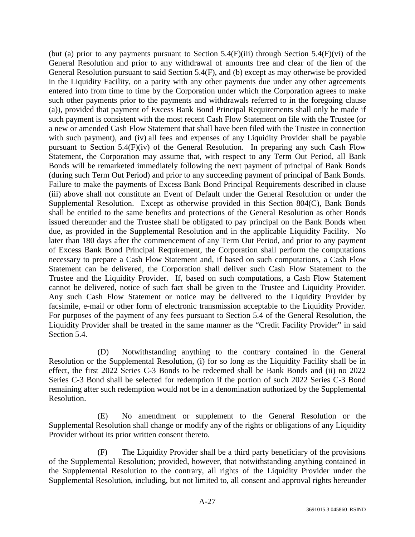(but (a) prior to any payments pursuant to Section 5.4(F)(iii) through Section 5.4(F)(vi) of the General Resolution and prior to any withdrawal of amounts free and clear of the lien of the General Resolution pursuant to said Section 5.4(F), and (b) except as may otherwise be provided in the Liquidity Facility, on a parity with any other payments due under any other agreements entered into from time to time by the Corporation under which the Corporation agrees to make such other payments prior to the payments and withdrawals referred to in the foregoing clause (a)), provided that payment of Excess Bank Bond Principal Requirements shall only be made if such payment is consistent with the most recent Cash Flow Statement on file with the Trustee (or a new or amended Cash Flow Statement that shall have been filed with the Trustee in connection with such payment), and (iv) all fees and expenses of any Liquidity Provider shall be payable pursuant to Section 5.4(F)(iv) of the General Resolution. In preparing any such Cash Flow Statement, the Corporation may assume that, with respect to any Term Out Period, all Bank Bonds will be remarketed immediately following the next payment of principal of Bank Bonds (during such Term Out Period) and prior to any succeeding payment of principal of Bank Bonds. Failure to make the payments of Excess Bank Bond Principal Requirements described in clause (iii) above shall not constitute an Event of Default under the General Resolution or under the Supplemental Resolution. Except as otherwise provided in this Section 804(C), Bank Bonds shall be entitled to the same benefits and protections of the General Resolution as other Bonds issued thereunder and the Trustee shall be obligated to pay principal on the Bank Bonds when due, as provided in the Supplemental Resolution and in the applicable Liquidity Facility. No later than 180 days after the commencement of any Term Out Period, and prior to any payment of Excess Bank Bond Principal Requirement, the Corporation shall perform the computations necessary to prepare a Cash Flow Statement and, if based on such computations, a Cash Flow Statement can be delivered, the Corporation shall deliver such Cash Flow Statement to the Trustee and the Liquidity Provider. If, based on such computations, a Cash Flow Statement cannot be delivered, notice of such fact shall be given to the Trustee and Liquidity Provider. Any such Cash Flow Statement or notice may be delivered to the Liquidity Provider by facsimile, e-mail or other form of electronic transmission acceptable to the Liquidity Provider. For purposes of the payment of any fees pursuant to Section 5.4 of the General Resolution, the Liquidity Provider shall be treated in the same manner as the "Credit Facility Provider" in said Section 5.4.

(D) Notwithstanding anything to the contrary contained in the General Resolution or the Supplemental Resolution, (i) for so long as the Liquidity Facility shall be in effect, the first 2022 Series C-3 Bonds to be redeemed shall be Bank Bonds and (ii) no 2022 Series C-3 Bond shall be selected for redemption if the portion of such 2022 Series C-3 Bond remaining after such redemption would not be in a denomination authorized by the Supplemental Resolution.

(E) No amendment or supplement to the General Resolution or the Supplemental Resolution shall change or modify any of the rights or obligations of any Liquidity Provider without its prior written consent thereto.

(F) The Liquidity Provider shall be a third party beneficiary of the provisions of the Supplemental Resolution; provided, however, that notwithstanding anything contained in the Supplemental Resolution to the contrary, all rights of the Liquidity Provider under the Supplemental Resolution, including, but not limited to, all consent and approval rights hereunder